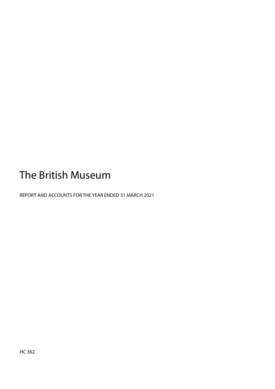# The British Museum

<span id="page-0-0"></span>REPORT AND ACCOUNTS FOR THE YEAR ENDED 31 MARCH 2021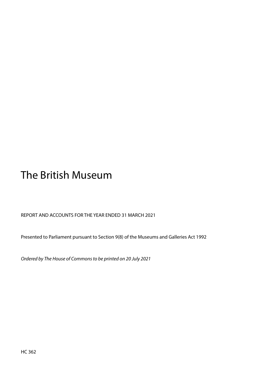# The British Museum

REPORT AND ACCOUNTS FOR THE YEAR ENDED 31 MARCH 2021

Presented to Parliament pursuant to Section 9(8) of the Museums and Galleries Act 1992

*Ordered by The House of Commons to be printed on 20 July 2021*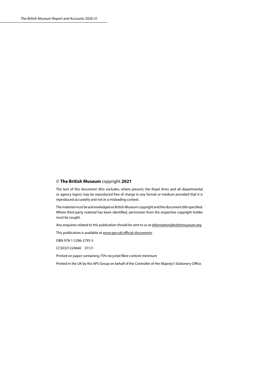#### <span id="page-2-0"></span>© **The British Museum** copyright **2021**

The text of this document (this excludes, where present, the Royal Arms and all departmental or agency logos) may be reproduced free of charge in any format or medium provided that it is reproduced accurately and not in a misleading context.

The material must be acknowledged as British Museum copyright and the document title specified. Where third party material has been identified, permission from the respective copyright holder must be sought.

Any enquiries related to this publication should be sent to us at [information@britishmuseum.org.](mailto:information%40britishmuseum.org?subject=)

This publication is available at [www.gov.uk/official-documents](http://www.gov.uk/official-documents).

ISBN 978-1-5286-2795-5

CCS0321224666 07/21

Printed on paper containing 75% recycled fibre content minimum

Printed in the UK by the APS Group on behalf of the Controller of Her Majesty's Stationery Office.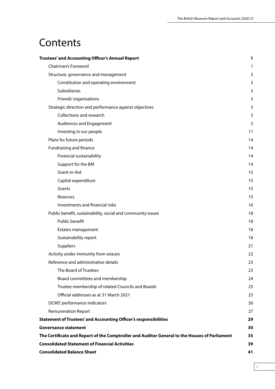## <span id="page-3-0"></span>**Contents**

| Trustees' and Accounting Officer's Annual Report                                              | 1  |
|-----------------------------------------------------------------------------------------------|----|
| Chairman's Foreword                                                                           | 1  |
| Structure, governance and management                                                          | 3  |
| Constitution and operating environment                                                        | 3  |
| Subsidiaries                                                                                  | 3  |
| Friends' organisations                                                                        | 3  |
| Strategic direction and performance against objectives                                        | 3  |
| Collections and research                                                                      | 3  |
| <b>Audiences and Engagement</b>                                                               | 5  |
| Investing in our people                                                                       | 11 |
| Plans for future periods                                                                      | 14 |
| Fundraising and finance                                                                       | 14 |
| Financial sustainability                                                                      | 14 |
| Support for the BM                                                                            | 14 |
| Grant-in-Aid                                                                                  | 15 |
| Capital expenditure                                                                           | 15 |
| Grants                                                                                        | 15 |
| Reserves                                                                                      | 15 |
| Investments and financial risks                                                               | 16 |
| Public benefit, sustainability, social and community issues                                   | 18 |
| Public benefit                                                                                | 18 |
| Estates management                                                                            | 18 |
| Sustainability report                                                                         | 18 |
| Suppliers                                                                                     | 21 |
| Activity under immunity from seizure                                                          | 22 |
| Reference and administrative details                                                          | 23 |
| The Board of Trustees                                                                         | 23 |
| Board committees and membership                                                               | 24 |
| Trustee membership of related Councils and Boards                                             | 25 |
| Official addresses as at 31 March 2021                                                        | 25 |
| DCMS' performance indicators                                                                  | 26 |
| <b>Remuneration Report</b>                                                                    | 27 |
| Statement of Trustees' and Accounting Officer's responsibilities                              | 29 |
| Governance statement                                                                          | 30 |
| The Certificate and Report of the Comptroller and Auditor General to the Houses of Parliament | 35 |
| <b>Consolidated Statement of Financial Activities</b>                                         | 39 |
| <b>Consolidated Balance Sheet</b>                                                             | 41 |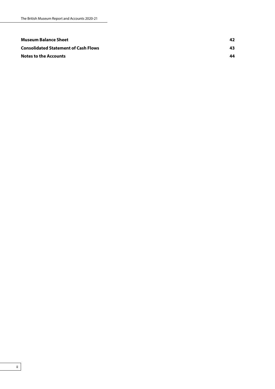| Museum Balance Sheet                        | 42  |
|---------------------------------------------|-----|
| <b>Consolidated Statement of Cash Flows</b> | 43. |
| <b>Notes to the Accounts</b>                | 44  |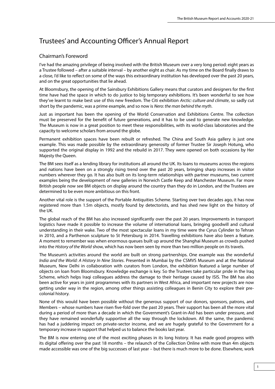### <span id="page-5-0"></span>Trustees' and Accounting Officer's Annual Report

#### Chairman's Foreword

I've had the amazing privilege of being involved with the British Museum over a very long period: eight years as a Trustee followed – after a suitable interval – by another eight as chair. As my time on the Board finally draws to a close, I'd like to reflect on some of the ways this extraordinary institution has developed over the past 20 years, and on the great opportunities that lie ahead.

At Bloomsbury, the opening of the Sainsbury Exhibitions Gallery means that curators and designers for the first time have had the space in which to do justice to big temporary exhibitions. It's been wonderful to see how they've learnt to make best use of this new freedom. The Citi exhibition *Arctic: culture and climate*, so sadly cut short by the pandemic, was a prime example, and so now is *Nero: the man behind the myth*.

Just as important has been the opening of the World Conservation and Exhibitions Centre. The collection must be preserved for the benefit of future generations, and it has to be used to generate new knowledge. The Museum is now in a great position to meet these responsibilities, with its world-class laboratories and the capacity to welcome scholars from around the globe.

Permanent exhibition spaces have been rebuilt or refreshed. The China and South Asia gallery is just one example. This was made possible by the extraordinary generosity of former Trustee Sir Joseph Hotung, who supported the original display in 1992 and the rebuild in 2017. They were opened on both occasions by Her Majesty the Queen.

The BM sees itself as a lending library for institutions all around the UK. Its loans to museums across the regions and nations have been on a strongly rising trend over the past 20 years, bringing sharp increases in visitor numbers wherever they go. It has also built on its long-term relationships with partner museums, two current examples being the development of new galleries in Norwich Castle Keep and Manchester Museum. Far more British people now see BM objects on display around the country than they do in London, and the Trustees are determined to be even more ambitious on this front.

Another vital role is the support of the Portable Antiquities Scheme. Starting over two decades ago, it has now registered more than 1.5m objects, mostly found by detectorists, and has shed new light on the history of the UK.

The global reach of the BM has also increased significantly over the past 20 years. Improvements in transport logistics have made it possible to increase the volume of international loans, bringing goodwill and cultural understanding in their wake. Two of the most spectacular loans in my time were the Cyrus Cylinder to Tehran in 2010, and a Parthenon sculpture to St Petersburg in 2014. Travelling exhibitions have also been a feature. A moment to remember was when enormous queues built up around the Shanghai Museum as crowds pushed into the *History of the World* show, which has now been seen by more than two million people on its travels.

The Museum's activities around the world are built on strong partnerships. One example was the wonderful *India and the World: A History In Nine Stories*. Presented in Mumbai by the CSMVS Museum and at the National Museum, New Delhi in collaboration with curators from London, the exhibition featured a large number of objects on loan from Bloomsbury. Knowledge exchange is key. So the Trustees take particular pride in the Iraq Scheme, which helps Iraqi colleagues address the damage to their heritage caused by ISIS. The BM has also been active for years in joint programmes with its partners in West Africa, and important new projects are now getting under way in the region, among other things assisting colleagues in Benin City to explore their precolonial history.

None of this would have been possible without the generous support of our donors, sponsors, patrons, and Members – whose numbers have risen five-fold over the past 20 years. Their support has been all the more vital during a period of more than a decade in which the Government's Grant-in-Aid has been under pressure, and they have remained wonderfully supportive all the way through the lockdown. All the same, the pandemic has had a juddering impact on private-sector income, and we are hugely grateful to the Government for a temporary increase in support that helped us to balance the books last year.

The BM is now entering one of the most exciting phases in its long history. It has made good progress with its digital offering over the past 18 months – the relaunch of the Collection Online with more than 4m objects made accessible was one of the big successes of last year – but there is much more to be done. Elsewhere, work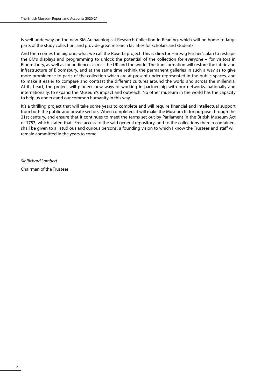is well underway on the new BM Archaeological Research Collection in Reading, which will be home to large parts of the study collection, and provide great research facilities for scholars and students.

And then comes the big one: what we call the Rosetta project. This is director Hartwig Fischer's plan to reshape the BM's displays and programming to unlock the potential of the collection for everyone – for visitors in Bloomsbury, as well as for audiences across the UK and the world. The transformation will restore the fabric and infrastructure of Bloomsbury, and at the same time rethink the permanent galleries in such a way as to give more prominence to parts of the collection which are at present under-represented in the public spaces, and to make it easier to compare and contrast the different cultures around the world and across the millennia. At its heart, the project will pioneer new ways of working in partnership with our networks, nationally and internationally, to expand the Museum's impact and outreach. No other museum in the world has the capacity to help us understand our common humanity in this way.

It's a thrilling project that will take some years to complete and will require financial and intellectual support from both the public and private sectors. When completed, it will make the Museum fit for purpose through the 21st century, and ensure that it continues to meet the terms set out by Parliament in the British Museum Act of 1753, which stated that: 'Free access to the said general repository, and to the collections therein contained, shall be given to all studious and curious persons', a founding vision to which I know the Trustees and staff will remain committed in the years to come.

*Sir Richard Lambert* Chairman of the Trustees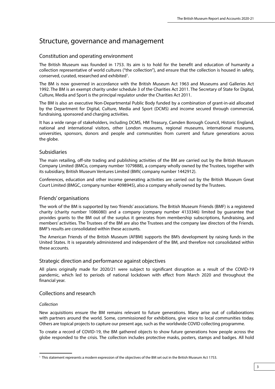### <span id="page-7-0"></span>Structure, governance and management

#### Constitution and operating environment

The British Museum was founded in 1753. Its aim is to hold for the benefit and education of humanity a collection representative of world cultures ("the collection"), and ensure that the collection is housed in safety, conserved, curated, researched and exhibited<sup>1</sup>.

The BM is now governed in accordance with the British Museum Act 1963 and Museums and Galleries Act 1992. The BM is an exempt charity under schedule 3 of the Charities Act 2011. The Secretary of State for Digital, Culture, Media and Sport is the principal regulator under the Charities Act 2011.

The BM is also an executive Non-Departmental Public Body funded by a combination of grant-in-aid allocated by the Department for Digital, Culture, Media and Sport (DCMS) and income secured through commercial, fundraising, sponsored and charging activities.

It has a wide range of stakeholders, including DCMS, HM Treasury, Camden Borough Council, Historic England, national and international visitors, other London museums, regional museums, international museums, universities, sponsors, donors and people and communities from current and future generations across the globe.

#### Subsidiaries

The main retailing, off-site trading and publishing activities of the BM are carried out by the British Museum Company Limited (BMCo, company number 1079888), a company wholly owned by the Trustees, together with its subsidiary, British Museum Ventures Limited (BMV, company number 1442912).

Conferences, education and other income generating activities are carried out by the British Museum Great Court Limited (BMGC, company number 4098945), also a company wholly owned by the Trustees.

#### Friends' organisations

The work of the BM is supported by two 'friends' associations. The British Museum Friends (BMF) is a registered charity (charity number 1086080) and a company (company number 4133346) limited by guarantee that provides grants to the BM out of the surplus it generates from membership subscriptions, fundraising, and members' activities. The Trustees of the BM are also the Trustees and the company law directors of the Friends. BMF's results are consolidated within these accounts.

The American Friends of the British Museum (AFBM) supports the BM's development by raising funds in the United States. It is separately administered and independent of the BM, and therefore not consolidated within these accounts.

#### Strategic direction and performance against objectives

All plans originally made for 2020/21 were subject to significant disruption as a result of the COVID-19 pandemic, which led to periods of national lockdown with effect from March 2020 and throughout the financial year.

#### Collections and research

#### *Collection*

New acquisitions ensure the BM remains relevant to future generations. Many arise out of collaborations with partners around the world. Some, commissioned for exhibitions, give voice to local communities today. Others are topical projects to capture our present age, such as the worldwide COVID collecting programme.

To create a record of COVID-19, the BM gathered objects to show future generations how people across the globe responded to the crisis. The collection includes protective masks, posters, stamps and badges. All hold

<sup>&</sup>lt;sup>1</sup> This statement represents a modern expression of the objectives of the BM set out in the British Museum Act 1753.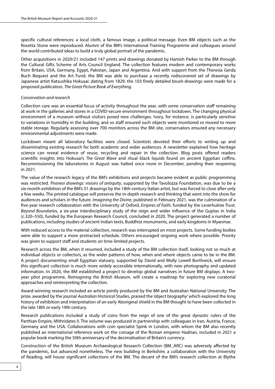specific cultural references: a local cloth, a famous image, a political message. Even BM objects such as the Rosetta Stone were reproduced. Alumni of the BM's International Training Programme and colleagues around the world contributed ideas to build a truly global portrait of the pandemic.

Other acquisitions in 2020/21 included 147 prints and drawings donated by Hamish Parker to the BM through the Cultural Gifts Scheme of Arts Council England. The collection features modern and contemporary works from Britain, USA, Germany, Egypt, Pakistan, Japan and Argentina. And with support from the Theresia Gerda Buch Bequest and the Art Fund, the BM was able to purchase a recently rediscovered set of drawings by Japanese artist Katsushika Hokusai: dating from 1829, the 103 finely detailed brush-drawings were made for a proposed publication, *The Great Picture Book of Everything*.

#### *Conservation and research*

Collection care was an essential focus of activity throughout the year, with some conservation staff remaining at work in the galleries and stores in a COVID-secure environment throughout lockdown. The changing physical environment of a museum without visitors posed new challenges. Ivory, for instance, is particularly sensitive to variations in humidity in the building, and so staff ensured such objects were monitored or moved to more stable storage. Regularly assessing over 700 monitors across the BM site, conservators ensured any necessary environmental adjustments were made.

Lockdown meant all laboratory facilities were closed. Scientists devoted their efforts to writing up and disseminating existing research for both academic and wider audiences. A newsletter explained how heritage science can reveal evidence of reuse, recycling and repair in the collection. Blog posts offered readers scientific insights into Hokusai's *The Great Wave* and ritual black liquids found on ancient Egyptian coffins. Recommissioning the laboratories in August was halted once more in December, pending their reopening in 2021.

The value of the research legacy of the BM's exhibitions and projects became evident as public programming was restricted. *Piranesi drawings: visions of antiquity*, supported by the Tavolozza Foundation, was due to be a six-month exhibition of the BM's 51 drawings by the 18th-century Italian artist, but was forced to close after only a few weeks. The printed catalogue will preserve the in-depth research and thinking that went into the show for audiences and scholars in the future. *Imagining the Divine*, published in February 2021, was the culmination of a five-year research collaboration with the University of Oxford, *Empires of Faith*, funded by the Leverhulme Trust. *Beyond Boundaries*, a six-year interdisciplinary study of the reign and wider influence of the Guptas in India (c.320–550), funded by the European Research Council, concluded in 2020. The project generated a number of publications, including studies of ancient Indian texts, Buddhist monuments, and early kingdoms in Myanmar.

With reduced access to the material collection, research was interrupted on most projects. Some funding bodies were able to support a more protracted schedule. Others encouraged ongoing work where possible. Priority was given to support staff and students on time-limited projects.

Research across the BM, when it resumed, included a study of the BM collection itself, looking not so much at individual objects or collectors, as the wider patterns of how, when and where objects came to be in the BM. A project documenting small Egyptian statuary, supported by David and Molly Lowell Borthwick, will ensure this significant collection is much more widely accessible internationally, with new photography and updated information. In 2020, the BM established a project to develop global narratives in future BM displays. A twoyear pilot programme, *Reimagining the British Museum*, will create a roadmap for exploring new curatorial approaches and reinterpreting the collection.

Award-winning research included an article jointly produced by the BM and Australian National University. The prize, awarded by the journal *Australian Historical Studies*, praised the 'object biography' which explored the long history of exhibition and interpretation of an early Aboriginal shield in the BM thought to have been collected in the late 18th or early 19th century.

Research publications included a study of coins from the reign of one of the great dynastic rulers of the Parthian Empire, Mithridates II. The volume was produced in partnership with colleagues in Iran, Austria, France, Germany and the USA. Collaborations with coin specialist Spink in London, with whom the BM also recently published an international reference work on the coinage of the Roman emperor Hadrian, included in 2021 a popular book marking the 50th anniversary of the decimalisation of Britain's currency.

Construction of the British Museum Archaeological Research Collection (BM\_ARC) was adversely affected by the pandemic, but advanced nonetheless. The new building in Berkshire, a collaboration with the University of Reading, will house significant collections of the BM. The decant of the BM's research collection at Blythe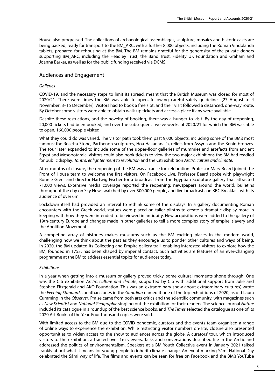<span id="page-9-0"></span>House also progressed. The collections of archaeological assemblages, sculpture, mosaics and historic casts are being packed, ready for transport to the BM\_ARC, with a further 8,000 objects, including the Roman Vindolanda tablets, prepared for rehousing at the BM. The BM remains grateful for the generosity of the private donors supporting BM\_ARC, including the Headley Trust, the Band Trust, Fidelity UK Foundation and Graham and Joanna Barker, as well as for the public funding received via DCMS.

#### Audiences and Engagement

#### *Galleries*

COVID-19, and the necessary steps to limit its spread, meant that the British Museum was closed for most of 2020/21. There were times the BM was able to open, following careful safety guidelines (27 August to 4 November; 3–15 December). Visitors had to book a free slot, and their visit followed a distanced, one-way route. By October some visitors were able to obtain walk-up tickets and access a place if any were available.

Despite these restrictions, and the novelty of booking, there was a hunger to visit. By the day of reopening, 20,000 tickets had been booked, and over the subsequent twelve weeks of 2020/21 for which the BM was able to open, 160,000 people visited.

What they could do was varied. The visitor path took them past 9,000 objects, including some of the BM's most famous: the Rosetta Stone, Parthenon sculptures, Hoa Hakananai'a, reliefs from Assyria and the Benin bronzes. The tour later expanded to include some of the upper-floor galleries of mummies and artefacts from ancient Egypt and Mesopotamia. Visitors could also book tickets to view the two major exhibitions the BM had readied for public display: *Tantra: enlightenment to revolution* and the Citi exhibition *Arctic: culture and climate*.

After months of closure, the reopening of the BM was a cause for celebration. Professor Mary Beard joined the Front of House team to welcome the first visitors. On Facebook Live, Professor Beard spoke with playwright Bonnie Greer and director Hartwig Fischer for a broadcast from the Egyptian Sculpture gallery that attracted 71,000 views. Extensive media coverage reported the reopening: newspapers around the world, bulletins throughout the day on Sky News watched by over 300,000 people, and live broadcasts on BBC Breakfast with its audience of over 6m.

Lockdown itself had provided an interval to rethink some of the displays. In a gallery documenting Roman encounters with the Greek world, statues were placed on taller plinths to create a dramatic display more in keeping with how they were intended to be viewed in antiquity. New acquisitions were added to the gallery of 19th-century Europe and changes made in other galleries to tell a more complex story of empire, slavery and the Abolition Movement.

A competing array of histories makes museums such as the BM exciting places in the modern world, challenging how we think about the past as they encourage us to ponder other cultures and ways of being. In 2020, the BM updated its Collecting and Empire gallery trail, enabling interested visitors to explore how the BM, founded in 1753, has been shaped by imperial contact. Such activities are features of an ever-changing programme at the BM to address essential topics for audiences today.

#### *Exhibitions*

In a year when getting into a museum or gallery proved tricky, some cultural moments shone through. One was the Citi exhibition *Arctic: culture and climate*, supported by Citi with additional support from Julie and Stephen Fitzgerald and AKO Foundation. This was an 'extraordinary show about extraordinary cultures', wrote the *Evening Standard*. Jonathan Jones in the *Guardian* named it one of the top exhibitions of 2020, as did Laura Cumming in the *Observer*. Praise came from both arts critics and the scientific community, with magazines such as *New Scientist* and *National Geographic* singling out the exhibition for their readers. The science journal *Nature* included its catalogue in a roundup of the best science books, and *The Times* selected the catalogue as one of its 2020 Art Books of the Year. Four thousand copies were sold.

With limited access to the BM due to the COVID pandemic, curators and the events team organised a range of online ways to experience the exhibition. While restricting visitor numbers on-site, closure also presented opportunities to widen access to the show to audiences across the globe. A curators' tour, which introduced visitors to the exhibition, attracted over 1m viewers. Talks and conversations described life in the Arctic and addressed the politics of environmentalism. Speakers at a BM Youth Collective event in January 2021 talked frankly about what it means for young people to inherit climate change. An event marking Sámi National Day celebrated the Sámi way of life. The films and events can be seen for free on Facebook and the BM's YouTube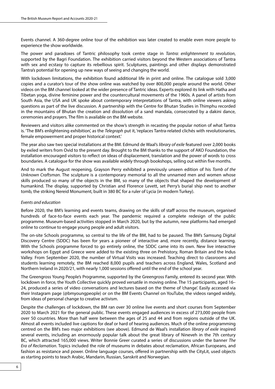Events channel. A 360-degree online tour of the exhibition was later created to enable even more people to experience the show worldwide.

The power and paradoxes of Tantric philosophy took centre stage in *Tantra: enlightenment to revolution*, supported by the Bagri Foundation. The exhibition carried visitors beyond the Western associations of Tantra with sex and ecstasy to capture its rebellious spirit. Sculptures, paintings and other displays demonstrated Tantra's potential for opening up new ways of seeing and changing the world.

With lockdown limitations, the exhibition found additional life in print and online. The catalogue sold 3,000 copies and a curator's tour of the show online was watched by over 800,000 people around the world. Other videos on the BM channel looked at the wider presence of Tantric ideas. Experts explored its link with Hatha and Tibetan yoga, divine feminine power and the countercultural movements of the 1960s. A panel of artists from South Asia, the USA and UK spoke about contemporary interpretations of Tantra, with online viewers asking questions as part of the live discussion. A partnership with the Centre for Bhutan Studies in Thimphu recorded in the mountains of Bhutan the creation and dissolution of a sand mandala, consecrated by a dakini dance, ceremonies and prayers. The film is available on the BM website.

Reviewers and visitors alike commented on the show's strength in recasting the popular notion of what Tantra is. 'The BM's enlightening exhibition', as the *Telegraph* put it, 'replaces Tantra-related clichés with revolutionaries, female empowerment and proper historical context.'

The year also saw two special installations at the BM. Edmund de Waal's *library of exile* featured over 2,000 books by exiled writers from Ovid to the present day. Brought to the BM thanks to the support of AKO Foundation, the installation encouraged visitors to reflect on ideas of displacement, translation and the power of words to cross boundaries. A catalogue for the show was available widely through bookshops, selling out within five months.

And to mark the August reopening, Grayson Perry exhibited a previously unseen edition of his *Tomb of the Unknown Craftsman*. The sculpture is a contemporary memorial to all the unnamed men and women whose skills produced so many of the objects in the BM, so many of the objects that shaped the development of humankind. The display, supported by Christian and Florence Levett, set Perry's burial ship next to another tomb, the striking Nereid Monument, built in 380 BC for a ruler of Lycia (in modern Turkey).

#### *Events and education*

Before 2020, the BM's learning and events teams, drawing on the skills of staff across the museum, organised hundreds of face-to-face events each year. The pandemic required a complete redesign of the public programme. Museum-based activities stopped in March 2020, but by the autumn, new platforms had emerged online to continue to engage young people and adult visitors.

The on-site Schools programme, so central to the life of the BM, had to be paused. The BM's Samsung Digital Discovery Centre (SDDC) has been for years a pioneer of interactive and, more recently, distance learning. With the Schools programme forced to go entirely online, the SDDC came into its own. New live interactive workshops on Egypt and Greece were added to the existing three on Prehistory, Roman Britain and the Indus Valley. From September 2020, the number of Virtual Visits was increased. Teaching direct to classrooms and students learning remotely, the BM reached 8,000 pupils and teachers across England, Wales, Scotland and Northern Ireland in 2020/21, with nearly 1,000 sessions offered until the end of the school year.

The Greengross Young People's Programme, supported by the Greengross Family, entered its second year. With lockdown in force, the Youth Collective quickly proved versatile in moving online. The 15 participants, aged 16– 24, produced a series of video conversations and lectures based on the theme of 'change'. Easily accessed via their Instagram page (@bmyoungpeople) or on the BM Events Channel on YouTube, the videos ranged widely, from ideas of personal change to creative activism.

Despite the challenges of lockdown, the BM ran over 30 online live events and short courses from September 2020 to March 2021 for the general public. These events engaged audiences in excess of 273,000 people from over 50 countries. More than half were between the ages of 25 and 44 and from regions outside of the UK. Almost all events included live captions for deaf or hard of hearing audiences. Much of the online programming centred on the BM's two major exhibitions (see above). Edmund de Waal's installation *library of exile* inspired several events, including an enormously popular talk about the great library of Nineveh in the 7th century BC, which attracted 165,000 views. Writer Bonnie Greer curated a series of discussions under the banner *The Era of Reclamation*. Topics included the role of museums in debates about reclamation, African Europeans, and fashion as resistance and power. Online language courses, offered in partnership with the CityLit, used objects as starting points to teach Arabic, Mandarin, Russian, Sanskrit and Norwegian.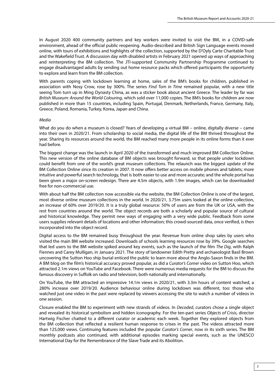In August 2020 400 community partners and key workers were invited to visit the BM, in a COVID-safe environment, ahead of the official public reopening. Audio-described and British Sign Language events moved online, with tours of exhibitions and highlights of the collection, supported by the D'Oyly Carte Charitable Trust and the Wakefield Trust. A discussion day with disabled artists in February 2021 opened up ways of approaching and reinterpreting the BM collection. The JTI-supported Community Partnership Programme continued to engage disadvantaged adults by sending out home resource packs which offered participants the opportunity to explore and learn from the BM collection.

With parents coping with lockdown learning at home, sales of the BM's books for children, published in association with Nosy Crow, rose by 300%. The series *Find Tom in Time* remained popular, with a new title seeing Tom turn up in Ming Dynasty China, as was a sticker book about ancient Greece. The leader by far was *British Museum: Around the World Colouring*, which sold over 11,000 copies. The BM's books for children are now published in more than 15 countries, including Spain, Portugal, Denmark, Netherlands, France, Germany, Italy, Greece, Poland, Romania, Turkey, Korea, Japan and China.

#### *Media*

What do you do when a museum is closed? Years of developing a virtual BM – online, digitally diverse – came into their own in 2020/21. From scholarship to social media, the digital life of the BM thrived throughout the year. Sharing its resources around the world, the BM reached many more people in its online forms than it ever had before.

The biggest change was the launch in April 2020 of the transformed and much improved BM Collection Online. This new version of the online database of BM objects was brought forward, so that people under lockdown could benefit from one of the world's great museum collections. The relaunch was the biggest update of the BM Collection Online since its creation in 2007. It now offers better access on mobile phones and tablets; more intuitive and powerful search technology, that is both easier to use and more accurate; and the whole portal has been given a major on-screen redesign. There are 4.5m objects, with 1.9m images, which can be downloaded free for non-commercial use.

With about half the BM collection now accessible via the website, the BM Collection Online is one of the largest, most diverse online museum collections in the world. In 2020/21, 3.75m users looked at the online collection, an increase of 60% over 2019/20. It is a truly global resource: 50% of users are from the UK or USA, with the rest from countries around the world. The object records are both a scholarly and popular source of cultural and historical knowledge. They permit new ways of engaging with a very wide public. Feedback from some users supplies relevant details of locations and other information; this crowd-sourced data, once verified, is then incorporated into the object record.

Digital access to the BM remained busy throughout the year. Revenue from online shop sales by users who visited the main BM website increased. Downloads of schools learning resources rose by 39%. Google searches that led users to the BM website spiked around key events, such as the launch of the film *The Dig*, with Ralph Fiennes and Carey Mulligan, in January 2021. The story of landowner Edith Pretty and archaeologist Basil Brown uncovering the Sutton Hoo ship burial enticed the public to learn more about the Anglo-Saxon finds in the BM. A BM blog on the film's historical accuracy proved popular, as did a *Curator's Corner* video on Sutton Hoo, which attracted 2.1m views on YouTube and Facebook. There were numerous media requests for the BM to discuss the famous discovery in Suffolk on radio and television, both nationally and internationally.

On YouTube, the BM attracted an impressive 14.1m views in 2020/21, with 3.3m hours of content watched, a 280% increase over 2019/20. Audience behaviour online during lockdown was different, too: those who watched just one video in the past were replaced by viewers accessing the site to watch a number of videos in one session.

Closure enabled the BM to experiment with new strands of videos. In *Decoded*, curators chose a single object and revealed its historical symbolism and hidden iconography. For the ten-part series *Objects of Crisis*, director Hartwig Fischer chatted to a different curator or academic each week. Together they explored objects from the BM collection that reflected a resilient human response to crises in the past. The videos attracted more than 125,000 views. Continuing features included the popular *Curator's Corner*, now in its sixth series. The BM monthly podcasts also continued, with additional episodes marking special events, such as the UNESCO International Day for the Remembrance of the Slave Trade and its Abolition.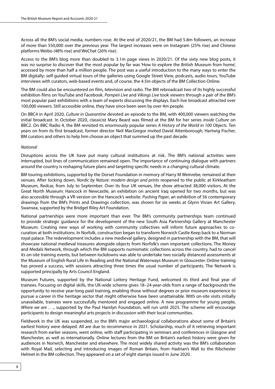Across all the BM's social media, numbers rose. At the end of 2020/21, the BM had 5.8m followers, an increase of more than 550,000 over the previous year. The largest increases were on Instagram (25% rise) and Chinese platforms Weibo (48% rise) and WeChat (26% rise).

Access to the BM's blog more than doubled to 3.1m page views in 2020/21. Of the sixty new blog posts, it was no surprise to discover that the most popular by far was 'How to explore the British Museum from home', accessed by more than half a million people. The post was a useful introduction to the many ways to enter the BM digitally: self-guided virtual tours of the galleries using Google Street View, podcasts, audio tours, YouTube interviews with curators, web-based events and, of course, the 4.5m objects of the BM Collection Online.

The BM could also be encountered on film, television and radio. The BM rebroadcast two of its highly successful exhibition films on YouTube and Facebook. *Pompeii Live* and *Vikings Live* took viewers through a pair of the BM's most popular past exhibitions with a team of experts discussing the displays. Each live broadcast attracted over 100,000 viewers. Still accessible online, they have since been seen by over 4m people.

On BBC4 in April 2020, *Culture in Quarantine* devoted an episode to the BM, with 400,000 viewers watching the initial broadcast. In October 2020, classicist Mary Beard was filmed at the BM for her series *Inside Culture* on BBC2. On BBC Radio 4, the BM revisited its enormously popular series *A History of the World in 100 Objects*. Ten years on from its first broadcast, former director Neil MacGregor invited David Attenborough, Hartwig Fischer, BM curators and others to help him choose an object that summed up the past decade.

#### *National*

Disruptions across the UK have put many cultural institutions at risk. The BM's national activities were interrupted, but lines of communication remained open. The importance of continuing dialogue with partners around the country is reshaping future plans and targeting specific needs in a changing cultural climate.

BM touring exhibitions, supported by the Dorset Foundation in memory of Harry M Weinrebe, remained at their venues. After locking down, *Nordic by Nature: modern design and prints* reopened to the public at Kirkleatham Museum, Redcar, from July to September. Over its four UK venues, the show attracted 38,000 visitors. At the Great North Museum: Hancock in Newcastle, an exhibition on ancient Iraq opened for two months, but was also accessible through a VR version on the Hancock's website. *Pushing Paper*, an exhibition of 56 contemporary drawings from the BM's Prints and Drawings collection, was shown for six weeks at Glynn Vivian Art Gallery, Swansea, supported by the Bridget Riley Art Foundation.

National partnerships were more important than ever. The BM's community partnerships team continued to provide strategic guidance for the development of the new South Asia Partnership Gallery at Manchester Museum. Creating new ways of working with community collectives will inform future approaches to cocuration at both institutions. In Norfolk, construction began to transform Norwich Castle Keep back to a Norman royal palace. The redevelopment includes a new medieval gallery, designed in partnership with the BM, that will showcase national medieval treasures alongside objects from Norfolk's own important collections. The Money and Medals Network, through which the BM supports numismatic collections across the country, had to cancel its on-site training events, but between lockdowns was able to undertake two socially distanced assessments at the Museum of English Rural Life in Reading and the National Waterways Museum in Gloucester. Online training has proved a success, with sessions attracting three times the usual number of participants. The Network is supported principally by Arts Council England.

Museum Futures, supported by the National Lottery Heritage Fund, welcomed its third and final year of trainees. Focusing on digital skills, the UK-wide scheme gives 18–24-year-olds from a range of backgrounds the opportunity to receive year-long paid training, enabling those without degrees or prior museum experience to pursue a career in the heritage sector that might otherwise have been unattainable. With on-site visits initially unavailable, trainees were successfully mentored and engaged online. A new programme for young people, *Where we are . . .*, supported by the Paul Hamlyn Foundation, will run until 2025. The scheme will encourage participants to design meaningful arts projects in discussion with their local communities.

Fieldwork in the UK was suspended, so the BM's major archaeological collaborations about some of Britain's earliest history were delayed. All are due to recommence in 2021. Scholarship, much of it retrieving important research from earlier seasons, went online, with staff participating in seminars and conferences in Glasgow and Manchester, as well as internationally. Online lectures from the BM on Britain's earliest history were given for audiences in Norwich, Manchester and elsewhere. The most widely shared activity was the BM's collaboration with Royal Mail, selecting and introducing images of Roman Britain, from Hadrian's Wall to the Ribchester Helmet in the BM collection. They appeared on a set of eight stamps issued in June 2020.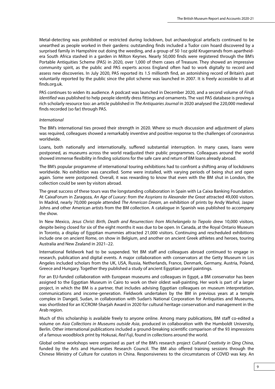Metal-detecting was prohibited or restricted during lockdown, but archaeological artefacts continued to be unearthed as people worked in their gardens: outstanding finds included a Tudor coin hoard discovered by a surprised family in Hampshire out doing the weeding, and a group of 50 1oz gold Krugerrands from apartheidera South Africa stashed in a garden in Milton Keynes. Nearly 50,000 finds were registered through the BM's Portable Antiquities Scheme (PAS) in 2020, over 1,000 of them cases of Treasure. They showed an impressive community spirit, as the public and PAS experts across England often had to work digitally to record and assess new discoveries. In July 2020, PAS reported its 1.5 millionth find, an astonishing record of Britain's past voluntarily reported by the public since the pilot scheme was launched in 2007. It is freely accessible to all at finds.org.uk.

PAS continues to widen its audience. A podcast was launched in December 2020, and a second volume of *Finds Identified* was published to help people identify dress fittings and ornaments. The vast PAS database is proving a rich scholarly resource too: an article published in *The Antiquaries Journal* in 2020 analysed the 220,000 medieval finds recorded (so far) through PAS.

#### *International*

The BM's international ties proved their strength in 2020. Where so much discussion and adjustment of plans was required, colleagues showed a remarkably inventive and positive response to the challenges of coronavirus worldwide.

Loans, both nationally and internationally, suffered substantial interruption. In many cases, loans were postponed, as museums across the world readjusted their public programmes. Colleagues around the world showed immense flexibility in finding solutions for the safe care and return of BM loans already abroad.

The BM's popular programme of international touring exhibitions had to confront a shifting array of lockdowns worldwide. No exhibition was cancelled. Some were installed, with varying periods of being shut and open again. Some were postponed. Overall, it was rewarding to know that even with the BM shut in London, the collection could be seen by visitors abroad.

The great success of these tours was the longstanding collaboration in Spain with La Caixa Banking Foundation. At CaixaForum in Zaragoza, *An Age of Luxury: from the Assyrians to Alexander the Great* attracted 49,000 visitors. In Madrid, nearly 70,000 people attended *The American Dream*, an exhibition of prints by Andy Warhol, Jasper Johns and other American artists from the BM collection. A catalogue in Spanish was published to accompany the show.

In New Mexico, *Jesus Christ: Birth, Death and Resurrection: from Michelangelo to Tiepolo* drew 10,000 visitors, despite being closed for six of the eight months it was due to be open. In Canada, at the Royal Ontario Museum in Toronto, a display of Egyptian mummies attracted 21,000 visitors. Continuing and rescheduled exhibitions include one on ancient Rome, on show in Belgium, and another on ancient Greek athletes and heroes, touring Australia and New Zealand in 2021–22.

International fieldwork had to be suspended. Yet BM staff and colleagues abroad continued to engage in research, publication and digital events. A major collaboration with conservators at the Getty Museum in Los Angeles included scholars from the UK, USA, Russia, Netherlands, France, Denmark, Germany, Austria, Poland, Greece and Hungary. Together they published a study of ancient Egyptian panel paintings.

For an EU-funded collaboration with European museums and colleagues in Egypt, a BM conservator has been assigned to the Egyptian Museum in Cairo to work on their oldest wall-painting. Her work is part of a larger project, in which the BM is a partner, that includes advising Egyptian colleagues on museum interpretation, communications and income-generation. Fieldwork undertaken by the BM in previous years at a temple complex in Dangeil, Sudan, in collaboration with Sudan's National Corporation for Antiquities and Museums, was shortlisted for an ICCROM-Sharjah Award in 2020 for cultural heritage conservation and management in the Arab region.

Much of this scholarship is available freely to anyone online. Among many publications, BM staff co-edited a volume on *Asia Collections in Museums outside Asia*, produced in collaboration with the Humboldt University, Berlin. Other international publications included a ground-breaking scientific comparison of the 93 impressions of a famous woodblock print by Hokusai, *Red Fuji*, found in collections around the world.

Global online workshops were organised as part of the BM's research project *Cultural Creativity in Qing China*, funded by the Arts and Humanities Research Council. The BM also offered training sessions through the Chinese Ministry of Culture for curators in China. Responsiveness to the circumstances of COVID was key. An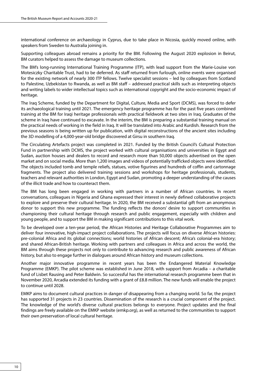international conference on archaeology in Cyprus, due to take place in Nicosia, quickly moved online, with speakers from Sweden to Australia joining in.

Supporting colleagues abroad remains a priority for the BM. Following the August 2020 explosion in Beirut, BM curators helped to assess the damage to museum collections.

The BM's long-running International Training Programme (ITP), with lead support from the Marie-Louise von Motesiczky Charitable Trust, had to be deferred. As staff returned from furlough, online events were organised for the existing network of nearly 300 ITP fellows. Twelve specialist sessions – led by colleagues from Scotland to Palestine, Uzbekistan to Rwanda, as well as BM staff – addressed practical skills such as interpreting objects and writing labels to wider intellectual topics such as international copyright and the socio-economic impact of heritage.

The Iraq Scheme, funded by the Department for Digital, Culture, Media and Sport (DCMS), was forced to defer its archaeological training until 2021. The emergency heritage programme has for the past five years combined training at the BM for Iraqi heritage professionals with practical fieldwork at two sites in Iraq. Graduates of the scheme in Iraq have continued to excavate. In the interim, the BM is preparing a substantial training manual on the practical needs of working in the field in Iraq. It will be translated into Arabic and Kurdish. Research from the previous seasons is being written up for publication, with digital reconstructions of the ancient sites including the 3D modelling of a 4,000-year-old bridge discovered at Girsu in southern Iraq.

The Circulating Artefacts project was completed in 2021. Funded by the British Council's Cultural Protection Fund in partnership with DCMS, the project worked with cultural organisations and universities in Egypt and Sudan, auction houses and dealers to record and research more than 50,000 objects advertised on the open market and on social media. More than 1,200 images and videos of potentially trafficked objects were identified. The objects included tomb and temple reliefs, statues, votive figurines and hundreds of coffin and cartonnage fragments. The project also delivered training sessions and workshops for heritage professionals, students, teachers and relevant authorities in London, Egypt and Sudan, promoting a deeper understanding of the causes of the illicit trade and how to counteract them.

The BM has long been engaged in working with partners in a number of African countries. In recent conversations, colleagues in Nigeria and Ghana expressed their interest in newly defined collaborative projects to explore and preserve their cultural heritage. In 2020, the BM received a substantial gift from an anonymous donor to support this new programme. The funding reflects the donors' desire to support communities in championing their cultural heritage through research and public engagement, especially with children and young people, and to support the BM in making significant contributions to this vital work.

To be developed over a ten-year period, the African Histories and Heritage Collaborative Programmes aim to deliver four innovative, high-impact project collaborations. The projects will focus on diverse African histories: pre-colonial Africa and its global connections; world histories of African descent; Africa's colonial-era history; and shared African-British heritage. Working with partners and colleagues in Africa and across the world, the BM aims through these projects not only to contribute to advancing research and public awareness of African history, but also to engage further in dialogues around African history and museum collections.

Another major innovative programme in recent years has been the Endangered Material Knowledge Programme (EMKP). The pilot scheme was established in June 2018, with support from Arcadia – a charitable fund of Lisbet Rausing and Peter Baldwin. So successful has the international research programme been that in November 2020, Arcadia extended its funding with a grant of £8.8 million. The new funds will enable the project to continue until 2028.

EMKP aims to document cultural practices in danger of disappearing from a changing world. So far, the project has supported 31 projects in 23 countries. Dissemination of the research is a crucial component of the project. The knowledge of the world's diverse cultural practices belongs to everyone. Project updates and the final findings are freely available on the EMKP website (emkp.org), as well as returned to the communities to support their own preservation of local cultural heritage.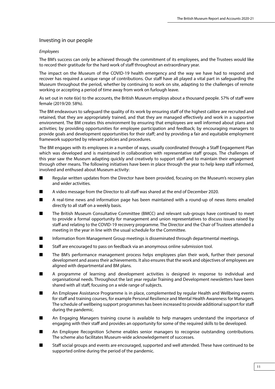#### <span id="page-15-0"></span>Investing in our people

#### *Employees*

The BM's success can only be achieved through the commitment of its employees, and the Trustees would like to record their gratitude for the hard work of staff throughout an extraordinary year.

The impact on the Museum of the COVID-19 health emergency and the way we have had to respond and recover has required a unique range of contributions. Our staff have all played a vital part in safeguarding the Museum throughout the period, whether by continuing to work on site, adapting to the challenges of remote working or accepting a period of time away from work on furlough leave.

As set out in note 6(e) to the accounts, the British Museum employs about a thousand people. 57% of staff were female (2019/20: 58%).

The BM endeavours to safeguard the quality of its work by ensuring staff of the highest calibre are recruited and retained, that they are appropriately trained, and that they are managed effectively and work in a supportive environment. The BM creates this environment by ensuring that employees are well informed about plans and activities; by providing opportunities for employee participation and feedback; by encouraging managers to provide goals and development opportunities for their staff; and by providing a fair and equitable employment framework supported by relevant policies and procedures.

The BM engages with its employees in a number of ways, usually coordinated through a Staff Engagement Plan which was developed and is maintained in collaboration with representative staff groups. The challenges of this year saw the Museum adapting quickly and creatively to support staff and to maintain their engagement through other means. The following initiatives have been in place through the year to help keep staff informed, involved and enthused about Museum activity:

- Regular written updates from the Director have been provided, focusing on the Museum's recovery plan and wider activities.
- A video message from the Director to all staff was shared at the end of December 2020.
- A real-time news and information page has been maintained with a round-up of news items emailed directly to all staff on a weekly basis.
- The British Museum Consultative Committee (BMCC) and relevant sub-groups have continued to meet to provide a formal opportunity for management and union representatives to discuss issues raised by staff and relating to the COVID-19 recovery programme. The Director and the Chair of Trustees attended a meeting in the year in line with the usual schedule for the Committee.
- Information from Management Group meetings is disseminated through departmental meetings.
- Staff are encouraged to pass on feedback via an anonymous online submission tool.
- The BM's performance management process helps employees plan their work, further their personal development and assess their achievements. It also ensures that the work and objectives of employees are aligned with departmental and BM plans.
- A programme of learning and development activities is designed in response to individual and organisational needs. Throughout the last year regular Training and Development newsletters have been shared with all staff, focusing on a wide range of subjects.
- An Employee Assistance Programme is in place, complemented by regular Health and Wellbeing events for staff and training courses, for example Personal Resilience and Mental Health Awareness for Managers. The schedule of wellbeing support programmes has been increased to provide additional support for staff during the pandemic.
- An Engaging Managers training course is available to help managers understand the importance of engaging with their staff and provides an opportunity for some of the required skills to be developed.
- An Employee Recognition Scheme enables senior managers to recognise outstanding contributions. The scheme also facilitates Museum-wide acknowledgement of successes.
- Staff social groups and events are encouraged, supported and well attended. These have continued to be supported online during the period of the pandemic.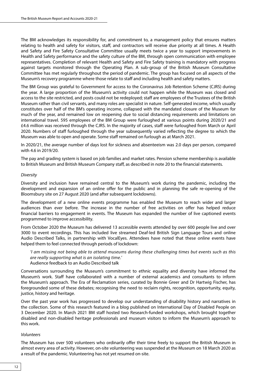The BM acknowledges its responsibility for, and commitment to, a management policy that ensures matters relating to health and safety for visitors, staff, and contractors will receive due priority at all times. A Health and Safety and Fire Safety Consultative Committee usually meets twice a year to support improvements in Health and Safety performance and the safety culture of the BM, through open communication with employee representatives. Completion of relevant Health and Safety and Fire Safety training is mandatory with progress against targets monitored through the Operating Plan. A sub-group of the British Museum Consultative Committee has met regularly throughout the period of pandemic. The group has focused on all aspects of the Museum's recovery programme where those relate to staff and including health and safety matters.

The BM Group was grateful to Government for access to the Coronavirus Job Retention Scheme (CJRS) during the year. A large proportion of the Museum's activity could not happen while the Museum was closed and access to the site restricted, and posts could not be redeployed; staff are employees of the Trustees of the British Museum rather than civil servants, and many roles are specialist in nature. Self-generated income, which usually constitutes over half of the BM's operating income, collapsed with the mandated closure of the Museum for much of the year, and remained low on reopening due to social distancing requirements and limitations on international travel. 595 employees of the BM Group were furloughed at various points during 2020/21 and £4.6 million was received through the CJRS. In the majority of cases, staff were furloughed from March or April 2020. Numbers of staff furloughed through the year subsequently varied reflecting the degree to which the Museum was able to open and operate. Some staff remained on furlough as at March 2021.

In 2020/21, the average number of days lost for sickness and absenteeism was 2.0 days per person, compared with 4.6 in 2019/20.

The pay and grading system is based on job families and market rates. Pension scheme membership is available to British Museum and British Museum Company staff, as described in note 20 to the financial statements.

#### *Diversity*

Diversity and inclusion have remained central to the Museum's work during the pandemic, including the development and expansion of an online offer for the public and in planning the safe re-opening of the Bloomsbury site on 27 August 2020 (and after subsequent lockdowns).

The development of a new online events programme has enabled the Museum to reach wider and larger audiences than ever before. The increase in the number of free activities on offer has helped reduce financial barriers to engagement in events. The Museum has expanded the number of live captioned events programmed to improve accessibility.

From October 2020 the Museum has delivered 13 accessible events attended by over 600 people live and over 3000 to event recordings. This has included live streamed Deaf-led British Sign Language Tours and online Audio Described Talks, in partnership with VocalEyes. Attendees have noted that these online events have helped them to feel connected through periods of lockdown:

*'I am missing not being able to attend museums during these challenging times but events such as this are really supporting what is an isolating time.'* Audience feedback to an Audio Described talk

Conversations surrounding the Museum's commitment to ethnic equality and diversity have informed the Museum's work. Staff have collaborated with a number of external academics and consultants to inform the Museum's approach. The Era of Reclamation series, curated by Bonnie Greer and Dr Hartwig Fischer, has foregrounded some of these debates; recognising the need to reclaim rights, recognition, opportunity, equity, justice, history and heritage.

Over the past year work has progressed to develop our understanding of disability history and narratives in the collection. Some of this research featured in a blog published on International Day of Disabled People on 3 December 2020. In March 2021 BM staff hosted two Research-funded workshops, which brought together disabled and non-disabled heritage professionals and museum visitors to inform the Museum's approach to this work.

#### *Volunteers*

The Museum has over 500 volunteers who ordinarily offer their time freely to support the British Museum in almost every area of activity. However, on-site volunteering was suspended at the Museum on 18 March 2020 as a result of the pandemic. Volunteering has not yet resumed on-site.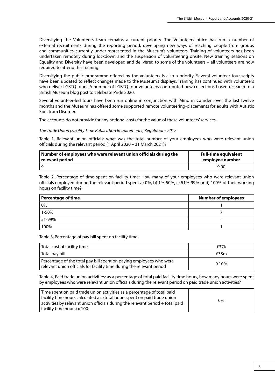Diversifying the Volunteers team remains a current priority. The Volunteers office has run a number of external recruitments during the reporting period, developing new ways of reaching people from groups and communities currently under-represented in the Museum's volunteers. Training of volunteers has been undertaken remotely during lockdown and the suspension of volunteering onsite. New training sessions on Equality and Diversity have been developed and delivered to some of the volunteers – all volunteers are now required to attend this training.

Diversifying the public programme offered by the volunteers is also a priority. Several volunteer tour scripts have been updated to reflect changes made to the Museum's displays. Training has continued with volunteers who deliver LGBTQ tours. A number of LGBTQ tour volunteers contributed new collections-based research to a British Museum blog post to celebrate Pride 2020.

Several volunteer-led tours have been run online in conjunction with Mind in Camden over the last twelve months and the Museum has offered some supported remote volunteering-placements for adults with Autistic Spectrum Disorder.

The accounts do not provide for any notional costs for the value of these volunteers' services.

#### *The Trade Union (Facility Time Publication Requirements) Regulations 2017*

Table 1, Relevant union officials: what was the total number of your employees who were relevant union officials during the relevant period (1 April 2020 – 31 March 2021)?

| Number of employees who were relevant union officials during the | <b>Full-time equivalent</b> |
|------------------------------------------------------------------|-----------------------------|
| relevant period                                                  | employee number             |
|                                                                  | 9.00                        |

Table 2, Percentage of time spent on facility time: How many of your employees who were relevant union officials employed during the relevant period spent a) 0%, b) 1%-50%, c) 51%-99% or d) 100% of their working hours on facility time?

| <b>Percentage of time</b> | <b>Number of employees</b> |
|---------------------------|----------------------------|
| 0%                        |                            |
| 1-50%                     |                            |
| 51-99%                    | -                          |
| 100%                      |                            |

Table 3, Percentage of pay bill spent on facility time

| Total cost of facility time                                                                                                                  | £37k     |
|----------------------------------------------------------------------------------------------------------------------------------------------|----------|
| Total pay bill                                                                                                                               | £38m     |
| Percentage of the total pay bill spent on paying employees who were<br>relevant union officials for facility time during the relevant period | $0.10\%$ |

Table 4, Paid trade union activities: as a percentage of total paid facility time hours, how many hours were spent by employees who were relevant union officials during the relevant period on paid trade union activities?

| Time spent on paid trade union activities as a percentage of total paid                     |    |
|---------------------------------------------------------------------------------------------|----|
| facility time hours calculated as: (total hours spent on paid trade union                   | 0% |
| $\vert$ activities by relevant union officials during the relevant period $\div$ total paid |    |
| facility time hours) x 100                                                                  |    |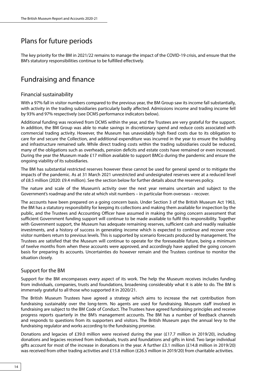### <span id="page-18-0"></span>Plans for future periods

The key priority for the BM in 2021/22 remains to manage the impact of the COVID-19 crisis, and ensure that the BM's statutory responsibilities continue to be fulfilled effectively.

### Fundraising and finance

#### Financial sustainability

With a 97% fall in visitor numbers compared to the previous year, the BM Group saw its income fall substantially, with activity in the trading subsidiaries particularly badly affected. Admissions income and trading income fell by 93% and 97% respectively (see DCMS performance indicators below).

Additional funding was received from DCMS within the year, and the Trustees are very grateful for the support. In addition, the BM Group was able to make savings in discretionary spend and reduce costs associated with commercial trading activity. However, the Museum has unavoidably high fixed costs due to its obligation to care for and secure the Collection, and additional expenditure was incurred in the year to ensure the building and infrastructure remained safe. While direct trading costs within the trading subsidiaries could be reduced, many of the obligations such as overheads, pension deficits and estate costs have remained or even increased. During the year the Museum made £17 million available to support BMCo during the pandemic and ensure the ongoing viability of its subsidiaries.

The BM has substantial restricted reserves however these cannot be used for general spend or to mitigate the impacts of the pandemic. As at 31 March 2021 unrestricted and undesignated reserves were at a reduced level of £8.5 million (2020: £9.4 million). See the section below for further details about the reserves policy.

The nature and scale of the Museum's activity over the next year remains uncertain and subject to the Government's roadmap and the rate at which visit numbers – in particular from overseas – recover.

The accounts have been prepared on a going concern basis. Under Section 3 of the British Museum Act 1963, the BM has a statutory responsibility for keeping its collections and making them available for inspection by the public, and the Trustees and Accounting Officer have assumed in making the going concern assessment that sufficient Government funding support will continue to be made available to fulfil this responsibility. Together with Government support, the Museum has adequate remaining reserves, sufficient cash and readily realisable investments, and a history of success in generating income which is expected to continue and recover once visitor numbers return to previous levels. This is supported by scenario forecasts produced by management. The Trustees are satisfied that the Museum will continue to operate for the foreseeable future, being a minimum of twelve months from when these accounts were approved, and accordingly have applied the going concern basis for preparing its accounts. Uncertainties do however remain and the Trustees continue to monitor the situation closely.

#### Support for the BM

Support for the BM encompasses every aspect of its work. The help the Museum receives includes funding from individuals, companies, trusts and foundations, broadening considerably what it is able to do. The BM is immensely grateful to all those who supported it in 2020/21.

The British Museum Trustees have agreed a strategy which aims to increase the net contribution from fundraising sustainably over the long-term. No agents are used for fundraising. Museum staff involved in fundraising are subject to the BM Code of Conduct. The Trustees have agreed fundraising principles and receive progress reports quarterly in the BM's management accounts. The BM has a number of feedback channels and responds to questions from its supporters and visitors. The British Museum pays the annual levy to the fundraising regulator and works according to the fundraising promise.

Donations and legacies of £39.0 million were received during the year (£17.7 million in 2019/20), including donations and legacies received from individuals, trusts and foundations and gifts in kind. Two large individual gifts account for most of the increase in donations in the year. A further £3.1 million (£14.8 million in 2019/20) was received from other trading activities and £15.8 million (£26.5 million in 2019/20) from charitable activities.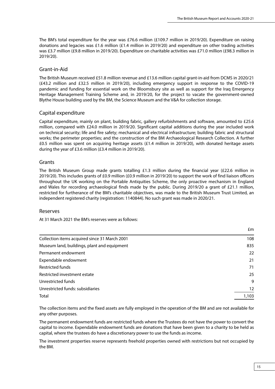<span id="page-19-0"></span>The BM's total expenditure for the year was £76.6 million (£109.7 million in 2019/20). Expenditure on raising donations and legacies was £1.6 million (£1.4 million in 2019/20) and expenditure on other trading activities was £3.7 million (£9.8 million in 2019/20). Expenditure on charitable activities was £71.0 million (£98.3 million in 2019/20).

#### Grant-in-Aid

The British Museum received £51.8 million revenue and £13.6 million capital grant-in-aid from DCMS in 2020/21 (£43.2 million and £32.5 million in 2019/20), including emergency support in response to the COVID-19 pandemic and funding for essential work on the Bloomsbury site as well as support for the Iraq Emergency Heritage Management Training Scheme and, in 2019/20, for the project to vacate the government-owned Blythe House building used by the BM, the Science Museum and the V&A for collection storage.

#### Capital expenditure

Capital expenditure, mainly on plant, building fabric, gallery refurbishments and software, amounted to £25.6 million, compared with £24.0 million in 2019/20. Significant capital additions during the year included work on technical security; life and fire safety; mechanical and electrical infrastructure; building fabric and structural works; the perimeter properties; and the construction of the BM Archaeological Research Collection. A further £0.5 million was spent on acquiring heritage assets (£1.4 million in 2019/20), with donated heritage assets during the year of £3.6 million (£3.4 million in 2019/20).

#### Grants

The British Museum Group made grants totalling £1.3 million during the financial year (£22.6 million in 2019/20). This includes grants of £0.9 million (£0.9 million in 2019/20) to support the work of find liaison officers throughout the UK working on the Portable Antiquities Scheme, the only proactive mechanism in England and Wales for recording archaeological finds made by the public. During 2019/20 a grant of £21.1 million, restricted for furtherance of the BM's charitable objectives, was made to the British Museum Trust Limited, an independent registered charity (registration: 1140844). No such grant was made in 2020/21.

#### Reserves

At 31 March 2021 the BM's reserves were as follows:

|                                               | £m    |
|-----------------------------------------------|-------|
| Collection items acquired since 31 March 2001 | 108   |
| Museum land, buildings, plant and equipment   | 835   |
| Permanent endowment                           | 22    |
| Expendable endowment                          | 21    |
| <b>Restricted funds</b>                       | 71    |
| Restricted investment estate                  | 25    |
| Unrestricted funds                            | 9     |
| Unrestricted funds: subsidiaries              | 12    |
| Total                                         | 1,103 |

The collection items and the fixed assets are fully employed in the operation of the BM and are not available for any other purposes.

The permanent endowment funds are restricted funds where the Trustees do not have the power to convert the capital to income. Expendable endowment funds are donations that have been given to a charity to be held as capital, where the trustees do have a discretionary power to use the funds as income.

The investment properties reserve represents freehold properties owned with restrictions but not occupied by the BM.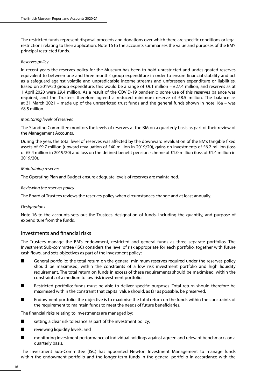<span id="page-20-0"></span>The restricted funds represent disposal proceeds and donations over which there are specific conditions or legal restrictions relating to their application. Note 16 to the accounts summarises the value and purposes of the BM's principal restricted funds.

#### *Reserves policy*

In recent years the reserves policy for the Museum has been to hold unrestricted and undesignated reserves equivalent to between one and three months' group expenditure in order to ensure financial stability and act as a safeguard against volatile and unpredictable income streams and unforeseen expenditure or liabilities. Based on 2019/20 group expenditure, this would be a range of £9.1 million – £27.4 million, and reserves as at 1 April 2020 were £9.4 million. As a result of the COVID-19 pandemic, some use of this reserves balance was required, and the Trustees therefore agreed a reduced minimum reserve of £8.5 million. The balance as at 31 March 2021 – made up of the unrestricted trust funds and the general funds shown in note 16a – was £8.5 million.

#### *Monitoring levels of reserves*

The Standing Committee monitors the levels of reserves at the BM on a quarterly basis as part of their review of the Management Accounts.

During the year, the total level of reserves was affected by the downward revaluation of the BM's tangible fixed assets of £9.7 million (upward revaluation of £40 million in 2019/20), gains on investments of £6.2 million (loss of £5.4 million in 2019/20) and loss on the defined benefit pension scheme of £1.0 million (loss of £1.4 million in 2019/20).

#### *Maintaining reserves*

The Operating Plan and Budget ensure adequate levels of reserves are maintained.

#### *Reviewing the reserves policy*

The Board of Trustees reviews the reserves policy when circumstances change and at least annually.

#### *Designations*

Note 16 to the accounts sets out the Trustees' designation of funds, including the quantity, and purpose of expenditure from the funds.

#### Investments and financial risks

The Trustees manage the BM's endowment, restricted and general funds as three separate portfolios. The Investment Sub-committee (ISC) considers the level of risk appropriate for each portfolio, together with future cash flows, and sets objectives as part of the investment policy:

- General portfolio: the total return on the general minimum reserves required under the reserves policy should be maximised, within the constraints of a low risk investment portfolio and high liquidity requirement. The total return on funds in excess of these requirements should be maximised, within the constraints of a medium to low risk investment portfolio.
- Restricted portfolio: funds must be able to deliver specific purposes. Total return should therefore be maximised within the constraint that capital value should, as far as possible, be preserved.
- Endowment portfolio: the objective is to maximise the total return on the funds within the constraints of the requirement to maintain funds to meet the needs of future beneficiaries.

The financial risks relating to investments are managed by:

- setting a clear risk tolerance as part of the investment policy;
- reviewing liquidity levels; and
- monitoring investment performance of individual holdings against agreed and relevant benchmarks on a quarterly basis.

The Investment Sub-Committee (ISC) has appointed Newton Investment Management to manage funds within the endowment portfolio and the longer-term funds in the general portfolio in accordance with the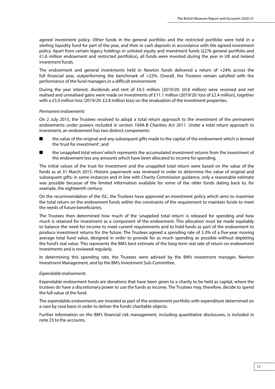agreed investment policy. Other funds in the general portfolio and the restricted portfolio were held in a sterling liquidity fund for part of the year, and then in cash deposits in accordance with the agreed investment policy. Apart from certain legacy holdings in unlisted equity and investment funds (£27k general portfolio and £1.6 million endowment and restricted portfolios), all funds were invested during the year in UK and Ireland investment funds.

The endowment and general investments held in Newton funds delivered a return of +24% across the full financial year, outperforming the benchmark of +22%. Overall, the Trustees remain satisfied with the performance of the fund managers in a difficult environment.

During the year interest, dividends and rent of £0.5 million (2019/20: £0.8 million) were received and net realised and unrealised gains were made on investments of £11.1 million (2019/20: loss of £2.4 million), together with a £5.0 million loss (2019/20: £2.8 million loss) on the revaluation of the investment properties.

#### *Permanent endowments*

On 2 July 2015, the Trustees resolved to adopt a total return approach to the investment of the permanent endowments under powers included in section 104A-B Charities Act 2011. Under a total return approach to investment, an endowment has two distinct components:

- the value of the original and any subsequent gifts made to the capital of the endowment which is termed the 'trust for investment'; and
- the 'unapplied total return' which represents the accumulated investment returns from the investment of the endowment less any amounts which have been allocated to income for spending.

The initial values of the trust for investment and the unapplied total return were based on the value of the funds as at 31 March 2015. Historic paperwork was reviewed in order to determine the value of original and subsequent gifts; in some instances and in line with Charity Commission guidance, only a reasonable estimate was possible because of the limited information available for some of the older funds dating back to, for example, the eighteenth century.

On the recommendation of the ISC, the Trustees have approved an investment policy which aims to maximise the total return on the endowment funds within the constraints of the requirement to maintain funds to meet the needs of future beneficiaries.

The Trustees then determined how much of the 'unapplied total return' is released for spending and how much is retained for investment as a component of the endowment. This allocation must be made equitably to balance the need for income to meet current requirements and to hold funds as part of the endowment to produce investment returns for the future. The Trustees agreed a spending rate of 3.3% of a five-year moving average total fund value, designed in order to provide for as much spending as possible without depleting the fund's real value. This represents the BM's best estimate of the long-term real rate of return on endowment investments and is reviewed regularly.

In determining this spending rate, the Trustees were advised by the BM's investment manager, Newton Investment Management, and by the BM's Investment Sub-Committee.

#### *Expendable endowments*

Expendable endowment funds are donations that have been given to a charity to be held as capital, where the trustees do have a discretionary power to use the funds as income. The Trustees may, therefore, decide to spend the full value of the fund.

The expendable endowments are invested as part of the endowment portfolio with expenditure determined on a case by case basis in order to deliver the funds' charitable objects.

Further information on the BM's financial risk management, including quantitative disclosures, is included in note 23 to the accounts.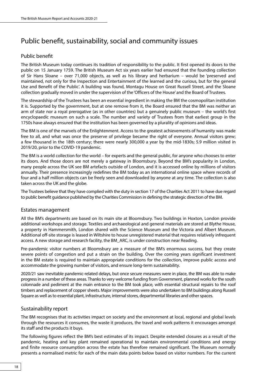### <span id="page-22-0"></span>Public benefit, sustainability, social and community issues

#### Public benefit

The British Museum today continues its tradition of responsibility to the public. It first opened its doors to the public on 15 January 1759. The British Museum Act six years earlier had ensured that the founding collection of Sir Hans Sloane – over 71,000 objects, as well as his library and herbarium – would be 'preserved and maintained, not only for the Inspection and Entertainment of the learned and the curious, but for the general Use and Benefit of the Public'. A building was found, Montagu House on Great Russell Street, and the Sloane collection gradually moved in under the supervision of the 'Officers of the House' and the Board of Trustees.

The stewardship of the Trustees has been an essential ingredient in making the BM the cosmopolitan institution it is. Supported by the government, but at one remove from it, the Board ensured that the BM was neither an arm of state nor a royal prerogative (as in other countries) but a genuinely public museum – the world's first encyclopaedic museum on such a scale. The number and variety of Trustees from that earliest group in the 1750s have always ensured that the institution has been governed by a plurality of opinions and ideas.

The BM is one of the marvels of the Enlightenment. Access to the greatest achievements of humanity was made free to all, and what was once the preserve of privilege became the right of everyone. Annual visitors grew; a few thousand in the 18th century; there were nearly 300,000 a year by the mid-1830s; 5.9 million visited in 2019/20, prior to the COVID-19 pandemic.

The BM is a world collection for the world – for experts and the general public, for anyone who chooses to enter its doors. And those doors are not merely a gateway in Bloomsbury. Beyond the BM's popularity in London, many people across the UK see BM artefacts outside of London, and it is accessed online by millions of visitors annually. Their presence increasingly redefines the BM today as an international online space where records of four and a half million objects can be freely seen and downloaded by anyone at any time. The collection is also taken across the UK and the globe.

The Trustees believe that they have complied with the duty in section 17 of the Charities Act 2011 to have due regard to public benefit guidance published by the Charities Commission in defining the strategic direction of the BM.

#### Estates management

All the BM's departments are based on its main site at Bloomsbury. Two buildings in Hoxton, London provide additional workshops and storage. Textiles and archaeological and general materials are stored at Blythe House, a property in Hammersmith, London shared with the Science Museum and the Victoria and Albert Museum. Additional off-site storage is leased in Wiltshire to house unregistered material that requires relatively infrequent access. A new storage and research facility, the BM\_ARC, is under construction near Reading.

Pre-pandemic visitor numbers at Bloomsbury are a measure of the BM's enormous success, but they create severe points of congestion and put a strain on the building. Over the coming years significant investment in the BM estate is required to maintain appropriate conditions for the collection, improve public access and accommodate the growing number of visitors, and ensure long-term sustainability.

2020/21 saw inevitable pandemic-related delays, but once secure measures were in place, the BM was able to make progress in a number of these areas. Thanks to very welcome funding from Government, planned works for the south colonnade and pediment at the main entrance to the BM took place, with essential structural repairs to the roof timbers and replacement of copper sheets. Major improvements were also undertaken to BM buildings along Russell Square as well as to essential plant, infrastructure, internal stores, departmental libraries and other spaces.

#### Sustainability report

The BM recognises that its activities impact on society and the environment at local, regional and global levels through the resources it consumes, the waste it produces, the travel and work patterns it encourages amongst its staff and the products it buys.

The following figures reflect the BM's best estimates of its impact. Despite extended closures as a result of the pandemic, heating and key plant remained operational to maintain environmental conditions and energy and finite resource consumption across the estate has therefore remained significant. The Museum normally presents a normalised metric for each of the main data points below based on visitor numbers. For the current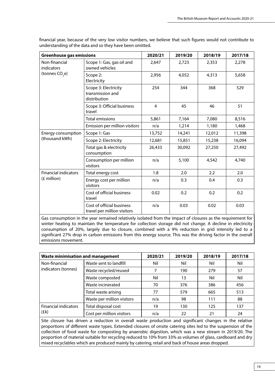| <b>Greenhouse gas emissions</b> |                                                          | 2020/21 | 2019/20 | 2018/19 | 2017/18 |
|---------------------------------|----------------------------------------------------------|---------|---------|---------|---------|
| Non-financial<br>indicators     | Scope 1: Gas, gas oil and<br>owned vehicles              | 2,647   | 2,723   | 2,353   | 2,278   |
| (tonnes CO <sub>2</sub> e)      | Scope 2:<br>Electricity                                  | 2,956   | 4,052   | 4,313   | 5,658   |
|                                 | Scope 3: Electricity<br>transmission and<br>distribution | 254     | 344     | 368     | 529     |
|                                 | Scope 3: Official business<br>travel                     | 4       | 45      | 46      | 51      |
|                                 | <b>Total emissions</b>                                   | 5,861   | 7,164   | 7,080   | 8,516   |
|                                 | Emission per million visitors                            | n/a     | 1,214   | 1,180   | 1,468   |
| Energy consumption              | Scope 1: Gas                                             | 13,752  | 14,241  | 12,012  | 11,398  |
| (thousand kWh)                  | Scope 2: Electricity                                     | 12,681  | 15,851  | 15,238  | 16,094  |
|                                 | Total gas & electricity<br>consumption                   | 26,433  | 30,092  | 27,250  | 27,492  |
|                                 | Consumption per million<br>visitors                      | n/a     | 5,100   | 4,542   | 4,740   |
| <b>Financial indicators</b>     | Total energy cost                                        | 1.8     | 2.0     | 2.2     | 2.0     |
| (£ million)                     | Energy cost per million<br>visitors                      | n/a     | 0.3     | 0.4     | 0.3     |
|                                 | Cost of official business<br>travel                      | 0.02    | 0.2     | 0.2     | 0.2     |
|                                 | Cost of official business<br>travel per million visitors | n/a     | 0.03    | 0.02    | 0.03    |

financial year, because of the very low visitor numbers, we believe that such figures would not contribute to understanding of the data and so they have been omitted.

Gas consumption in the year remained relatively isolated from the impact of closures as the requirement for winter heating to maintain the temperature for collection storage did not change. A decline in electricity consumption of 20%, largely due to closure, combined with a 9% reduction in grid intensity led to a significant 27% drop in carbon emissions from this energy source. This was the driving factor in the overall emissions movement.

| <b>Waste minimisation and management</b> |                            | 2020/21 | 2019/20 | 2018/19 | 2017/18 |
|------------------------------------------|----------------------------|---------|---------|---------|---------|
| Non-financial                            | Waste sent to landfill     | Nil     | Nil     | Nil     | Nil     |
| indicators (tonnes)                      | Waste recycled/reused      |         | 190     | 279     | 57      |
|                                          | Waste composted            | Nil     | 13      | Nil     | Nil     |
|                                          | Waste incinerated          | 70      | 376     | 386     | 456     |
|                                          | Total waste arising        | 77      | 579     | 665     | 513     |
|                                          | Waste per million visitors | n/a     | 98      | 111     | 88      |
| <b>Financial indicators</b><br>(Ek)      | Total disposal cost        | 19      | 130     | 125     | 137     |
|                                          | Cost per million visitors  | n/a     | 22      | 21      | 24      |

Site closure has driven a reduction in overall waste production and significant changes in the relative proportions of different waste types. Extended closures of onsite catering sites led to the suspension of the collection of food waste for composting by anaerobic digestion, which was a new stream in 2019/20. The proportion of material suitable for recycling reduced to 10% from 33% as volumes of glass, cardboard and dry mixed recyclables which are produced mainly by catering, retail and back of house areas dropped.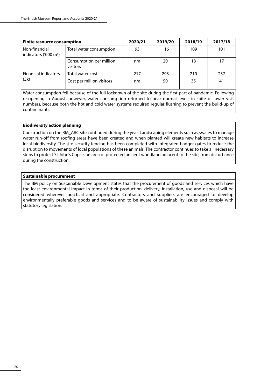| <b>Finite resource consumption</b>        |                                     | 2020/21 | 2019/20 | 2018/19 | 2017/18 |
|-------------------------------------------|-------------------------------------|---------|---------|---------|---------|
| Non-financial<br>indicators ('000 $m^3$ ) | Total water consumption             | 93      | 116     | 109     | 101     |
|                                           | Consumption per million<br>visitors | n/a     | 20      | 18      | 17      |
| <b>Financial indicators</b>               | Total water cost                    | 217     | 293     | 210     | 237     |
| (fk)                                      | Cost per million visitors           | n/a     | 50      | 35      | 41      |

Water consumption fell because of the full lockdown of the site during the first part of pandemic. Following re-opening in August, however, water consumption returned to near normal levels in spite of lower visit numbers, because both the hot and cold water systems required regular flushing to prevent the build-up of contaminants.

#### **Biodiversity action planning**

Construction on the BM\_ARC site continued during the year. Landscaping elements such as swales to manage water run-off from roofing areas have been created and when planted will create new habitats to increase local biodiversity. The site security fencing has been completed with integrated badger gates to reduce the disruption to movements of local populations of these animals. The contractor continues to take all necessary steps to protect St John's Copse, an area of protected ancient woodland adjacent to the site, from disturbance during the construction.

#### **Sustainable procurement**

The BM policy on Sustainable Development states that the procurement of goods and services which have the least environmental impact in terms of their production, delivery, installation, use and disposal will be considered wherever practical and appropriate. Contractors and suppliers are encouraged to develop environmentally preferable goods and services and to be aware of sustainability issues and comply with statutory legislation.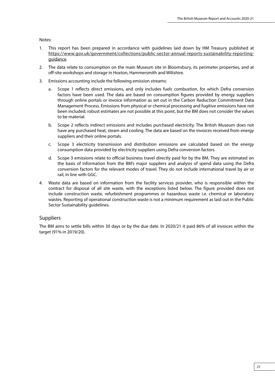<span id="page-25-0"></span>Notes:

- 1. This report has been prepared in accordance with guidelines laid down by HM Treasury published at https://www.gov.uk/government/collections/public-sector-annual-reports-sustainability-reportingguidance.
- 2. The data relate to consumption on the main Museum site in Bloomsbury, its perimeter properties, and at off-site workshops and storage in Hoxton, Hammersmith and Wiltshire.
- 3. Emissions accounting include the following emission streams:
	- a. Scope 1 reflects direct emissions, and only includes fuels combustion, for which Defra conversion factors have been used. The data are based on consumption figures provided by energy suppliers through online portals or invoice information as set out in the Carbon Reduction Commitment Data Management Process. Emissions from physical or chemical processing and fugitive emissions have not been included; robust estimates are not possible at this point, but the BM does not consider the values to be material.
	- b. Scope 2 reflects indirect emissions and includes purchased electricity. The British Museum does not have any purchased heat, steam and cooling. The data are based on the invoices received from energy suppliers and their online portals.
	- c. Scope 3 electricity transmission and distribution emissions are calculated based on the energy consumption data provided by electricity suppliers using Defra conversion factors.
	- d. Scope 3 emissions relate to official business travel directly paid for by the BM. They are estimated on the basis of information from the BM's major suppliers and analysis of spend data using the Defra conversion factors for the relevant modes of travel. They do not include international travel by air or rail, in line with GGC.
- 4. Waste data are based on information from the facility services provider, who is responsible within the contract for disposal of all site waste, with the exceptions listed below. The figure provided does not include construction waste, refurbishment programmes or hazardous waste i.e. chemical or laboratory wastes. Reporting of operational construction waste is not a minimum requirement as laid out in the Public Sector Sustainability guidelines.

#### Suppliers

The BM aims to settle bills within 30 days or by the due date. In 2020/21 it paid 86% of all invoices within the target (91% in 2019/20).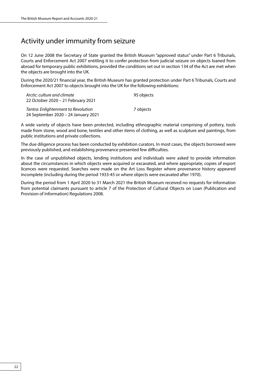### <span id="page-26-0"></span>Activity under immunity from seizure

On 12 June 2008 the Secretary of State granted the British Museum "approved status" under Part 6 Tribunals, Courts and Enforcement Act 2007 entitling it to confer protection from judicial seizure on objects loaned from abroad for temporary public exhibitions, provided the conditions set out in section 134 of the Act are met when the objects are brought into the UK.

During the 2020/21 financial year, the British Museum has granted protection under Part 6 Tribunals, Courts and Enforcement Act 2007 to objects brought into the UK for the following exhibitions:

| Arctic: culture and climate         | 95 objects |
|-------------------------------------|------------|
| 22 October 2020 - 21 February 2021  |            |
| Tantra: Enlightenment to Revolution | 7 obiects  |
| 24 September 2020 – 24 January 2021 |            |

A wide variety of objects have been protected, including ethnographic material comprising of pottery, tools made from stone, wood and bone, textiles and other items of clothing, as well as sculpture and paintings, from public institutions and private collections.

The due diligence process has been conducted by exhibition curators. In most cases, the objects borrowed were previously published, and establishing provenance presented few difficulties.

In the case of unpublished objects, lending institutions and individuals were asked to provide information about the circumstances in which objects were acquired or excavated, and where appropriate, copies of export licences were requested. Searches were made on the Art Loss Register where provenance history appeared incomplete (including during the period 1933-45 or where objects were excavated after 1970).

During the period from 1 April 2020 to 31 March 2021 the British Museum received no requests for information from potential claimants pursuant to article 7 of the Protection of Cultural Objects on Loan (Publication and Provision of Information) Regulations 2008.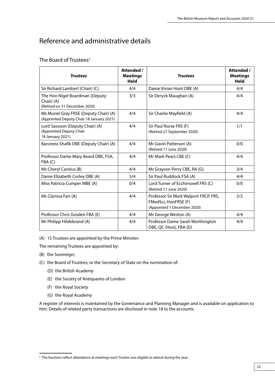### <span id="page-27-0"></span>Reference and administrative details

#### The Board of Trustees<sup>2</sup>

| <b>Trustees</b>                                                                    | Attended /<br><b>Meetings</b><br>Held | <b>Trustees</b>                                                                              | Attended /<br><b>Meetings</b><br>Held |
|------------------------------------------------------------------------------------|---------------------------------------|----------------------------------------------------------------------------------------------|---------------------------------------|
| Sir Richard Lambert (Chair) (C)                                                    | 4/4                                   | Dame Vivian Hunt DBE (A)                                                                     | 4/4                                   |
| The Hon Nigel Boardman (Deputy<br>Chair) (A)<br>(Retired on 31 December 2020)      | 3/3                                   | Sir Deryck Maughan (A)                                                                       | 4/4                                   |
| Ms Muriel Gray FRSE (Deputy Chair) (A)<br>(Appointed Deputy Chair 18 January 2021) | 4/4                                   | Sir Charlie Mayfield (A)                                                                     | 4/4                                   |
| Lord Sassoon (Deputy Chair) (A)<br>(Appointed Deputy Chair<br>18 January 2021)     | 4/4                                   | Sir Paul Nurse FRS (F)<br>(Retired 27 September 2020)                                        | 1/1                                   |
| Baroness Shafik DBE (Deputy Chair) (A)                                             | 4/4                                   | Mr Gavin Patterson (A)<br>(Retired 11 June 2020)                                             | 0/0                                   |
| Professor Dame Mary Beard DBE, FSA,<br>FBA(C)                                      | 4/4                                   | Mr Mark Pears CBE (C)                                                                        | 4/4                                   |
| Ms Cheryl Carolus (B)                                                              | 4/4                                   | Mr Grayson Perry CBE, RA (G)                                                                 | 3/4                                   |
| Dame Elizabeth Corley DBE (A)                                                      | 3/4                                   | Sir Paul Ruddock FSA (A)                                                                     | 4/4                                   |
| Miss Patricia Cumper MBE (A)                                                       | 0/4                                   | Lord Turner of Ecchinswell FRS (C)<br>(Retired 11 June 2020)                                 | 0/0                                   |
| Ms Clarissa Farr (A)                                                               | 4/4                                   | Professor Sir Mark Walport FRCP, FRS,<br>FMedSci, HonFRSE (F)<br>(Appointed 1 December 2020) | 2/2                                   |
| Professor Chris Gosden FBA (E)                                                     | 4/4                                   | Mr George Weston (A)                                                                         | 4/4                                   |
| Mr Philipp Hildebrand (A)                                                          | 4/4                                   | Professor Dame Sarah Worthington<br>DBE, QC (Hon), FBA (D)                                   | 4/4                                   |

(A) 15 Trustees are appointed by the Prime Minister.

The remaining Trustees are appointed by:

- (B) the Sovereign;
- (C) the Board of Trustees; or the Secretary of State on the nomination of:
	- (D) the British Academy
	- (E) the Society of Antiquaries of London
	- (F) the Royal Society
	- (G) the Royal Academy

A register of interests is maintained by the Governance and Planning Manager and is available on application to him. Details of related party transactions are disclosed in note 18 to the accounts.

<sup>&</sup>lt;sup>2</sup> The fractions reflect attendance at meetings each Trustee was eligible to attend during the year.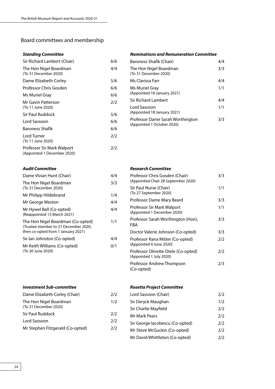### <span id="page-28-0"></span>Board committees and membership

#### *Standing Committee*

| Sir Richard Lambert (Chair)                               | 6/6 |
|-----------------------------------------------------------|-----|
| The Hon Nigel Boardman<br>(To 31 December 2020)           | 4/4 |
| Dame Elizabeth Corley                                     | 5/6 |
| Professor Chris Gosden                                    | 6/6 |
| Ms Muriel Gray                                            | 6/6 |
| Mr Gavin Patterson<br>(To 11 June 2020)                   | 2/2 |
| Sir Paul Ruddock                                          | 5/6 |
| Lord Sassoon                                              | 6/6 |
| Baroness Shafik                                           | 6/6 |
| Lord Turner<br>(To 11 June 2020)                          | 2/2 |
| Professor Sir Mark Walport<br>(Appointed 1 December 2020) | 2/2 |

#### *Nominations and Remuneration Committee*

| Baroness Shafik (Chair)                                        | 4/4 |
|----------------------------------------------------------------|-----|
| The Hon Nigel Boardman<br>(To 31 December 2020)                | 3/3 |
| Ms Clarissa Farr                                               | 4/4 |
| Ms Muriel Gray<br>(Appointed 18 January 2021)                  | 1/1 |
| Sir Richard Lambert                                            | 4/4 |
| Lord Sassoon<br>(Appointed 18 January 2021)                    | 1/1 |
| Professor Dame Sarah Worthington<br>(Appointed 1 October 2020) | 3/3 |
|                                                                |     |

#### *Audit Committee*

| Dame Vivian Hunt (Chair)                                                                                        | 4/4 |
|-----------------------------------------------------------------------------------------------------------------|-----|
| The Hon Nigel Boardman<br>(To 31 December 2020)                                                                 | 3/3 |
| Mr Philipp Hildebrand                                                                                           | 1/4 |
| Mr George Weston                                                                                                | 4/4 |
| Mr Hywel Ball (Co-opted)<br>(Reappointed 13 March 2021)                                                         | 4/4 |
| The Hon Nigel Boardman (Co-opted)<br>(Trustee member to 31 December 2020,<br>then co-opted from 1 January 2021) | 1/1 |
| Sir lan Johnston (Co-opted)                                                                                     | 4/4 |
| Mr Keith Williams (Co-opted)                                                                                    | 0/1 |

| Mr Keith Williams (Co-opted) |  |
|------------------------------|--|
| (To 30 June 2020)            |  |

*Investment Sub-committee*

# *Research Committee*

| Professor Chris Gosden (Chair)<br>(Appointed Chair 28 September 2020) | 3/3 |
|-----------------------------------------------------------------------|-----|
| Sir Paul Nurse (Chair)<br>(To 27 September 2020)                      | 1/1 |
| Professor Dame Mary Beard                                             | 3/3 |
| Professor Sir Mark Walport<br>(Appointed 1 December 2020)             | 1/1 |
| Professor Sarah Worthington (Hon),<br>FBA                             | 3/3 |
| Doctor Valerie Johnson (Co-opted)                                     | 3/3 |
| Professor Rana Mitter (Co-opted)<br>(Appointed 4 June 2020)           | 2/2 |
| Professor Olivette Otele (Co-opted)<br>(Appointed 1 July 2020)        | 2/2 |
| Professor Andrew Thompson<br>(Co-opted)                               | 2/3 |

#### *Rosetta Project Committee*

| Dame Elizabeth Corley (Chair)                   | 2/2 | Loi        |
|-------------------------------------------------|-----|------------|
| The Hon Nigel Boardman<br>(To 31 December 2020) | 1/2 | Sir<br>Sir |
| Sir Paul Ruddock                                | 2/2 | Mr         |
| Lord Sassoon                                    | 2/2 | Sir        |
| Mr Stephen Fitzgerald (Co-opted)                | 2/2 | Mr         |

| Lord Sassoon (Chair)            | 7/2 |
|---------------------------------|-----|
| Sir Deryck Maughan              | 1/2 |
| Sir Charlie Mayfield            | 2/2 |
| Mr Mark Pears                   | 2/2 |
| Sir George Iacobescu (Co-opted) | 2/2 |
| Mr Steve McGuckin (Co-opted)    | 2/2 |
| Mr David Whittleton (Co-opted)  | 2/2 |
|                                 |     |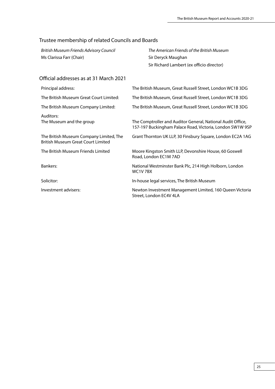### <span id="page-29-0"></span>Trustee membership of related Councils and Boards

Ms Clarissa Farr (Chair) Sir Deryck Maughan

*British Museum Friends Advisory Council The American Friends of the British Museum*  Sir Richard Lambert (ex officio director)

#### Official addresses as at 31 March 2021

| Principal address:                                                                   | The British Museum, Great Russell Street, London WC1B 3DG                                                                |
|--------------------------------------------------------------------------------------|--------------------------------------------------------------------------------------------------------------------------|
| The British Museum Great Court Limited:                                              | The British Museum, Great Russell Street, London WC1B 3DG                                                                |
| The British Museum Company Limited:                                                  | The British Museum, Great Russell Street, London WC1B 3DG                                                                |
| Auditors:<br>The Museum and the group                                                | The Comptroller and Auditor General, National Audit Office,<br>157-197 Buckingham Palace Road, Victoria, London SW1W 9SP |
| The British Museum Company Limited, The<br><b>British Museum Great Court Limited</b> | Grant Thornton UK LLP, 30 Finsbury Square, London EC2A 1AG                                                               |
| The British Museum Friends Limited                                                   | Moore Kingston Smith LLP, Devonshire House, 60 Goswell<br>Road, London EC1M 7AD                                          |
| Bankers:                                                                             | National Westminster Bank Plc, 214 High Holborn, London<br>WC1V7BX                                                       |
| Solicitor:                                                                           | In-house legal services, The British Museum                                                                              |
| Investment advisers:                                                                 | Newton Investment Management Limited, 160 Queen Victoria<br>Street, London EC4V 4LA                                      |
|                                                                                      |                                                                                                                          |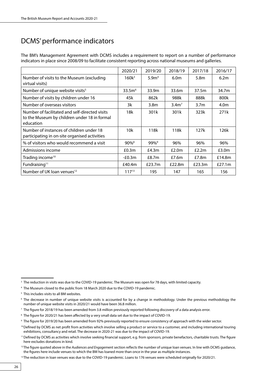### <span id="page-30-0"></span>DCMS' performance indicators

The BM's Management Agreement with DCMS includes a requirement to report on a number of performance indicators in place since 2008/09 to facilitate consistent reporting across national museums and galleries.

|                                                                                                             | 2020/21             | 2019/20             | 2018/19          | 2017/18          | 2016/17   |
|-------------------------------------------------------------------------------------------------------------|---------------------|---------------------|------------------|------------------|-----------|
| Number of visits to the Museum (excluding<br>virtual visits)                                                | $160k^3$            | 5.9 <sup>m</sup>    | 6.0 <sub>m</sub> | 5.8 <sub>m</sub> | 6.2m      |
| Number of unique website visits <sup>5</sup>                                                                | 33.5 <sup>6</sup>   | 33.9m               | 33.6m            | 37.5m            | 34.7m     |
| Number of visits by children under 16                                                                       | 45k                 | 862k                | 988k             | 888k             | 800k      |
| Number of overseas visitors                                                                                 | 3k                  | 3.8 <sub>m</sub>    | 3.4 <sup>7</sup> | 3.7 <sub>m</sub> | 4.0m      |
| Number of facilitated and self-directed visits<br>to the Museum by children under 18 in formal<br>education | 18k                 | 301k                | 301k             | 323k             | 271k      |
| Number of instances of children under 18<br>participating in on-site organised activities                   | 10k                 | 118k                | 118k             | 127k             | 126k      |
| % of visitors who would recommend a visit                                                                   | $90\%$ <sup>8</sup> | $99\%$ <sup>9</sup> | 96%              | 96%              | 96%       |
| Admissions income                                                                                           | £0.3m               | £4.3 $m$            | £2.0m            | £2.2m            | £3.0m     |
| Trading income <sup>10</sup>                                                                                | $-£0.3m$            | £8.7m               | £7.6 $m$         | £7.8m            | £14.8m    |
| Fundraising <sup>11</sup>                                                                                   | £40.4m              | £23.7m              | £22.8m           | £23.3m           | £27.1 $m$ |
| Number of UK loan venues <sup>12</sup>                                                                      | $117^{13}$          | 195                 | 147              | 165              | 156       |

<sup>&</sup>lt;sup>3</sup> The reduction in visits was due to the COVID-19 pandemic. The Museum was open for 78 days, with limited capacity.

<sup>4</sup> The Museum closed to the public from 18 March 2020 due to the COVID-19 pandemic.

<sup>&</sup>lt;sup>5</sup> This includes visits to all BM websites.

<sup>6</sup> The decrease in number of unique website visits is accounted for by a change in methodology. Under the previous methodology the number of unique website visits in 2020/21 would have been 36.8 million.

<sup>7</sup> The figure for 2018/19 has been amended from 3.8 million previously reported following discovery of a data analysis error.

<sup>&</sup>lt;sup>8</sup> The figure for 2020/21 has been affected by a very small data set due to the impact of COVID-19.

<sup>9</sup> The figure for 2019/20 has been amended from 92% previously reported to ensure consistency of approach with the wider sector.

<sup>&</sup>lt;sup>10</sup>Defined by DCMS as net profit from activities which involve selling a product or service to a customer, and including international touring exhibitions, consultancy and retail. The decrease in 2020-21 was due to the impact of COVID-19.

<sup>&</sup>lt;sup>11</sup>Defined by DCMS as activities which involve seeking financial support, e.g. from sponsors, private benefactors, charitable trusts. The figure here excludes donations in kind.

<sup>&</sup>lt;sup>12</sup>The figure quoted above in the *Audiences and Engagem*ent section reflects the number of unique loan venues. In line with DCMS quidance, the figures here include venues to which the BM has loaned more than once in the year as multiple instances.

<sup>&</sup>lt;sup>13</sup> The reduction in loan venues was due to the COVID-19 pandemic. Loans to 176 venues were scheduled originally for 2020/21.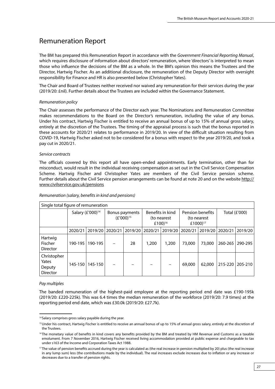### <span id="page-31-0"></span>Remuneration Report

The BM has prepared this Remuneration Report in accordance with the *Government Financial Reporting Manual*, which requires disclosure of information about directors' remuneration, where 'directors' is interpreted to mean those who influence the decisions of the BM as a whole. In the BM's opinion this means the Trustees and the Director, Hartwig Fischer. As an additional disclosure, the remuneration of the Deputy Director with oversight responsibility for Finance and HR is also presented below (Christopher Yates).

The Chair and Board of Trustees neither received nor waived any remuneration for their services during the year (2019/20: £nil). Further details about the Trustees are included within the Governance Statement.

#### *Remuneration policy*

The Chair assesses the performance of the Director each year. The Nominations and Remuneration Committee makes recommendations to the Board on the Director's remuneration, including the value of any bonus. Under his contract, Hartwig Fischer is entitled to receive an annual bonus of up to 15% of annual gross salary, entirely at the discretion of the Trustees. The timing of the appraisal process is such that the bonus reported in these accounts for 2020/21 relates to performance in 2019/20. In view of the difficult situation resulting from COVID-19, Hartwig Fischer asked not to be considered for a bonus with respect to the year 2019/20, and took a pay cut in 2020/21.

#### *Service contracts*

The officials covered by this report all have open-ended appointments. Early termination, other than for misconduct, would result in the individual receiving compensation as set out in the Civil Service Compensation Scheme. Hartwig Fischer and Christopher Yates are members of the Civil Service pension scheme. Further details about the Civil Service pension arrangements can be found at note 20 and on the website [http://](http://www.civilservice.gov.uk/pensions) [www.civilservice.gov.uk/pensions](http://www.civilservice.gov.uk/pensions)

| Single total figure of remuneration               |         |                                  |         |                                                        |         |                                                         |         |               |         |         |
|---------------------------------------------------|---------|----------------------------------|---------|--------------------------------------------------------|---------|---------------------------------------------------------|---------|---------------|---------|---------|
| Salary (£'000) <sup>14</sup>                      |         | Bonus payments<br>$(E'000)^{15}$ |         | Benefits in kind<br>(to nearest<br>£100) <sup>16</sup> |         | Pension benefits<br>(to nearest<br>£1000) <sup>17</sup> |         | Total (£'000) |         |         |
|                                                   | 2020/21 | 2019/20                          | 2020/21 | 2019/20                                                | 2020/21 | 2019/20                                                 | 2020/21 | 2019/20       | 2020/21 | 2019/20 |
| Hartwig<br>Fischer<br><b>Director</b>             | 190-195 | 190-195                          |         | 28                                                     | 1,200   | 1,200                                                   | 73,000  | 73,000        | 260-265 | 290-295 |
| Christopher<br>Yates<br>Deputy<br><b>Director</b> | 145-150 | 145-150                          |         |                                                        |         |                                                         | 69,000  | 62,000        | 215-220 | 205-210 |

#### *Remuneration (salary, benefits in kind and pensions)*

#### *Pay multiples*

The banded remuneration of the highest-paid employee at the reporting period end date was £190-195k (2019/20: £220-225k). This was 6.4 times the median remuneration of the workforce (2019/20: 7.9 times) at the reporting period end date, which was £30.0k (2019/20: £27.7k).

<sup>&</sup>lt;sup>14</sup> Salary comprises gross salary payable during the year.

<sup>&</sup>lt;sup>15</sup>Under his contract, Hartwig Fischer is entitled to receive an annual bonus of up to 15% of annual gross salary, entirely at the discretion of the Trustees.

<sup>&</sup>lt;sup>16</sup>The monetary value of benefits in kind covers any benefits provided by the BM and treated by HM Revenue and Customs as a taxable emolument. From 7 November 2016, Hartwig Fischer received living accommodation provided at public expense and chargeable to tax under s163 of the Income and Corporation Taxes Act 1988.

<sup>&</sup>lt;sup>17</sup>The value of pension benefits accrued during the year is calculated as (the real increase in pension multiplied by 20) plus (the real increase in any lump sum) less (the contributions made by the individual). The real increases exclude increases due to inflation or any increase or decreases due to a transfer of pension rights.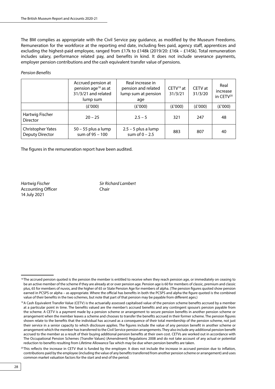The BM complies as appropriate with the Civil Service pay guidance, as modified by the Museum Freedoms. Remuneration for the workforce at the reporting end date, including fees paid, agency staff, apprentices and excluding the highest-paid employee, ranged from £17k to £148k (2019/20: £16k – £145k). Total remuneration includes salary, performance related pay, and benefits in kind. It does not include severance payments, employer pension contributions and the cash equivalent transfer value of pensions.

#### *Pension Benefits*

|                                                                                         | Accrued pension at<br>pension age <sup>18</sup> as at<br>31/3/21 and related<br>lump sum | Real increase in<br>pension and related<br>lump sum at pension<br>age | $CETV19$ at<br>31/3/21 | CETV at<br>31/3/20 | Real<br>increase<br>in CETV <sup>20</sup> |
|-----------------------------------------------------------------------------------------|------------------------------------------------------------------------------------------|-----------------------------------------------------------------------|------------------------|--------------------|-------------------------------------------|
| (E'000)                                                                                 |                                                                                          | (£'000)                                                               | (£'000)                | (E'000)            | (E'000)                                   |
| Hartwig Fischer<br>$20 - 25$<br><b>Director</b>                                         |                                                                                          | $2.5 - 5$                                                             | 321                    | 247                | 48                                        |
| Christopher Yates<br>$50 - 55$ plus a lump<br>sum of 95 - 100<br><b>Deputy Director</b> |                                                                                          | $2.5 - 5$ plus a lump<br>sum of $0 - 2.5$                             | 883                    | 807                | 40                                        |

The figures in the remuneration report have been audited.

Accounting Officer **Chair** 14 July 2021

*Hartwig Fischer Sir Richard Lambert*

<sup>&</sup>lt;sup>18</sup>The accrued pension quoted is the pension the member is entitled to receive when they reach pension age, or immediately on ceasing to be an active member of the scheme if they are already at or over pension age. Pension age is 60 for members of classic, premium and classic plus, 65 for members of nuvos, and the higher of 65 or State Pension Age for members of alpha. (The pension figures quoted show pension earned in PCSPS or alpha – as appropriate. Where the official has benefits in both the PCSPS and alpha the figure quoted is the combined value of their benefits in the two schemes, but note that part of that pension may be payable from different ages.)

<sup>&</sup>lt;sup>19</sup>A Cash Equivalent Transfer Value (CETV) is the actuarially assessed capitalised value of the pension scheme benefits accrued by a member at a particular point in time. The benefits valued are the member's accrued benefits and any contingent spouse's pension payable from the scheme. A CETV is a payment made by a pension scheme or arrangement to secure pension benefits in another pension scheme or arrangement when the member leaves a scheme and chooses to transfer the benefits accrued in their former scheme. The pension figures shown relate to the benefits that the individual has accrued as a consequence of their total membership of the pension scheme, not just their service in a senior capacity to which disclosure applies. The figures include the value of any pension benefit in another scheme or arrangement which the member has transferred to the Civil Service pension arrangements. They also include any additional pension benefit accrued to the member as a result of their buying additional pension benefits at their own cost. CETVs are worked out in accordance with The Occupational Pension Schemes (Transfer Values) (Amendment) Regulations 2008 and do not take account of any actual or potential reduction to benefits resulting from Lifetime Allowance Tax which may be due when pension benefits are taken.

<sup>&</sup>lt;sup>20</sup>This reflects the increase in CETV that is funded by the employer. It does not include the increase in accrued pension due to inflation, contributions paid by the employee (including the value of any benefits transferred from another pension scheme or arrangement) and uses common market valuation factors for the start and end of the period.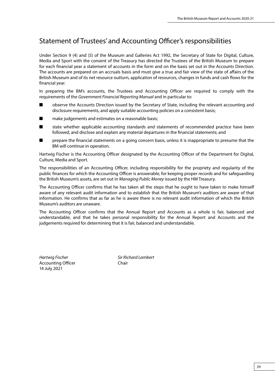### <span id="page-33-0"></span>Statement of Trustees' and Accounting Officer's responsibilities

Under Section 9 (4) and (5) of the Museum and Galleries Act 1992, the Secretary of State for Digital, Culture, Media and Sport with the consent of the Treasury has directed the Trustees of the British Museum to prepare for each financial year a statement of accounts in the form and on the basis set out in the Accounts Direction. The accounts are prepared on an accruals basis and must give a true and fair view of the state of affairs of the British Museum and of its net resource outturn, application of resources, changes in funds and cash flows for the financial year.

In preparing the BM's accounts, the Trustees and Accounting Officer are required to comply with the requirements of the *Government Financial Reporting Manual* and in particular to:

- observe the Accounts Direction issued by the Secretary of State, including the relevant accounting and disclosure requirements, and apply suitable accounting policies on a consistent basis;
- make judgements and estimates on a reasonable basis;
- state whether applicable accounting standards and statements of recommended practice have been followed, and disclose and explain any material departures in the financial statements; and
- prepare the financial statements on a going concern basis, unless it is inappropriate to presume that the BM will continue in operation.

Hartwig Fischer is the Accounting Officer designated by the Accounting Officer of the Department for Digital, Culture, Media and Sport.

The responsibilities of an Accounting Officer, including responsibility for the propriety and regularity of the public finances for which the Accounting Officer is answerable, for keeping proper records and for safeguarding the British Museum's assets, are set out in *Managing Public Money* issued by the HM Treasury.

The Accounting Officer confirms that he has taken all the steps that he ought to have taken to make himself aware of any relevant audit information and to establish that the British Museum's auditors are aware of that information. He confirms that as far as he is aware there is no relevant audit information of which the British Museum's auditors are unaware.

The Accounting Officer confirms that the Annual Report and Accounts as a whole is fair, balanced and understandable, and that he takes personal responsibility for the Annual Report and Accounts and the judgements required for determining that it is fair, balanced and understandable.

*Hartwig Fischer Sir Richard Lambert* Accounting Officer **Chair** Chair 14 July 2021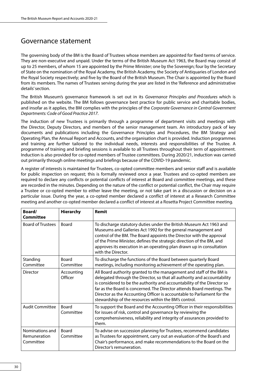### <span id="page-34-0"></span>Governance statement

The governing body of the BM is the Board of Trustees whose members are appointed for fixed terms of service. They are non-executive and unpaid. Under the terms of the British Museum Act 1963, the Board may consist of up to 25 members, of whom 15 are appointed by the Prime Minister; one by the Sovereign; four by the Secretary of State on the nomination of the Royal Academy, the British Academy, the Society of Antiquaries of London and the Royal Society respectively; and five by the Board of the British Museum. The Chair is appointed by the Board from its members. The names of Trustees serving during the year are listed in the 'Reference and administrative details' section.

The British Museum's governance framework is set out in its *Governance Principles and Procedures* which is published on the website. The BM follows governance best practice for public service and charitable bodies, and insofar as it applies, the BM complies with the principles of the *Corporate Governance in Central Government Departments: Code of Good Practice 2017*.

The induction of new Trustees is primarily through a programme of department visits and meetings with the Director, Deputy Directors, and members of the senior management team. An introductory pack of key documents and publications including the Governance Principles and Procedures, the BM Strategy and Operating Plan, the Annual Report and Accounts, and the organisation chart is provided. Induction programmes and training are further tailored to the individual needs, interests and responsibilities of the Trustee. A programme of training and briefing sessions is available to all Trustees throughout their term of appointment. Induction is also provided for co-opted members of Trustee committees. During 2020/21, induction was carried out primarily through online meetings and briefings because of the COVID-19 pandemic.

A register of interests is maintained for Trustees, co-opted committee members and senior staff and is available for public inspection on request; this is formally reviewed once a year. Trustees and co-opted members are required to declare any conflicts or potential conflicts of interest at Board and committee meetings, and these are recorded in the minutes. Depending on the nature of the conflict or potential conflict, the Chair may require a Trustee or co-opted member to either leave the meeting, or not take part in a discussion or decision on a particular issue. During the year, a co-opted member declared a conflict of interest at a Research Committee meeting and another co-opted member declared a conflict of interest at a Rosetta Project Committee meeting.

| Board/<br><b>Committee</b>                   | <b>Hierarchy</b>          | <b>Remit</b>                                                                                                                                                                                                                                                                                                                                                                                                                               |
|----------------------------------------------|---------------------------|--------------------------------------------------------------------------------------------------------------------------------------------------------------------------------------------------------------------------------------------------------------------------------------------------------------------------------------------------------------------------------------------------------------------------------------------|
| <b>Board of Trustees</b>                     | <b>Board</b>              | To discharge statutory duties under the British Museum Act 1963 and<br>Museums and Galleries Act 1992 for the general management and<br>control of the BM. The Board appoints the Director with the approval<br>of the Prime Minister, defines the strategic direction of the BM, and<br>approves its execution in an operating plan drawn up in consultation<br>with the Director.                                                        |
| Standing<br>Committee                        | Board<br>Committee        | To discharge the functions of the Board between quarterly Board<br>meetings, including monitoring achievement of the operating plan.                                                                                                                                                                                                                                                                                                       |
| <b>Director</b>                              | Accounting<br>Officer     | All Board authority granted to the management and staff of the BM is<br>delegated through the Director, so that all authority and accountability<br>is considered to be the authority and accountability of the Director so<br>far as the Board is concerned. The Director attends Board meetings. The<br>Director as the Accounting Officer is accountable to Parliament for the<br>stewardship of the resources within the BM's control. |
| <b>Audit Committee</b>                       | <b>Board</b><br>Committee | To support the Board and the Accounting Officer in their responsibilities<br>for issues of risk, control and governance by reviewing the<br>comprehensiveness, reliability and integrity of assurances provided to<br>them.                                                                                                                                                                                                                |
| Nominations and<br>Remuneration<br>Committee | <b>Board</b><br>Committee | To advise on succession planning for Trustees, recommend candidates<br>as Trustees for appointment, carry out an evaluation of the Board's and<br>Chair's performance, and make recommendations to the Board on the<br>Director's remuneration.                                                                                                                                                                                            |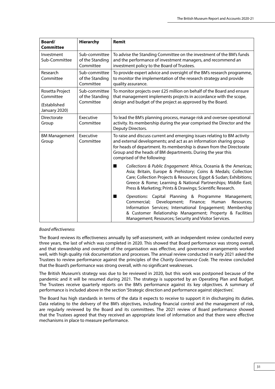| Board/<br><b>Committee</b>                                    | <b>Hierarchy</b>                              | Remit                                                                                                                                                                                                                                                                                                                                        |
|---------------------------------------------------------------|-----------------------------------------------|----------------------------------------------------------------------------------------------------------------------------------------------------------------------------------------------------------------------------------------------------------------------------------------------------------------------------------------------|
| Investment<br>Sub-Committee                                   | Sub-committee<br>of the Standing<br>Committee | To advise the Standing Committee on the investment of the BM's funds<br>and the performance of investment managers, and recommend an<br>investment policy to the Board of Trustees.                                                                                                                                                          |
| Research<br>Committee                                         | Sub-committee<br>of the Standing<br>Committee | To provide expert advice and oversight of the BM's research programme,<br>to monitor the implementation of the research strategy and provide<br>quality assurance.                                                                                                                                                                           |
| Rosetta Project<br>Committee<br>(Established<br>January 2020) | Sub-committee<br>of the Standing<br>Committee | To monitor projects over £25 million on behalf of the Board and ensure<br>that management implements projects in accordance with the scope,<br>design and budget of the project as approved by the Board.                                                                                                                                    |
| Directorate<br>Group                                          | Executive<br>Committee                        | To lead the BM's planning process, manage risk and oversee operational<br>activity. Its membership during the year comprised the Director and the<br>Deputy Directors.                                                                                                                                                                       |
| <b>BM Management</b><br>Group                                 | Executive<br>Committee                        | To raise and discuss current and emerging issues relating to BM activity<br>and external developments; and act as an information sharing group<br>for heads of department. Its membership is drawn from the Directorate<br>Group and the heads of BM departments. During the year this<br>comprised of the following:                        |
|                                                               |                                               | Collections & Public Engagement: Africa, Oceania & the Americas;<br>■<br>Asia; Britain, Europe & Prehistory; Coins & Medals; Collection<br>Care; Collection Projects & Resources; Egypt & Sudan; Exhibitions;<br>Greece & Rome; Learning & National Partnerships; Middle East;<br>Press & Marketing; Prints & Drawings; Scientific Research. |
|                                                               |                                               | Operations: Capital Planning & Programme Management;<br>■<br>Commercial;<br>Development;<br>Finance;<br>Human<br>Resources;<br>Information Services; International Engagement; Membership<br>& Customer Relationship Management; Property & Facilities<br>Management; Resources; Security and Visitor Services.                              |

#### *Board effectiveness*

The Board reviews its effectiveness annually by self-assessment, with an independent review conducted every three years, the last of which was completed in 2020. This showed that Board performance was strong overall, and that stewardship and oversight of the organisation was effective, and governance arrangements worked well, with high quality risk documentation and processes. The annual review conducted in early 2021 asked the Trustees to review performance against the principles of the *Charity Governance Code*. The review concluded that the Board's performance was strong overall, with no significant weaknesses.

The British Museum's strategy was due to be reviewed in 2020, but this work was postponed because of the pandemic and it will be resumed during 2021. The strategy is supported by an Operating Plan and Budget. The Trustees receive quarterly reports on the BM's performance against its key objectives. A summary of performance is included above in the section 'Strategic direction and performance against objectives'.

The Board has high standards in terms of the data it expects to receive to support it in discharging its duties. Data relating to the delivery of the BM's objectives, including financial control and the management of risk, are regularly reviewed by the Board and its committees. The 2021 review of Board performance showed that the Trustees agreed that they received an appropriate level of information and that there were effective mechanisms in place to measure performance.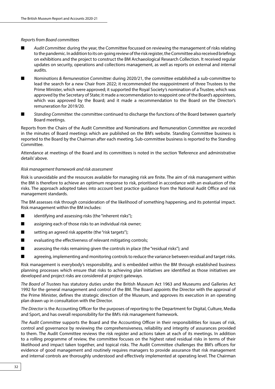#### *Reports from Board committees*

- Audit Committee: during the year, the Committee focussed on reviewing the management of risks relating to the pandemic. In addition to its on-going review of the risk register, the Committee also received briefings on exhibitions and the project to construct the BM Archaeological Research Collection. It received regular updates on security, operations and collections management, as well as reports on external and internal audits.
- *Nominations & Remuneration Committee:* during 2020/21, the committee established a sub-committee to lead the search for a new Chair from 2022; it recommended the reappointment of three Trustees to the Prime Minister, which were approved; it supported the Royal Society's nomination of a Trustee, which was approved by the Secretary of State; it made a recommendation to reappoint one of the Board's appointees, which was approved by the Board; and it made a recommendation to the Board on the Director's remuneration for 2019/20.
- *Standing Committee*: the committee continued to discharge the functions of the Board between quarterly Board meetings.

Reports from the Chairs of the Audit Committee and Nominations and Remuneration Committee are recorded in the minutes of Board meetings which are published on the BM's website. Standing Committee business is reported to the Board by the Chairman after each meeting. Sub-committee business is reported to the Standing Committee.

Attendance at meetings of the Board and its committees is noted in the section 'Reference and administrative details' above.

#### *Risk management framework and risk assessment*

Risk is unavoidable and the resources available for managing risk are finite. The aim of risk management within the BM is therefore to achieve an optimum response to risk, prioritised in accordance with an evaluation of the risks. The approach adopted takes into account best practice guidance from the National Audit Office and risk management standards.

The BM assesses risk through consideration of the likelihood of something happening, and its potential impact. Risk management within the BM includes:

- identifying and assessing risks (the "inherent risks");
- assigning each of those risks to an individual risk owner;
- setting an agreed risk appetite (the "risk targets");
- evaluating the effectiveness of relevant mitigating controls;
- assessing the risks remaining given the controls in place (the "residual risks"); and
- agreeing, implementing and monitoring controls to reduce the variance between residual and target risks.

Risk management is everybody's responsibility, and is embedded within the BM through established business planning processes which ensure that risks to achieving plan initiatives are identified as those initiatives are developed and project risks are considered at project gateways.

*The Board of Trustees* has statutory duties under the British Museum Act 1963 and Museums and Galleries Act 1992 for the general management and control of the BM. The Board appoints the Director with the approval of the Prime Minister, defines the strategic direction of the Museum, and approves its execution in an operating plan drawn up in consultation with the Director.

*The Director* is the Accounting Officer for the purposes of reporting to the Department for Digital, Culture, Media and Sport, and has overall responsibility for the BM's risk management framework.

*The Audit Committee* supports the Board and the Accounting Officer in their responsibilities for issues of risk, control and governance by reviewing the comprehensiveness, reliability and integrity of assurances provided to them. The Audit Committee reviews the risk register and actions taken at each of its meetings. In addition to a rolling programme of review, the committee focuses on the highest rated residual risks in terms of their likelihood and impact taken together, and topical risks. The Audit Committee challenges the BM's officers for evidence of good management and routinely requires managers to provide assurance that risk management and internal controls are thoroughly understood and effectively implemented at operating level. The Chairman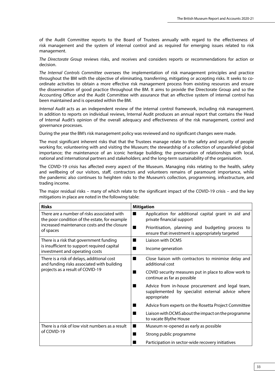of the Audit Committee reports to the Board of Trustees annually with regard to the effectiveness of risk management and the system of internal control and as required for emerging issues related to risk management.

*The Directorate Group* reviews risks, and receives and considers reports or recommendations for action or decision.

*The Internal Controls Committee* oversees the implementation of risk management principles and practice throughout the BM with the objective of eliminating, transferring, mitigating or accepting risks. It seeks to coordinate activities to obtain a more effective risk management process from existing resources and ensure the dissemination of good practice throughout the BM. It aims to provide the Directorate Group and so the Accounting Officer and the Audit Committee with assurance that an effective system of internal control has been maintained and is operated within the BM.

*Internal Audit* acts as an independent review of the internal control framework, including risk management. In addition to reports on individual reviews, Internal Audit produces an annual report that contains the Head of Internal Audit's opinion of the overall adequacy and effectiveness of the risk management, control and governance processes.

During the year the BM's risk management policy was reviewed and no significant changes were made.

The most significant inherent risks that that the Trustees manage relate to the safety and security of people working for, volunteering with and visiting the Museum; the stewardship of a collection of unparalleled global importance; the maintenance of an iconic heritage building; the preservation of relationships with local, national and international partners and stakeholders; and the long-term sustainability of the organisation.

The COVID-19 crisis has affected every aspect of the Museum. Managing risks relating to the health, safety and wellbeing of our visitors, staff, contractors and volunteers remains of paramount importance, while the pandemic also continues to heighten risks to the Museum's collection, programming, infrastructure, and trading income.

The major residual risks – many of which relate to the significant impact of the COVID-19 crisis – and the key mitigations in place are noted in the following table:

| <b>Risks</b>                                                                                 | <b>Mitigation</b>                                                                                                        |
|----------------------------------------------------------------------------------------------|--------------------------------------------------------------------------------------------------------------------------|
| There are a number of risks associated with<br>the poor condition of the estate, for example | Application for additional capital grant in aid and<br>■<br>private financial support                                    |
| increased maintenance costs and the closure<br>of spaces                                     | Prioritisation, planning and budgeting process to<br>$\blacksquare$<br>ensure that investment is appropriately targeted  |
| There is a risk that government funding                                                      | Liaison with DCMS<br>■                                                                                                   |
| is insufficient to support required capital<br>investment and operating costs                | Income generation<br>٠                                                                                                   |
| There is a risk of delays, additional cost<br>and funding risks associated with building     | Close liaison with contractors to minimise delay and<br>$\blacksquare$<br>additional cost                                |
| projects as a result of COVID-19                                                             | COVID security measures put in place to allow work to<br>٠<br>continue as far as possible                                |
|                                                                                              | Advice from in-house procurement and legal team,<br>٠<br>supplemented by specialist external advice where<br>appropriate |
|                                                                                              | Advice from experts on the Rosetta Project Committee<br>٠                                                                |
|                                                                                              | Liaison with DCMS about the impact on the programme<br>٠<br>to vacate Blythe House                                       |
| There is a risk of low visit numbers as a result                                             | Museum re-opened as early as possible<br>■                                                                               |
| of COVID-19                                                                                  | Strong public programme<br>٠                                                                                             |
|                                                                                              | Participation in sector-wide recovery initiatives                                                                        |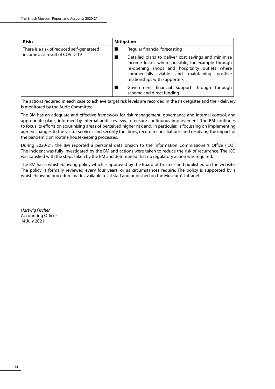| <b>Risks</b>                                                                | <b>Mitigation</b>                                                                                                                                                                                                                              |
|-----------------------------------------------------------------------------|------------------------------------------------------------------------------------------------------------------------------------------------------------------------------------------------------------------------------------------------|
| There is a risk of reduced self-generated<br>income as a result of COVID-19 | Regular financial forecasting                                                                                                                                                                                                                  |
|                                                                             | Detailed plans to deliver cost savings and minimise<br>income losses where possible, for example through<br>re-opening shops and hospitality outlets where<br>commercially viable and maintaining<br>positive<br>relationships with supporters |
|                                                                             | Government financial support through furlough<br>scheme and direct funding                                                                                                                                                                     |

The actions required in each case to achieve target risk levels are recorded in the risk register and their delivery is monitored by the Audit Committee.

The BM has an adequate and effective framework for risk management, governance and internal control, and appropriate plans, informed by internal audit reviews, to ensure continuous improvement. The BM continues to focus its efforts on scrutinising areas of perceived higher risk and, in particular, is focussing on implementing agreed changes to the visitor services and security functions, record reconciliations, and resolving the impact of the pandemic on routine housekeeping processes.

During 2020/21, the BM reported a personal data breach to the Information Commissioner's Office (ICO). The incident was fully investigated by the BM and actions were taken to reduce the risk of recurrence. The ICO was satisfied with the steps taken by the BM and determined that no regulatory action was required.

The BM has a whistleblowing policy which is approved by the Board of Trustees and published on the website. The policy is formally reviewed every four years, or as circumstances require. The policy is supported by a whistleblowing procedure made available to all staff and published on the Museum's intranet.

*Hartwig Fischer* Accounting Officer 14 July 2021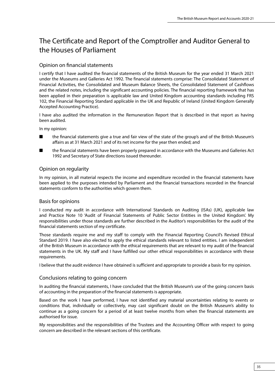# The Certificate and Report of the Comptroller and Auditor General to the Houses of Parliament

# Opinion on financial statements

I certify that I have audited the financial statements of the British Museum for the year ended 31 March 2021 under the Museums and Galleries Act 1992. The financial statements comprise: The Consolidated Statement of Financial Activities, the Consolidated and Museum Balance Sheets, the Consolidated Statement of Cashflows and the related notes, including the significant accounting policies. The financial reporting framework that has been applied in their preparation is applicable law and United Kingdom accounting standards including FRS 102, the Financial Reporting Standard applicable in the UK and Republic of Ireland (United Kingdom Generally Accepted Accounting Practice).

I have also audited the information in the Remuneration Report that is described in that report as having been audited.

In my opinion:

- the financial statements give a true and fair view of the state of the group's and of the British Museum's affairs as at 31 March 2021 and of its net income for the year then ended; and
- the financial statements have been properly prepared in accordance with the Museums and Galleries Act 1992 and Secretary of State directions issued thereunder.

# Opinion on regularity

In my opinion, in all material respects the income and expenditure recorded in the financial statements have been applied to the purposes intended by Parliament and the financial transactions recorded in the financial statements conform to the authorities which govern them.

# Basis for opinions

I conducted my audit in accordance with International Standards on Auditing (ISAs) (UK), applicable law and Practice Note 10 'Audit of Financial Statements of Public Sector Entities in the United Kingdom'. My responsibilities under those standards are further described in the Auditor's responsibilities for the audit of the financial statements section of my certificate.

Those standards require me and my staff to comply with the Financial Reporting Council's Revised Ethical Standard 2019. I have also elected to apply the ethical standards relevant to listed entities. I am independent of the British Museum in accordance with the ethical requirements that are relevant to my audit of the financial statements in the UK. My staff and I have fulfilled our other ethical responsibilities in accordance with these requirements.

I believe that the audit evidence I have obtained is sufficient and appropriate to provide a basis for my opinion.

# Conclusions relating to going concern

In auditing the financial statements, I have concluded that the British Museum's use of the going concern basis of accounting in the preparation of the financial statements is appropriate.

Based on the work I have performed, I have not identified any material uncertainties relating to events or conditions that, individually or collectively, may cast significant doubt on the British Museum's ability to continue as a going concern for a period of at least twelve months from when the financial statements are authorised for issue.

My responsibilities and the responsibilities of the Trustees and the Accounting Officer with respect to going concern are described in the relevant sections of this certificate.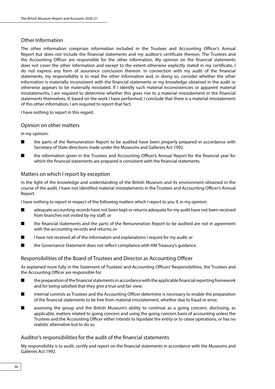# Other Information

The other information comprises information included in the Trustees and Accounting Officer's Annual Report but does not include the financial statements and my auditor's certificate thereon. The Trustees and the Accounting Officer are responsible for the other information. My opinion on the financial statements does not cover the other information and except to the extent otherwise explicitly stated in my certificate, I do not express any form of assurance conclusion thereon. In connection with my audit of the financial statements, my responsibility is to read the other information and, in doing so, consider whether the other information is materially inconsistent with the financial statements or my knowledge obtained in the audit or otherwise appears to be materially misstated. If I identify such material inconsistencies or apparent material misstatements, I am required to determine whether this gives rise to a material misstatement in the financial statements themselves. If, based on the work I have performed, I conclude that there is a material misstatement of this other information, I am required to report that fact.

I have nothing to report in this regard.

# Opinion on other matters

In my opinion:

- the parts of the Remuneration Report to be audited have been properly prepared in accordance with Secretary of State directions made under the Museums and Galleries Act 1992.
- the information given in the Trustees and Accounting Officer's Annual Report for the financial year for which the financial statements are prepared is consistent with the financial statements.

# Matters on which I report by exception

In the light of the knowledge and understanding of the British Museum and its environment obtained in the course of the audit, I have not identified material misstatements in the Trustees and Accounting Officer's Annual Report.

I have nothing to report in respect of the following matters which I report to you if, in my opinion:

- adequate accounting records have not been kept or returns adequate for my audit have not been received from branches not visited by my staff; or
- the financial statements and the parts of the Remuneration Report to be audited are not in agreement with the accounting records and returns; or
- I have not received all of the information and explanations I require for my audit; or
- the Governance Statement does not reflect compliance with HM Treasury's quidance.

# Responsibilities of the Board of Trustees and Director as Accounting Officer

As explained more fully in the Statement of Trustees' and Accounting Officers' Responsibilities, the Trustees and the Accounting Officer are responsible for:

- the preparation of the financial statements in accordance with the applicable financial reporting framework and for being satisfied that they give a true and fair view;
- internal controls as Trustees and the Accounting Officer determine is necessary to enable the preparation of the financial statements to be free from material misstatement, whether due to fraud or error;
- assessing the group and the British Museum's ability to continue as a going concern, disclosing, as applicable, matters related to going concern and using the going concern basis of accounting unless the Trustees and the Accounting Officer either intends to liquidate the entity or to cease operations, or has no realistic alternative but to do so.

# Auditor's responsibilities for the audit of the financial statements

My responsibility is to audit, certify and report on the financial statements in accordance with the Museums and Galleries Act 1992.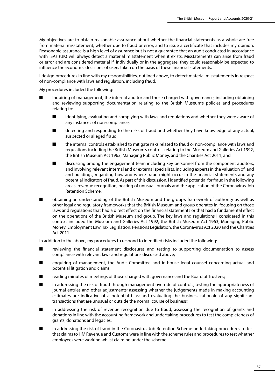My objectives are to obtain reasonable assurance about whether the financial statements as a whole are free from material misstatement, whether due to fraud or error, and to issue a certificate that includes my opinion. Reasonable assurance is a high level of assurance but is not a guarantee that an audit conducted in accordance with ISAs (UK) will always detect a material misstatement when it exists. Misstatements can arise from fraud or error and are considered material if, individually or in the aggregate, they could reasonably be expected to influence the economic decisions of users taken on the basis of these financial statements.

I design procedures in line with my responsibilities, outlined above, to detect material misstatements in respect of non-compliance with laws and regulation, including fraud.

My procedures included the following:

- Inquiring of management, the internal auditor and those charged with governance, including obtaining and reviewing supporting documentation relating to the British Museum's policies and procedures relating to:
	- identifying, evaluating and complying with laws and regulations and whether they were aware of any instances of non-compliance;
	- detecting and responding to the risks of fraud and whether they have knowledge of any actual, suspected or alleged fraud;
	- the internal controls established to mitigate risks related to fraud or non-compliance with laws and regulations including the British Museum's controls relating to the Museum and Galleries Act 1992, the British Museum Act 1963, Managing Public Money, and the Charities Act 2011; and
	- discussing among the engagement team including key personnel from the component auditors, and involving relevant internal and or external specialists, including experts in the valuation of land and buildings, regarding how and where fraud might occur in the financial statements and any potential indicators of fraud. As part of this discussion, I identified potential for fraud in the following areas: revenue recognition, posting of unusual journals and the application of the Coronavirus Job Retention Scheme.
- obtaining an understanding of the British Museum and the group's framework of authority as well as other legal and regulatory frameworks that the British Museum and group operates in, focusing on those laws and regulations that had a direct effect on the financial statements or that had a fundamental effect on the operations of the British Museum and group. The key laws and regulations I considered in this context included the Museum and Galleries Act 1992, the British Museum Act 1963, Managing Public Money, Employment Law, Tax Legislation, Pensions Legislation, the Coronavirus Act 2020 and the Charities Act 2011.

In addition to the above, my procedures to respond to identified risks included the following:

- reviewing the financial statement disclosures and testing to supporting documentation to assess compliance with relevant laws and regulations discussed above;
- enquiring of management, the Audit Committee and in-house legal counsel concerning actual and potential litigation and claims;
- reading minutes of meetings of those charged with governance and the Board of Trustees;
- in addressing the risk of fraud through management override of controls, testing the appropriateness of journal entries and other adjustments; assessing whether the judgements made in making accounting estimates are indicative of a potential bias; and evaluating the business rationale of any significant transactions that are unusual or outside the normal course of business;
- in addressing the risk of revenue recognition due to fraud, assessing the recognition of grants and donations in line with the accounting framework and undertaking procedures to test the completeness of grants, donations and legacies;
- in addressing the risk of fraud in the Coronavirus Job Retention Scheme undertaking procedures to test that claims to HM Revenue and Customs were in line with the scheme rules and procedures to test whether employees were working whilst claiming under the scheme.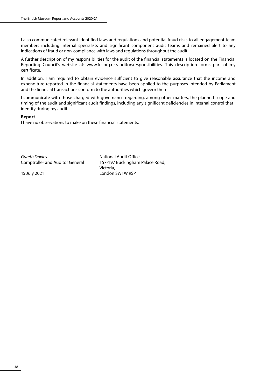I also communicated relevant identified laws and regulations and potential fraud risks to all engagement team members including internal specialists and significant component audit teams and remained alert to any indications of fraud or non-compliance with laws and regulations throughout the audit.

A further description of my responsibilities for the audit of the financial statements is located on the Financial Reporting Council's website at: [www.frc.org.uk/auditorsresponsibilities.](https://www.frc.org.uk/auditors/audit-assurance/auditor-s-responsibilities-for-the-audit-of-the-fi/description-of-the-auditor%e2%80%99s-responsibilities-for) This description forms part of my certificate.

In addition, I am required to obtain evidence sufficient to give reasonable assurance that the income and expenditure reported in the financial statements have been applied to the purposes intended by Parliament and the financial transactions conform to the authorities which govern them.

I communicate with those charged with governance regarding, among other matters, the planned scope and timing of the audit and significant audit findings, including any significant deficiencies in internal control that I identify during my audit.

## **Report**

I have no observations to make on these financial statements.

**Gareth Davies National Audit Office** Comptroller and Auditor General 157-197 Buckingham Palace Road,

Victoria, 15 July 2021 London SW1W 9SP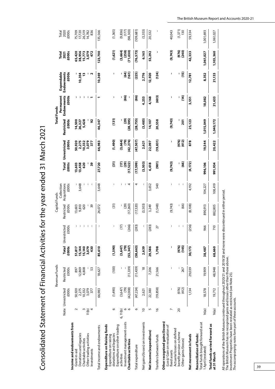|                                                                                                                                                                                                                                                                                                              |                          |                             | Revenue Funds          |                                        |                                            | Capital Funds                     | Collection            |                         |                                    |                           | Permanent<br><b>Total Funds</b> | Expendable          | Total                        | Total                             |
|--------------------------------------------------------------------------------------------------------------------------------------------------------------------------------------------------------------------------------------------------------------------------------------------------------------|--------------------------|-----------------------------|------------------------|----------------------------------------|--------------------------------------------|-----------------------------------|-----------------------|-------------------------|------------------------------------|---------------------------|---------------------------------|---------------------|------------------------------|-----------------------------------|
|                                                                                                                                                                                                                                                                                                              |                          | £000s<br>Note Unrestricted  | Restricted<br>£0005    | Total Unrest<br>£000s                  | tricted<br>£000s                           | Restricted<br>£000s               | Acquisitions<br>£000s | £000s                   | <b>Total Unrestricted</b><br>£000s | Restricted<br>£000s       | Endowments<br>£000s             | Endowments<br>£000s | £000s<br>2021                | 2020<br>£000s                     |
| Income and endowments from<br>Donations and legacies<br>Charitable activities<br>Grant-in-aid                                                                                                                                                                                                                | $\sim$<br>m              | 50,920<br>2,275<br>10,332   | 12,869<br>4,808<br>897 | 15,140<br>15,144<br>51,817             | $\mathbb T$<br>-1                          | 9,810<br>13,603<br>620            | 3,648                 | 620<br>13,603<br>13,458 | 50,920<br>2,275<br>10,332          | 14,500<br>5,428<br>26,327 | 1<br>1                          | 10,354<br>13        | 65,420<br>38,956<br>15,773   | 26,519<br>75,709<br>17,720        |
| Other trading activities<br>Investments                                                                                                                                                                                                                                                                      | 11(b)<br>4               | 3,079<br>377                | 53                     | 3,079<br>430                           | $\blacksquare$<br>$\overline{\phantom{a}}$ | 39                                | ı                     | 39                      | 3,079<br>377                       | 92                        | т                               | Z                   | 3,079<br>472                 | 836<br>14,782                     |
| Total income and endowments                                                                                                                                                                                                                                                                                  |                          | 66,983                      | 18,627                 | 85,610                                 | I                                          | 24,072                            | 3,648                 | 27,720                  | 66,983                             | 46,347                    |                                 | 10,369              | 123,700                      | 135,566                           |
| Expenditure on Raising funds<br>donations and legacies<br>Expenditure on raising                                                                                                                                                                                                                             | 6                        | (064, 1)                    | (100)                  | (1,590)                                | ı                                          | (31)                              | I                     | $\widehat{5}$           | (064, 1)                           | (131)                     | ı                               | ı                   | (1,621)                      | (1,365)                           |
| Investment management costs<br>Expenditure on other trading<br>Charitable activities<br>activities                                                                                                                                                                                                           | 9<br>$\circ$<br>6, 11(b) | (42,008)<br>(3,647)<br>(79) | (11, 339)<br>I         | (3,647)<br>$\overline{5}$<br>(53, 347) | (266)<br>(17)                              | (29)<br>(17,260)                  | 4<br>ı<br>T           | Ξ<br>(29)<br>(17, 522)  | (42, 274)<br>(3,664)<br>၉၅         | (29)<br>(28, 595)<br>ı    | $\overline{8}$                  | E<br>(161)          | (3,664)<br>(71,030)<br>(258) | (98, 303)<br>$(9,836)$<br>$(177)$ |
| Total expenditure                                                                                                                                                                                                                                                                                            | $\circ$                  | (47, 224)                   | (11,439)               | (58,663)                               | (283)                                      | (17, 320)                         | 4                     | (17,599)                | (47,507)                           | (28,755)                  | $\overline{8}$                  | (225)               | (76, 573)                    | (109, 681)                        |
| Net gains/(losses) on investments                                                                                                                                                                                                                                                                            | $\overline{a}$           | 2,621                       | $\frac{8}{2}$          | 2,639                                  |                                            | (3,503)                           | ı                     | (3,503)                 | 2,621                              | (3, 485)                  | 4,253                           | 2,776               | 6,165                        | (5, 353)                          |
| Net income/(expenditure)                                                                                                                                                                                                                                                                                     | 5                        | 22,380                      | 7,206                  | 29,586                                 | (283)                                      | 3,249                             | 3,652                 | 6,618                   | 22,097                             | 14,107                    | 4,168                           | 12,920              | 53,292                       | 20,532                            |
| Transfers between funds                                                                                                                                                                                                                                                                                      | $\frac{6}{2}$            | (19, 858)                   | 21,566                 | 1,708                                  | 27                                         | (1,548)                           | 540                   | (981)                   | (19, 831)                          | 20,558                    | (603)                           | (124)               |                              | $\overline{\phantom{a}}$          |
| Other recognised gains/(losses)<br>(Loss)/ Gain on revaluation of<br>Actuarial losses on defined<br>fixed assets                                                                                                                                                                                             | $\overline{ }$           | I                           | J                      | ı                                      | I                                          | (9,743)                           | I                     | (9,743)                 | ı                                  | (9,743)                   | ı                               | ı                   | (9,743)                      | 40,043                            |
| benefit pension scheme<br>Other gains/(losses)                                                                                                                                                                                                                                                               | $\overline{c}$           | (976)<br>(412)              | 267                    | (976)<br>(145)                         | т<br>J.                                    | (66)                              | т<br>J.               | <b>@</b>                | (976)<br>(412)                     | 201                       | $\mathbf{f}$<br>ı               | $\overline{15}$     | (976)<br>(240)               | (1, 371)<br>130                   |
| Net movement in funds                                                                                                                                                                                                                                                                                        |                          | 1,134                       | 29,039                 | 30,173                                 | (256)                                      | (8,108)                           | 4,192                 | (4, 172)                | 878                                | 25,123                    | 3,551                           | 12,781              | 42,333                       | 59,334                            |
| Total funds brought forward as at<br>Reconciliation of funds:<br>I April (restated)                                                                                                                                                                                                                          | 16(a)                    | 18,578                      | 19,909                 | 38,487                                 | 966                                        | 890,913                           | 104,227               | 996,106                 | 19,544                             | 1,015,049                 | 18,082                          | 8,352               | 1,061,027                    | 1,001,693                         |
| Total funds carried forward as<br>at 31 March                                                                                                                                                                                                                                                                | 16(a)                    | 19,712                      | 48,948                 | 68,660                                 | 710                                        | 882,805                           | 108,419               | 991,934                 | 20,422                             | 1,040,172                 | 21,633                          | 21,133              | 1,103,360                    | 1,061,027                         |
| All operations of the British Museum continued throughout 2020/21 and 2019/20 and none were<br>The British Museum has no recognised gains and losses other than those above.<br>Investment Properties have been restated as restricted (see Note 25).<br>The accompanying notes form part of these accounts. |                          |                             |                        |                                        |                                            | re discontinued in either period. |                       |                         |                                    |                           |                                 |                     |                              |                                   |

Consolidated Statement of Financial Activities for the year ended 31 March 2021 Consolidated Statement of Financial Activities for the year ended 31 March 2021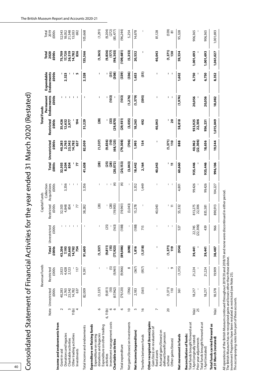|                                                                                                                                                             |                          |                                          | Revenue Funds       |                                          |                                               | Capital Funds       |                                     |                          |                                        |                                                 | <b>Total Funds</b>               |                                   |                               |                              |
|-------------------------------------------------------------------------------------------------------------------------------------------------------------|--------------------------|------------------------------------------|---------------------|------------------------------------------|-----------------------------------------------|---------------------|-------------------------------------|--------------------------|----------------------------------------|-------------------------------------------------|----------------------------------|-----------------------------------|-------------------------------|------------------------------|
|                                                                                                                                                             |                          | £000s<br>Note Unrestricted               | £000s<br>Restricted | £000s                                    | £0005<br>Total Unrestricted                   | Restricted<br>£0005 | Collection<br>Acquisitions<br>£0005 | <b>Total</b><br>£000s    | £000s<br>Unrestricted                  | Restricted<br>£000s                             | Permanent<br>£000s<br>Endowments | Expendable<br>Endowments<br>£000s | 2020<br>£000s<br>Total        | 2019<br>£000s<br>Total       |
| Income and endowments from<br>Donations and legacies<br>Grant-in-aid                                                                                        | $\sim$                   | 2,765<br>40,283                          | 4,428<br>2,923      | 43,206<br>7,193                          | I                                             | 4,848<br>32,503     | 3,356                               | 32,503<br>8,204          | 40,283<br>2,765                        | 35,426<br>12,632                                |                                  | 2,323                             | 75,709<br>17,720              | 52,543<br>18,052             |
| Other trading activities<br>Charitable activities<br>nvestments                                                                                             | ς<br>11(b)<br>4          | 23,542<br>14,782<br>637                  | 117<br>2,123        | 25,665<br>14,782<br>754                  | J<br>$\mathsf{I}$<br>$\overline{\phantom{a}}$ | 854<br>77           | J.                                  | 854<br>77                | 23,542<br>14,782<br>637                | 194<br>2,977                                    | ı<br>п                           | <b>In</b>                         | 26,519<br>14,782<br>836       | 21,348<br>13,033<br>692      |
| Total income and endowments                                                                                                                                 |                          | 82,009                                   | 9,591               | 91,600                                   | $\overline{1}$                                | 38,282              | 3,356                               | 41,638                   | 82,009                                 | 51,229                                          | ı                                | 2,328                             | 135,566                       | 105,668                      |
| Expenditure on Raising funds<br>donations and legacies<br>Expenditure on raising                                                                            | 6                        | (1, 337)                                 | ı                   | (1,337)                                  | I                                             | (28)                | I                                   | (28)                     | (1,337)                                | (28)                                            | ı                                | ı                                 | (1,365)                       | (1, 291)                     |
| Investment management costs<br>Expenditure on other trading<br>Charitable activities<br>activities                                                          | $\circ$<br>o<br>6, 11(b) | (9, 811)<br>$\overline{10}$<br>(67, 962) | (9,961)<br>0        | (9, 811)<br>$\overline{15}$<br>(77, 923) | (163)<br>(25)                                 | (28)<br>(19, 905)   | $\widehat{A}$                       | (20, 072)<br>35)<br>(28) | (68, 125)<br>(9,836)<br>$\overline{5}$ | $\begin{bmatrix} 33 \end{bmatrix}$<br>(29, 870) | (103)                            | $\overline{5}$<br>(308)           | (9,836)<br>(98, 303)<br>(177) | (9,204)<br>(272)<br>(85,477) |
| Total expenditure                                                                                                                                           | $\circ$                  | (79, 120)                                | (9,966)             | (89,086)                                 | (188)                                         | (19,961)            | €                                   | (20, 153)                | (79, 308)                              | (29, 931)                                       | (103)                            | (339)                             | (109, 681)                    | (96, 244)                    |
| Net gains/(losses) on investments                                                                                                                           | $\approx$                | (706)                                    | $\infty$            | (698)                                    | I                                             | (3,043)             | ı                                   | (3,043)                  | (706)                                  | (3,035)                                         | (1, 276)                         | (336)                             | (5, 353)                      | 5,254                        |
| Net income/(expenditure)                                                                                                                                    | 5                        | 2,183                                    | (367)               | 1,816                                    | (188)                                         | 15,278              | 3,352                               | 18,442                   | 1,995                                  | 18,263                                          | (1, 379)                         | 1,653                             | 20,532                        | 14,678                       |
| Transfers between funds                                                                                                                                     | $\frac{8}{1}$            | (561)                                    | (957)               | (1,518)                                  | 715                                           | J                   | 1,449                               | 2,164                    | 154                                    | 492                                             | (595)                            | $\overline{5}$                    |                               |                              |
| Other recognised (losses)/gains<br>Gain/(loss) on revaluation of<br>Actuarial gains/(losses) on<br>fixed assets                                             | L                        | ı                                        |                     | ı                                        | ı                                             | 40,043              | I                                   | 40,043                   | ı                                      | 40,043                                          | ı                                | I                                 | 40,043                        | 81,128                       |
| defined benefit pension<br>Other gains/(losses)<br>scheme                                                                                                   | $\overline{c}$           | (1,371)<br>110                           | $\sqrt{2}$          | (1,371)<br><b>eu</b>                     | $\overline{\phantom{a}}$<br>1                 | $\Xi$               | $\overline{\phantom{a}}$<br>т       | Ξ                        | (1,371)<br>$\frac{1}{2}$               | ' ន                                             | J,<br>1                          | т<br>J,                           | (1,371)<br>130                | (559)<br>$\overline{8}$      |
| Net movement in funds                                                                                                                                       |                          | 361                                      | (1,315)             | (954)                                    | 527                                           | 55,332              | 4,801                               | 60,660                   | 888                                    | 58,818                                          | (1, 974)                         | 1,602                             | 59,334                        | 95,328                       |
| Total funds brought forward as at<br>Total funds brought forward as at<br>Reconciliation of funds:<br>1 April (originally stated)<br>Prior year adjustments | 25<br>16(a)              | 18,217                                   | 21,224              | 39,441                                   | (22, 306)<br>22,745                           | 813,275<br>22,306   | 99,426                              | 935,446                  | (22, 306)<br>40,962                    | 933,925<br>22,306                               | 20,056                           | 6,750                             | 1,001,693                     | 906,365                      |
| 1 April (restated)                                                                                                                                          |                          | 18,217                                   | 21,224              | 39,441                                   | 439                                           | 835,581             | 99,426                              | 935,446                  | 18,656                                 | 956,231                                         | 20,056                           | 6,750                             | 1,001,693                     | 906,365                      |
| Total funds carried forward as<br>at 31 March (restated)                                                                                                    | 16(a)                    | 18,578                                   | 19,909              | 38,487                                   | 966                                           | 890,913             | 104,227                             | 996,106                  | 19,544                                 | 1,015,049                                       | 18,082                           | 8,352                             | 1,061,027                     | 1,001,693                    |

Consolidated Statement of Financial Activities for the year ended 31 March 2020 (Restated) Consolidated Statement of Financial Activities for the year ended 31 March 2020 (Restated)

All operations of the British Museum continued throughout 2019/20 and 2018/19 and none were discontinued in either period.

All operations of the British Museum continued throughout 2019/20 and 2018/19 and none were discontinued in either period.<br>The British Museum has no recognised gains and losses other than those above.<br>Investment Properties The British Museum has no recognised gains and losses other than those above.

Investment Properties have been restated as restricted (see Note 25).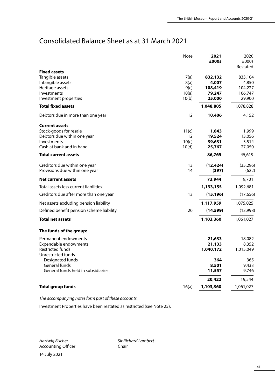# Consolidated Balance Sheet as at 31 March 2021

|                                               | <b>Note</b>    | 2021             | 2020              |
|-----------------------------------------------|----------------|------------------|-------------------|
|                                               |                | £000s            | £000s<br>Restated |
| <b>Fixed assets</b>                           |                |                  |                   |
| Tangible assets                               | 7(a)           | 832,132          | 833,104           |
| Intangible assets                             | 8(a)           | 4,007            | 4,850             |
| Heritage assets                               | 9(c)           | 108,419          | 104,227           |
| Investments                                   | 10(a)          | 79,247           | 106,747           |
| Investment properties                         | 10(b)          | 25,000           | 29,900            |
| <b>Total fixed assets</b>                     |                | 1,048,805        | 1,078,828         |
| Debtors due in more than one year             | 12             | 10,406           | 4,152             |
| <b>Current assets</b>                         |                |                  |                   |
| Stock-goods for resale                        | 11(c)          | 1,843            | 1,999             |
| Debtors due within one year                   | 12             | 19,524           | 13,056            |
| Investments<br>Cash at bank and in hand       | 10(c)<br>10(d) | 39,631<br>25,767 | 3,514             |
|                                               |                |                  | 27,050<br>45,619  |
| Total current assets                          |                | 86,765           |                   |
| Creditors due within one year                 | 13             | (12, 424)        | (35, 296)         |
| Provisions due within one year                | 14             | (397)            | (622)             |
| <b>Net current assets</b>                     |                | 73,944           | 9,701             |
| Total assets less current liabilities         |                | 1,133,155        | 1,092,681         |
| Creditors due after more than one year        | 13             | (15, 196)        | (17,656)          |
| Net assets excluding pension liability        |                | 1,117,959        | 1,075,025         |
| Defined benefit pension scheme liability      | 20             | (14, 599)        | (13,998)          |
| <b>Total net assets</b>                       |                | 1,103,360        | 1,061,027         |
| The funds of the group:                       |                |                  |                   |
| Permanent endowments                          |                | 21,633           | 18,082            |
| Expendable endowments                         |                | 21,133           | 8,352             |
| <b>Restricted funds</b><br>Unrestricted funds |                | 1,040,172        | 1,015,049         |
| Designated funds                              |                | 364              | 365               |
| <b>General funds</b>                          |                | 8,501            | 9,433             |
| General funds held in subsidiaries            |                | 11,557           | 9,746             |
|                                               |                | 20,422           | 19,544            |
| <b>Total group funds</b>                      | 16(a)          | 1,103,360        | 1,061,027         |
|                                               |                |                  |                   |

*The accompanying notes form part of these accounts.*

Investment Properties have been restated as restricted (see Note 25).

Accounting Officer **Chair** 

*Hartwig Fischer* Sir Richard Lambert

14 July 2021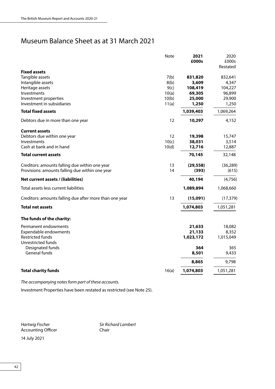# Museum Balance Sheet as at 31 March 2021

|                                                         | Note  | 2021<br>£000s | 2020<br>£000s<br>Restated |
|---------------------------------------------------------|-------|---------------|---------------------------|
| <b>Fixed assets</b>                                     |       |               |                           |
| Tangible assets                                         | 7(b)  | 831,820       | 832,641                   |
| Intangible assets                                       | 8(b)  | 3,609         | 4,347                     |
| Heritage assets                                         | 9(c)  | 108,419       | 104,227                   |
| Investments                                             | 10(a) | 69,305        | 96,899                    |
| Investment properties                                   | 10(b) | 25,000        | 29,900                    |
| Investment in subsidiaries                              | 11(a) | 1,250         | 1,250                     |
| <b>Total fixed assets</b>                               |       | 1,039,403     | 1,069,264                 |
| Debtors due in more than one year                       | 12    | 10,297        | 4,152                     |
| <b>Current assets</b>                                   |       |               |                           |
| Debtors due within one year                             | 12    | 19,398        | 15,747                    |
| Investments                                             | 10(c) | 38,031        | 3,514                     |
| Cash at bank and in hand                                | 10(d) | 12,716        | 12,887                    |
| <b>Total current assets</b>                             |       | 70,145        | 32,148                    |
| Creditors: amounts falling due within one year          | 13    | (29, 558)     | (36, 289)                 |
| Provisions: amounts falling due within one year         | 14    | (393)         | (615)                     |
| Net current assets / (liabilities)                      |       | 40,194        | (4,756)                   |
| Total assets less current liabilities                   |       | 1,089,894     | 1,068,660                 |
| Creditors: amounts falling due after more than one year | 13    | (15,091)      | (17, 379)                 |
| <b>Total net assets</b>                                 |       | 1,074,803     | 1,051,281                 |
| The funds of the charity:                               |       |               |                           |
| Permanent endowments                                    |       | 21,633        | 18,082                    |
| Expendable endowments                                   |       | 21,133        | 8,352                     |
| <b>Restricted funds</b><br>Unrestricted funds           |       | 1,023,172     | 1,015,049                 |
| Designated funds                                        |       | 364           | 365                       |
| General funds                                           |       | 8,501         | 9,433                     |
|                                                         |       | 8,865         | 9,798                     |
| <b>Total charity funds</b>                              | 16(a) | 1,074,803     | 1,051,281                 |

*The accompanying notes form part of these accounts.*

Investment Properties have been restated as restricted (see Note 25).

Accounting Officer

*Hartwig Fischer* Sir Richard Lambert<br>Accounting Officer Sir Schair

14 July 2021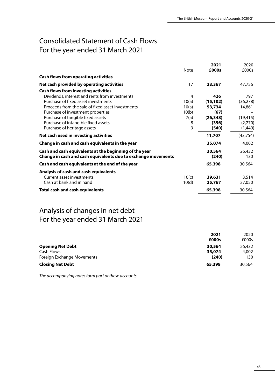# Consolidated Statement of Cash Flows For the year ended 31 March 2021

|                                                               | <b>Note</b> | 2021<br>£000s | 2020<br>£000s |
|---------------------------------------------------------------|-------------|---------------|---------------|
| <b>Cash flows from operating activities</b>                   |             |               |               |
| Net cash provided by operating activities                     | 17          | 23,367        | 47,756        |
| <b>Cash flows from investing activities</b>                   |             |               |               |
| Dividends, interest and rents from investments                | 4           | 426           | 797           |
| Purchase of fixed asset investments                           | 10(a)       | (15, 102)     | (36, 278)     |
| Proceeds from the sale of fixed asset investments             | 10(a)       | 53,734        | 14,861        |
| Purchase of investment properties                             | 10(b)       | (67)          |               |
| Purchase of tangible fixed assets                             | 7(a)        | (26, 348)     | (19, 415)     |
| Purchase of intangible fixed assets                           | 8           | (396)         | (2,270)       |
| Purchase of heritage assets                                   | 9           | (540)         | (1,449)       |
| Net cash used in investing activities                         |             | 11,707        | (43, 754)     |
| Change in cash and cash equivalents in the year               |             | 35,074        | 4,002         |
| Cash and cash equivalents at the beginning of the year        |             | 30,564        | 26,432        |
| Change in cash and cash equivalents due to exchange movements |             | (240)         | 130           |
| Cash and cash equivalents at the end of the year              |             | 65,398        | 30,564        |
| Analysis of cash and cash equivalents                         |             |               |               |
| <b>Current asset investments</b>                              | 10(c)       | 39,631        | 3,514         |
| Cash at bank and in hand                                      | 10(d)       | 25,767        | 27,050        |
| <b>Total cash and cash equivalents</b>                        |             | 65,398        | 30,564        |

# Analysis of changes in net debt For the year ended 31 March 2021

|                            | 2021   | 2020   |
|----------------------------|--------|--------|
|                            | £000s  | £000s  |
| <b>Opening Net Debt</b>    | 30,564 | 26,432 |
| Cash Flows                 | 35,074 | 4.002  |
| Foreign Exchange Movements | (240)  | 130    |
| <b>Closing Net Debt</b>    | 65,398 | 30,564 |

*The accompanying notes form part of these accounts.*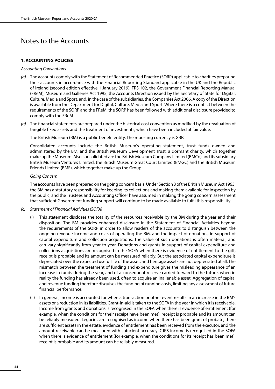# Notes to the Accounts

## **1. ACCOUNTING POLICIES**

## *Accounting Conventions*

- *(a)* The accounts comply with the Statement of Recommended Practice (SORP) applicable to charities preparing their accounts in accordance with the Financial Reporting Standard applicable in the UK and the Republic of Ireland (second edition effective 1 January 2019), FRS 102, the Government Financial Reporting Manual (FReM), Museum and Galleries Act 1992, the Accounts Direction issued by the Secretary of State for Digital, Culture, Media and Sport, and, in the case of the subsidiaries, the Companies Act 2006. A copy of the Direction is available from the Department for Digital, Culture, Media and Sport. Where there is a conflict between the requirements of the SORP and the FReM, the SORP has been followed with additional disclosure provided to comply with the FReM.
- *(b)* The financial statements are prepared under the historical cost convention as modified by the revaluation of tangible fixed assets and the treatment of investments, which have been included at fair value.

The British Museum (BM) is a public benefit entity. The reporting currency is GBP.

Consolidated accounts include the British Museum's operating statement, trust funds owned and administered by the BM, and the British Museum Development Trust, a dormant charity, which together make up the Museum. Also consolidated are the British Museum Company Limited (BMCo) and its subsidiary British Museum Ventures Limited, the British Museum Great Court Limited (BMGC) and the British Museum Friends Limited (BMF), which together make up the Group.

#### *Going Concern*

The accounts have been prepared on the going concern basis. Under Section 3 of the British Museum Act 1963, the BM has a statutory responsibility for keeping its collections and making them available for inspection by the public, and the Trustees and Accounting Officer have assumed in making the going concern assessment that sufficient Government funding support will continue to be made available to fulfil this responsibility.

- *(c) Statement of Financial Activities (SOFA)*
	- (i) This statement discloses the totality of the resources receivable by the BM during the year and their disposition. The BM provides enhanced disclosure in the Statement of Financial Activities beyond the requirements of the SORP in order to allow readers of the accounts to distinguish between the ongoing revenue income and costs of operating the BM, and the impact of donations in support of capital expenditure and collection acquisitions. The value of such donations is often material, and can vary significantly from year to year. Donations and grants in support of capital expenditure and collections acquisitions are recognised in the SOFA when there is evidence of entitlement to the gift, receipt is probable and its amount can be measured reliably. But the associated capital expenditure is depreciated over the expected useful life of the asset, and heritage assets are not depreciated at all. The mismatch between the treatment of funding and expenditure gives the misleading appearance of an increase in funds during the year, and of a consequent reserve carried forward to the future, when in reality the funding has already been used, often to acquire an inalienable asset. Aggregation of capital and revenue funding therefore disguises the funding of running costs, limiting any assessment of future financial performance.
	- (ii) In general, income is accounted for when a transaction or other event results in an increase in the BM's assets or a reduction in its liabilities. Grant-in-aid is taken to the SOFA in the year in which it is receivable. Income from grants and donations is recognised in the SOFA when there is evidence of entitlement (for example, when the conditions for their receipt have been met), receipt is probable and its amount can be reliably measured. Legacies are recognised as income when there has been grant of probate, there are sufficient assets in the estate, evidence of entitlement has been received from the executor, and the amount receivable can be measured with sufficient accuracy. CJRS income is recognised in the SOFA when there is evidence of entitlement (for example, when the conditions for its receipt has been met), receipt is probable and its amount can be reliably measured.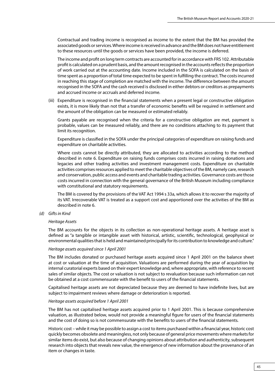Contractual and trading income is recognised as income to the extent that the BM has provided the associated goods or services. Where income is received in advance and the BM does not have entitlement to these resources until the goods or services have been provided, the income is deferred.

The income and profit on long term contracts are accounted for in accordance with FRS 102. Attributable profit is calculated on a prudent basis, and the amount recognised in the accounts reflects the proportion of work carried out at the accounting date. Income included in the SOFA is calculated on the basis of time spent as a proportion of total time expected to be spent in fulfilling the contract. The costs incurred in reaching this stage of completion are matched with the income. The difference between the amount recognised in the SOFA and the cash received is disclosed in either debtors or creditors as prepayments and accrued income or accruals and deferred income.

(iii) Expenditure is recognised in the financial statements when a present legal or constructive obligation exists, it is more likely than not that a transfer of economic benefits will be required in settlement and the amount of the obligation can be measured or estimated reliably.

Grants payable are recognised when the criteria for a constructive obligation are met, payment is probable, values can be measured reliably, and there are no conditions attaching to its payment that limit its recognition.

Expenditure is classified in the SOFA under the principal categories of expenditure on raising funds and expenditure on charitable activities.

Where costs cannot be directly attributed, they are allocated to activities according to the method described in note 6. Expenditure on raising funds comprises costs incurred in raising donations and legacies and other trading activities and investment management costs. Expenditure on charitable activities comprises resources applied to meet the charitable objectives of the BM, namely care, research and conservation, public access and events and charitable trading activities. Governance costs are those costs incurred in connection with the general governance of the British Museum including compliance with constitutional and statutory requirements.

The BM is covered by the provisions of the VAT Act 1994 s 33a, which allows it to recover the majority of its VAT. Irrecoverable VAT is treated as a support cost and apportioned over the activities of the BM as described in note 6.

## *(d) Gifts in Kind*

#### *Heritage Assets*

The BM accounts for the objects in its collection as non-operational heritage assets. A heritage asset is defined as "a tangible or intangible asset with historical, artistic, scientific, technological, geophysical or environmental qualities that is held and maintained principally for its contribution to knowledge and culture."

#### *Heritage assets acquired since 1 April 2001*

The BM includes donated or purchased heritage assets acquired since 1 April 2001 on the balance sheet at cost or valuation at the time of acquisition. Valuations are performed during the year of acquisition by internal curatorial experts based on their expert knowledge and, where appropriate, with reference to recent sales of similar objects. The cost or valuation is not subject to revaluation because such information can not be obtained at a cost commensurate with the benefit to users of the financial statements.

Capitalised heritage assets are not depreciated because they are deemed to have indefinite lives, but are subject to impairment reviews where damage or deterioration is reported.

# *Heritage assets acquired before 1 April 2001*

The BM has not capitalised heritage assets acquired prior to 1 April 2001. This is because comprehensive valuation, as illustrated below, would not provide a meaningful figure for users of the financial statements and the cost of doing so is not commensurate with the benefits to users of the financial statements.

Historic cost – while it may be possible to assign a cost to items purchased within a financial year, historic cost quickly becomes obsolete and meaningless, not only because of general price movements where markets for similar items do exist, but also because of changing opinions about attribution and authenticity, subsequent research into objects that reveals new value, the emergence of new information about the provenance of an item or changes in taste.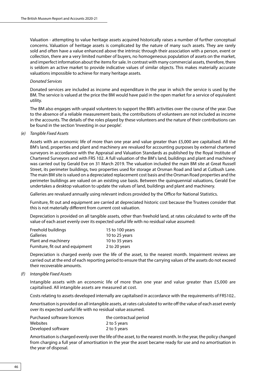Valuation - attempting to value heritage assets acquired historically raises a number of further conceptual concerns. Valuation of heritage assets is complicated by the nature of many such assets. They are rarely sold and often have a value enhanced above the intrinsic through their association with a person, event or collection, there are a very limited number of buyers, no homogeneous population of assets on the market, and imperfect information about the items for sale. In contrast with many commercial assets, therefore, there is seldom an active market to provide indicative values of similar objects. This makes materially accurate valuations impossible to achieve for many heritage assets.

#### *Donated Services*

Donated services are included as income and expenditure in the year in which the service is used by the BM. The service is valued at the price the BM would have paid in the open market for a service of equivalent utility.

The BM also engages with unpaid volunteers to support the BM's activities over the course of the year. Due to the absence of a reliable measurement basis, the contributions of volunteers are not included as income in the accounts. The details of the roles played by these volunteers and the nature of their contributions can be found in the section 'Investing in our people'.

#### *(e) Tangible Fixed Assets*

Assets with an economic life of more than one year and value greater than £5,000 are capitalised. All the BM's land, properties and plant and machinery are revalued for accounting purposes by external chartered surveyors in accordance with the Appraisal and Valuation Standards as published by the Royal Institute of Chartered Surveyors and with FRS 102. A full valuation of the BM's land, buildings and plant and machinery was carried out by Gerald Eve on 31 March 2019. The valuation included the main BM site at Great Russell Street, its perimeter buildings, two properties used for storage at Orsman Road and land at Cutbush Lane. The main BM site is valued on a depreciated replacement cost basis and the Orsman Road properties and the perimeter buildings are valued on an existing use basis. Between the quinquennial valuations, Gerald Eve undertakes a desktop valuation to update the values of land, buildings and plant and machinery.

Galleries are revalued annually using relevant indices provided by the Office for National Statistics.

Furniture, fit out and equipment are carried at depreciated historic cost because the Trustees consider that this is not materially different from current cost valuation.

Depreciation is provided on all tangible assets, other than freehold land, at rates calculated to write off the value of each asset evenly over its expected useful life with no residual value assumed:

| Freehold buildings               | 15 to 100 years |
|----------------------------------|-----------------|
| <b>Galleries</b>                 | 10 to 25 years  |
| Plant and machinery              | 10 to 35 years  |
| Furniture, fit out and equipment | 2 to 20 years   |

Depreciation is charged evenly over the life of the asset, to the nearest month. Impairment reviews are carried out at the end of each reporting period to ensure that the carrying values of the assets do not exceed their recoverable amounts.

#### *(f) Intangible Fixed Assets*

Intangible assets with an economic life of more than one year and value greater than £5,000 are capitalised. All intangible assets are measured at cost.

Costs relating to assets developed internally are capitalised in accordance with the requirements of FRS102..

Amortisation is provided on all intangible assets, at rates calculated to write off the value of each asset evenly over its expected useful life with no residual value assumed.

| Purchased software licences | the contractual period |
|-----------------------------|------------------------|
| Websites                    | 2 to 5 years           |
| Developed software          | 2 to 5 years           |

Amortisation is charged evenly over the life of the asset, to the nearest month. In the year, the policy changed from charging a full year of amortisation in the year the asset became ready for use and no amortisation in the year of disposal.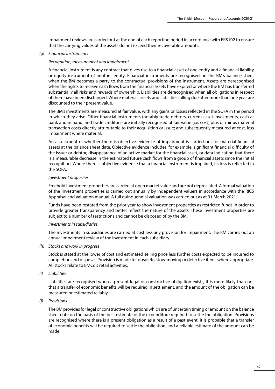Impairment reviews are carried out at the end of each reporting period in accordance with FRS102 to ensure that the carrying values of the assets do not exceed their recoverable amounts.

#### *(g) Financial instruments*

#### *Recognition, measurement and impairment*

A financial instrument is any contract that gives rise to a financial asset of one entity and a financial liability or equity instrument of another entity. Financial instruments are recognised on the BM's balance sheet when the BM becomes a party to the contractual provisions of the instrument. Assets are derecognised when the rights to receive cash flows from the financial assets have expired or where the BM has transferred substantially all risks and rewards of ownership. Liabilities are derecognised when all obligations in respect of them have been discharged. Where material, assets and liabilities falling due after more than one year are discounted to their present value.

The BM's investments are measured at fair value, with any gains or losses reflected in the SOFA in the period in which they arise. Other financial instruments (notably trade debtors, current asset investments, cash at bank and in hand, and trade creditors) are initially recognised at fair value (i.e. cost) plus or minus material transaction costs directly attributable to their acquisition or issue; and subsequently measured at cost, less impairment where material.

An assessment of whether there is objective evidence of impairment is carried out for material financial assets at the balance sheet date. Objective evidence includes, for example, significant financial difficulty of the issuer or debtor, disappearance of an active market for the financial asset, or data indicating that there is a measurable decrease in the estimated future cash flows from a group of financial assets since the initial recognition. Where there is objective evidence that a financial instrument is impaired, its loss is reflected in the SOFA.

#### *Investment properties*

Freehold investment properties are carried at open market value and are not depreciated. A formal valuation of the investment properties is carried out annually by independent valuers in accordance with the RICS Appraisal and Valuation manual. A full quinquennial valuation was carried out as at 31 March 2021.

Funds have been restated from the prior year to show investment properties as restricted funds in order to provide greater transparency and better reflect the nature of the assets. These investment properties are subject to a number of restrictions and cannot be disposed of by the BM.

#### *Investments in subsidiaries*

The investments in subsidiaries are carried at cost less any provision for impairment. The BM carries out an annual impairment review of the investment in each subsidiary.

#### *(h) Stocks and work in progress*

Stock is stated at the lower of cost and estimated selling price less further costs expected to be incurred to completion and disposal. Provision is made for obsolete, slow-moving or defective items where appropriate. All stocks relate to BMCo's retail activities.

*(i) Liabilities*

Liabilities are recognised when a present legal or constructive obligation exists, it is more likely than not that a transfer of economic benefits will be required in settlement, and the amount of the obligation can be measured or estimated reliably.

#### *(j) Provisions*

The BM provides for legal or constructive obligations which are of uncertain timing or amount on the balance sheet date on the basis of the best estimate of the expenditure required to settle the obligation. Provisions are recognised where there is a present obligation as a result of a past event, it is probable that a transfer of economic benefits will be required to settle the obligation, and a reliable estimate of the amount can be made.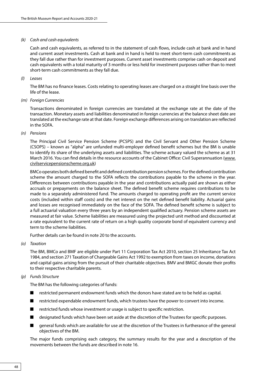## *(k) Cash and cash equivalents*

Cash and cash equivalents, as referred to in the statement of cash flows, include cash at bank and in hand and current asset investments. Cash at bank and in hand is held to meet short-term cash commitments as they fall due rather than for investment purposes. Current asset investments comprise cash on deposit and cash equivalents with a total maturity of 3 months or less held for investment purposes rather than to meet short-term cash commitments as they fall due.

#### *(l) Leases*

The BM has no finance leases. Costs relating to operating leases are charged on a straight line basis over the life of the lease.

*(m) Foreign Currencies*

Transactions denominated in foreign currencies are translated at the exchange rate at the date of the transaction. Monetary assets and liabilities denominated in foreign currencies at the balance sheet date are translated at the exchange rate at that date. Foreign exchange differences arising on translation are reflected in the SOFA.

#### *(n) Pensions*

The Principal Civil Service Pension Scheme (PCSPS) and the Civil Servant and Other Pension Scheme (CSOPS) – known as "alpha" are unfunded multi-employer defined benefit schemes but the BM is unable to identify its share of the underlying assets and liabilities. The scheme actuary valued the scheme as at 31 March 2016. You can find details in the resource accounts of the Cabinet Office: Civil Superannuation [\(www.](www.civilservicepensionscheme.org.uk) [civilservicepensionscheme.org.uk\)](www.civilservicepensionscheme.org.uk)

BMCo operates both defined benefit and defined contribution pension schemes. For the defined contribution scheme the amount charged to the SOFA reflects the contributions payable to the scheme in the year. Differences between contributions payable in the year and contributions actually paid are shown as either accruals or prepayments on the balance sheet. The defined benefit scheme requires contributions to be made to a separately administered fund. The amounts charged to operating profit are the current service costs (included within staff costs) and the net interest on the net defined benefit liability. Actuarial gains and losses are recognised immediately on the face of the SOFA. The defined benefit scheme is subject to a full actuarial valuation every three years by an independent qualified actuary. Pension scheme assets are measured at fair value. Scheme liabilities are measured using the projected unit method and discounted at a rate equivalent to the current rate of return on a high quality corporate bond of equivalent currency and term to the scheme liabilities.

Further details can be found in note 20 to the accounts.

*(o) Taxation*

The BM, BMCo and BMF are eligible under Part 11 Corporation Tax Act 2010, section 25 Inheritance Tax Act 1984, and section 271 Taxation of Chargeable Gains Act 1992 to exemption from taxes on income, donations and capital gains arising from the pursuit of their charitable objectives. BMV and BMGC donate their profits to their respective charitable parents.

*(p) Funds Structure*

The BM has the following categories of funds:

- restricted permanent endowment funds which the donors have stated are to be held as capital.
- restricted expendable endowment funds, which trustees have the power to convert into income.
- restricted funds whose investment or usage is subject to specific restriction.
- designated funds which have been set aside at the discretion of the Trustees for specific purposes.
- general funds which are available for use at the discretion of the Trustees in furtherance of the general objectives of the BM.

The major funds comprising each category, the summary results for the year and a description of the movements between the funds are described in note 16.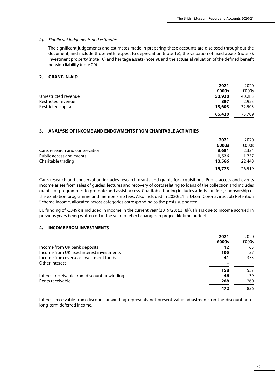## *(q) Significant judgements and estimates*

The significant judgements and estimates made in preparing these accounts are disclosed throughout the document, and include those with respect to depreciation (note 1e), the valuation of fixed assets (note 7), investment property (note 10) and heritage assets (note 9), and the actuarial valuation of the defined benefit pension liability (note 20).

## **2. GRANT-IN-AID**

|                      | 2021   | 2020   |
|----------------------|--------|--------|
|                      | £000s  | £000s  |
| Unrestricted revenue | 50,920 | 40,283 |
| Restricted revenue   | 897    | 2.923  |
| Restricted capital   | 13,603 | 32,503 |
|                      | 65,420 | 75,709 |

## **3. ANALYSIS OF INCOME AND ENDOWMENTS FROM CHARITABLE ACTIVITIES**

|                                 | 2021   | 2020   |
|---------------------------------|--------|--------|
|                                 | £000s  | £000s  |
| Care, research and conservation | 3,681  | 2,334  |
| Public access and events        | 1,526  | 1,737  |
| Charitable trading              | 10,566 | 22,448 |
|                                 | 15,773 | 26,519 |

Care, research and conservation includes research grants and grants for acquisitions. Public access and events income arises from sales of guides, lectures and recovery of costs relating to loans of the collection and includes grants for programmes to promote and assist access. Charitable trading includes admission fees, sponsorship of the exhibition programme and membership fees. Also included in 2020/21 is £4.6m Coronavirus Job Retention Scheme income, allocated across categories corresponding to the posts supported.

EU funding of -£349k is included in income in the current year (2019/20: £318k). This is due to income accrued in previous years being written off in the year to reflect changes in project lifetime budgets.

# **4. INCOME FROM INVESTMENTS**

|                                             | 2021  | 2020  |
|---------------------------------------------|-------|-------|
|                                             | £000s | £000s |
| Income from UK bank deposits                | 12    | 165   |
| Income from UK fixed interest investments   | 105   | 37    |
| Income from overseas investment funds       | 41    | 335   |
| Other interest                              |       |       |
|                                             | 158   | 537   |
| Interest receivable from discount unwinding | 46    | 39    |
| Rents receivable                            | 268   | 260   |
|                                             | 472   | 836   |

Interest receivable from discount unwinding represents net present value adjustments on the discounting of long-term deferred income.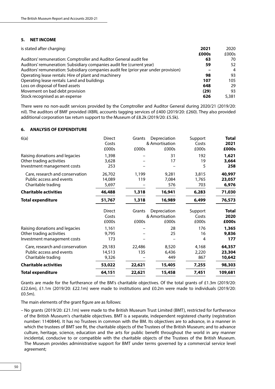## **5. NET INCOME**

| is stated after charging:                                                           | 2021  | 2020  |
|-------------------------------------------------------------------------------------|-------|-------|
|                                                                                     | £000s | £000s |
| Auditors' remuneration: Comptroller and Auditor General audit fee                   | 63    | 70    |
| Auditors' remuneration: Subsidiary companies audit fee (current year)               | 59    | 52    |
| Auditors' remuneration: Subsidiary companies audit fee (prior year under provision) |       | 4     |
| Operating lease rentals: Hire of plant and machinery                                | 98    | 93    |
| Operating lease rentals: Land and buildings                                         | 107   | 105   |
| Loss on disposal of fixed assets                                                    | 648   | 29    |
| Movement on bad debt provision                                                      | (29)  | 93    |
| Stock recognised as an expense                                                      | 626   | 5,381 |

There were no non-audit services provided by the Comptroller and Auditor General during 2020/21 (2019/20: nil). The auditors of BMF provided iXBRL accounts tagging services of £400 (2019/20: £260). They also provided additional corporation tax return support to the Museum of £8.2k (2019/20: £5.5k).

## **6. ANALYSIS OF EXPENDITURE**

| 6(a)                            | Direct | Grants | Depreciation   | Support | <b>Total</b> |
|---------------------------------|--------|--------|----------------|---------|--------------|
|                                 | Costs  |        | & Amortisation | Costs   | 2021         |
|                                 | £000s  | £000s  | £000s          | £000s   | £000s        |
| Raising donations and legacies  | 1,398  |        | 31             | 192     | 1,621        |
| Other trading activities        | 3,628  |        | 17             | 19      | 3,664        |
| Investment management costs     | 253    |        |                | 5       | 258          |
| Care, research and conservation | 26,702 | 1,199  | 9,281          | 3,815   | 40,997       |
| Public access and events        | 14,089 | 119    | 7,084          | 1,765   | 23,057       |
| Charitable trading              | 5,697  |        | 576            | 703     | 6,976        |
| <b>Charitable activities</b>    | 46,488 | 1,318  | 16,941         | 6,283   | 71,030       |
| <b>Total expenditure</b>        | 51,767 | 1,318  | 16,989         | 6,499   | 76,573       |
|                                 | Direct | Grants | Depreciation   | Support | Total        |
|                                 | Costs  |        | & Amortisation | Costs   | 2020         |
|                                 | £000s  | £000s  | £000s          | £000s   | £000s        |
| Raising donations and legacies  | 1,161  |        | 28             | 176     | 1,365        |
| Other trading activities        | 9,795  |        | 25             | 16      | 9,836        |
| Investment management costs     | 173    |        |                | 4       | 177          |
| Care, research and conservation | 29,183 | 22,486 | 8,520          | 4,168   | 64,357       |
| Public access and events        | 14,513 | 135    | 6,436          | 2,220   | 23,304       |
| Charitable trading              | 9,326  |        | 449            | 867     | 10,642       |
| <b>Charitable activities</b>    | 53,022 | 22,621 | 15,405         | 7,255   | 98,303       |
| <b>Total expenditure</b>        | 64,151 | 22,621 | 15,458         | 7,451   | 109,681      |

Grants are made for the furtherance of the BM's charitable objectives. Of the total grants of £1.3m (2019/20: £22.6m), £1.1m (2019/20: £22.1m) were made to institutions and £0.2m were made to individuals (2019/20: £0.5m).

The main elements of the grant figure are as follows:

– No grants (2019/20: £21.1m) were made to the British Museum Trust Limited (BMT), restricted for furtherance of the British Museum's charitable objectives. BMT is a separate, independent registered charity (registration number: 1140844). It has no Trustees in common with the BM. Its objectives are to advance, in a manner in which the trustees of BMT see fit, the charitable objects of the Trustees of the British Museum; and to advance culture, heritage, science, education and the arts for public benefit throughout the world in any manner incidental, conducive to or compatible with the charitable objects of the Trustees of the British Museum. The Museum provides administrative support for BMT under terms governed by a commercial service level agreement;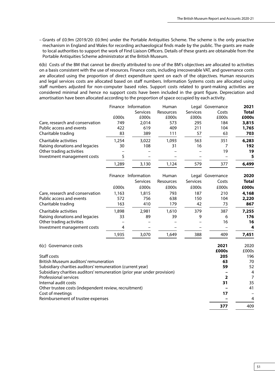– Grants of £0.9m (2019/20: £0.9m) under the Portable Antiquities Scheme. The scheme is the only proactive mechanism in England and Wales for recording archaeological finds made by the public. The grants are made to local authorities to support the work of Find Liaison Officers. Details of these grants are obtainable from the Portable Antiquities Scheme administrator at the British Museum.

6(b) Costs of the BM that cannot be directly attributed to one of the BM's objectives are allocated to activities on a basis consistent with the use of resources. Finance costs, including irrecoverable VAT, and governance costs are allocated using the proportion of direct expenditure spent on each of the objectives. Human resources and legal services costs are allocated based on staff numbers. Information Systems costs are allocated using staff numbers adjusted for non-computer based roles. Support costs related to grant-making activities are considered minimal and hence no support costs have been included in the grant figure. Depreciation and amortisation have been allocated according to the proportion of space occupied by each activity.

|                                 | Finance | Information     | Human     |                 | Legal Governance | 2021         |
|---------------------------------|---------|-----------------|-----------|-----------------|------------------|--------------|
|                                 |         | <b>Services</b> | Resources | <b>Services</b> | Costs            | <b>Total</b> |
|                                 | £000s   | £000s           | £000s     | £000s           | £000s            | £000s        |
| Care, research and conservation | 749     | 2,014           | 573       | 295             | 184              | 3,815        |
| Public access and events        | 422     | 619             | 409       | 211             | 104              | 1,765        |
| Charitable trading              | 83      | 389             | 111       | 57              | 63               | 703          |
| Charitable activities           | 1.254   | 3,022           | 1.093     | 563             | 351              | 6,283        |
| Raising donations and legacies  | 30      | 108             | 31        | 16              |                  | 192          |
| Other trading activities        |         |                 |           |                 | 19               | 19           |
| Investment management costs     |         |                 |           |                 |                  | 5            |
|                                 | 1,289   | 3,130           | 1,124     | 579             | 377              | 6,499        |

|                                 |       | Finance Information<br><b>Services</b> | Human<br>Resources | <b>Services</b> | Legal Governance<br>Costs | 2020<br><b>Total</b> |
|---------------------------------|-------|----------------------------------------|--------------------|-----------------|---------------------------|----------------------|
|                                 | £000s | £000s                                  | £000s              | £000s           | £000s                     | £000s                |
| Care, research and conservation | 1,163 | 1,815                                  | 793                | 187             | 210                       | 4,168                |
| Public access and events        | 572   | 756                                    | 638                | 150             | 104                       | 2,220                |
| Charitable trading              | 163   | 410                                    | 179                | 42              | 73                        | 867                  |
| Charitable activities           | 1,898 | 2.981                                  | 1,610              | 379             | 387                       | 7,255                |
| Raising donations and legacies  | 33    | 89                                     | 39                 | 9               | 6                         | 176                  |
| Other trading activities        |       |                                        |                    |                 | 16                        | 16                   |
| Investment management costs     | 4     |                                        |                    |                 |                           | 4                    |
|                                 | 1.935 | 3,070                                  | 1,649              | 388             | 409                       | 7,451                |

| 6(c) Governance costs                                                    | 2021  | 2020  |
|--------------------------------------------------------------------------|-------|-------|
|                                                                          | £000s | £000s |
| Staff costs                                                              | 205   | 196   |
| British Museum auditors' remuneration                                    | 63    | 70    |
| Subsidiary charities auditors' remuneration (current year)               | 59    | 52    |
| Subsidiary charities auditors' remuneration (prior year under provision) |       | 4     |
| Professional services                                                    |       | 7     |
| Internal audit costs                                                     | 31    | 35    |
| Other trustee costs (independent review, recruitment)                    |       | 41    |
| Cost of meetings                                                         | 17    |       |
| Reimbursement of trustee expenses                                        |       | 4     |
|                                                                          | 377   | 409   |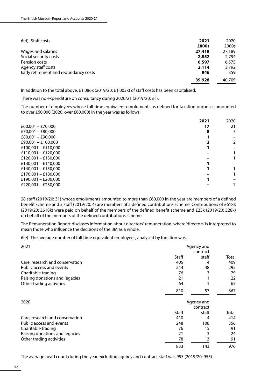| 6(d) Staff costs<br>2021                     | 2020   |
|----------------------------------------------|--------|
| £000s                                        | £000s  |
| Wages and salaries<br>27,419                 | 27,189 |
| Social security costs<br>2,852               | 2,794  |
| Pension costs<br>6,597                       | 6,575  |
| Agency staff costs<br>2,114                  | 3,792  |
| Early retirement and redundancy costs<br>946 | 359    |
| 39,928                                       | 40,709 |

In addition to the total above, £1,086k (2019/20: £1,003k) of staff costs has been capitalised.

There was no expenditure on consultancy during 2020/21 (2019/20: nil).

The number of employees whose full time equivalent emoluments as defined for taxation purposes amounted to over £60,000 (2020: over £60,000) in the year was as follows:

|                     | 2021 | 2020 |
|---------------------|------|------|
| £60,001 - £70,000   | 17   | 21   |
| £70,001 - £80,000   | 8    | 7    |
| $£80.001 - £90.000$ |      |      |
| £90,001 - £100,000  |      | 2    |
| £100,001 - £110,000 |      |      |
| £110,001 - £120,000 |      |      |
| £120,001 - £130,000 |      |      |
| £130,001 - £140,000 |      |      |
| £140,001 - £150,000 |      |      |
| £170,001 - £180,000 |      |      |
| £190,001 - £200,000 |      |      |
| £220,001 - £230,000 |      |      |

28 staff (2019/20: 31) whose emoluments amounted to more than £60,000 in the year are members of a defined benefit scheme and 3 staff (2019/20: 4) are members of a defined contributions scheme. Contributions of £618k (2019/20: £618k) were paid on behalf of the members of the defined benefit scheme and £23k (2019/20: £28k) on behalf of the members of the defined contributions scheme.

The Remuneration Report discloses information about directors' remuneration, where 'directors' is interpreted to mean those who influence the decisions of the BM as a whole.

6(e) The average number of full time equivalent employees, analysed by function was:

| 2021                            | Agency and<br>contract |            |       |
|---------------------------------|------------------------|------------|-------|
|                                 | Staff                  | staff      | Total |
| Care, research and conservation | 405                    | 4          | 409   |
| Public access and events        | 244                    | 48         | 292   |
| Charitable trading              | 76                     | 3          | 79    |
| Raising donations and legacies  | 21                     |            | 22    |
| Other trading activities        | 64                     |            | 65    |
|                                 | 810                    | 57         | 867   |
| 2020                            |                        | Agency and |       |
|                                 |                        | contract   |       |
|                                 | Staff                  | staff      | Total |
| Care, research and conservation | 410                    | 4          | 414   |
| Public access and events        | 248                    | 108        | 356   |
| Charitable trading              | 76                     | 15         | 91    |
| Raising donations and legacies  | 21                     | 3          | 24    |
| Other trading activities        | 78                     | 13         | 91    |
|                                 | 833                    | 143        | 976   |

The average head count during the year excluding agency and contract staff was 953 (2019/20: 955).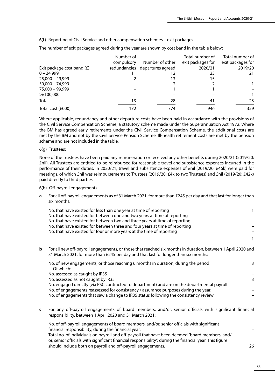6(f) Reporting of Civil Service and other compensation schemes – exit packages

The number of exit packages agreed during the year are shown by cost band in the table below:

|                              | Number of<br>compulsory | Number of other                | Total number of<br>exit packages for | Total number of<br>exit packages for |
|------------------------------|-------------------------|--------------------------------|--------------------------------------|--------------------------------------|
| Exit package cost band $(E)$ |                         | redundancies departures agreed | 2020/21                              | 2019/20                              |
| $0 - 24.999$                 |                         | 12                             | 23                                   | 21                                   |
| $25,000 - 49,999$            |                         | 13                             | 15                                   |                                      |
| $50,000 - 74,999$            |                         |                                |                                      | 1                                    |
| 75,000 - 99,999              |                         |                                |                                      |                                      |
| >£100,000                    |                         |                                |                                      |                                      |
| Total                        | 13                      | 28                             | 41                                   | 23                                   |
| Total cost (£000)            | 172                     | 774                            | 946                                  | 359                                  |

Where applicable, redundancy and other departure costs have been paid in accordance with the provisions of the Civil Service Compensation Scheme, a statutory scheme made under the Superannuation Act 1972. Where the BM has agreed early retirements under the Civil Service Compensation Scheme, the additional costs are met by the BM and not by the Civil Service Pension Scheme. Ill-health retirement costs are met by the pension scheme and are not included in the table.

## 6(g) Trustees:

None of the trustees have been paid any remuneration or received any other benefits during 2020/21 (2019/20: £nil). All Trustees are entitled to be reimbursed for reasonable travel and subsistence expenses incurred in the performance of their duties. In 2020/21, travel and subsistence expenses of £nil (2019/20: £46k) were paid for meetings, of which £nil was reimbursements to Trustees (2019/20: £4k to two Trustees) and £nil (2019/20: £42k) paid directly to third parties.

#### 6(h) Off-payroll engagements

**a** For all off-payroll engagements as of 31 March 2021, for more than £245 per day and that last for longer than six months:

| No. that have existed for between one and two years at time of reporting    |  |
|-----------------------------------------------------------------------------|--|
| No. that have existed for between two and three years at time of reporting  |  |
| No. that have existed for between three and four years at time of reporting |  |
| No. that have existed for four or more years at the time of reporting       |  |
|                                                                             |  |

**b** For all new off-payroll engagements, or those that reached six months in duration, between 1 April 2020 and 31 March 2021, for more than £245 per day and that last for longer than six months:

| No. of new engagements, or those reaching 6 months in duration, during the period           | 3 |
|---------------------------------------------------------------------------------------------|---|
| Of which:                                                                                   |   |
| No. assessed as caught by IR35                                                              |   |
| No. assessed as not caught by IR35                                                          | 3 |
| No. engaged directly (via PSC contracted to department) and are on the departmental payroll |   |
| No. of engagements reassessed for consistency / assurance purposes during the year.         |   |
| No. of engagements that saw a change to IR35 status following the consistency review        |   |
|                                                                                             |   |

**c** For any off-payroll engagements of board members, and/or, senior officials with significant financial responsibility, between 1 April 2020 and 31 March 2021:

No. of off-payroll engagements of board members, and/or, senior officials with significant financial responsibility, during the financial year. –

Total no. of individuals on payroll and off-payroll that have been deemed "board members, and/ or, senior officials with significant financial responsibility", during the financial year. This figure should include both on payroll and off-payroll engagements. 26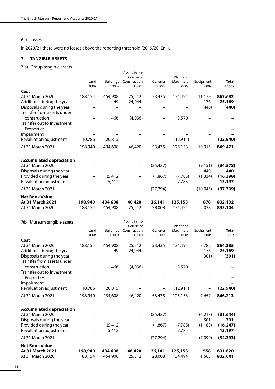# 6(i) Losses

In 2020/21 there were no losses above the reporting threshold (2019/20: £nil).

# **7. TANGIBLE ASSETS**

7(a) Group tangible assets

|                                                               | Land                                | <b>Buildings</b>   | Assets in the<br>Course of<br>Construction | Galleries                           | Plant and<br>Machinery | Equipment          | Total                 |
|---------------------------------------------------------------|-------------------------------------|--------------------|--------------------------------------------|-------------------------------------|------------------------|--------------------|-----------------------|
| Cost                                                          | £000s                               | £000s              | £000s                                      | £000s                               | £000s                  | £000s              | £000s                 |
| At 31 March 2020<br>Additions during the year                 | 188,154                             | 454,908<br>49      | 25,512<br>24,944                           | 53,435                              | 134,494                | 11,179<br>176      | 867,682<br>25,169     |
| Disposals during the year<br>Transfer from assets under       |                                     |                    |                                            |                                     |                        | (440)              | (440)                 |
| construction<br>Transfer out to Investment                    |                                     | 466                | (4,036)                                    |                                     | 3,570                  |                    |                       |
| Properties<br>Impairment                                      |                                     |                    |                                            |                                     |                        |                    |                       |
| Revaluation adjustment                                        | 10,786                              | (20, 815)          |                                            |                                     | (12, 911)              |                    | (22, 940)             |
| At 31 March 2021                                              | 198,940                             | 434,608            | 46,420                                     | 53,435                              | 125,153                | 10,915             | 869,471               |
| <b>Accumulated depreciation</b><br>At 31 March 2020           |                                     |                    |                                            | (25, 427)                           |                        | (9, 151)           | (34, 578)             |
| Disposals during the year                                     |                                     | (5, 412)           |                                            |                                     |                        | 440                | 440<br>(16, 398)      |
| Provided during the year<br>Revaluation adjustment            | $\overline{\phantom{0}}$            | 5,412              | -                                          | (1,867)<br>$\overline{\phantom{0}}$ | (7, 785)<br>7,785      | (1, 334)<br>-      | 13,197                |
| At 31 March 2021                                              |                                     |                    | $\overline{\phantom{0}}$                   | (27, 294)                           | $\qquad \qquad -$      | (10,045)           | (37, 339)             |
| <b>Net Book Value</b><br>At 31 March 2021<br>At 31 March 2020 | 198,940<br>188,154                  | 434,608<br>454,908 | 46,420<br>25,512                           | 26,141<br>28,008                    | 125,153<br>134,494     | 870<br>2,028       | 832,132<br>833,104    |
| 7(b) Museum tangible assets                                   |                                     |                    | Assets in the<br>Course of                 |                                     | Plant and              |                    |                       |
|                                                               | Land<br>£000s                       | Buildings<br>£000s | Construction<br>£000s                      | Galleries<br>£000s                  | Machinery<br>£000s     | Equipment<br>£000s | <b>Total</b><br>£000s |
| Cost                                                          |                                     |                    |                                            |                                     |                        |                    |                       |
| At 31 March 2020<br>Additions during the year                 | 188,154<br>$\overline{\phantom{0}}$ | 454,908<br>49      | 25,512<br>24,944                           | 53,435                              | 134,494                | 7,782<br>176       | 864,285<br>25,169     |
| Disposals during the year<br>Transfer from assets under       |                                     |                    |                                            |                                     |                        | (301)              | (301)                 |
| construction<br>Transfer out to Investment                    |                                     | 466                | (4,036)                                    |                                     | 3,570                  |                    |                       |
| Properties                                                    |                                     |                    |                                            |                                     |                        |                    |                       |
| Impairment<br>Revaluation adjustment                          | 10,786                              | (20, 815)          |                                            |                                     | (12, 911)              |                    | (22, 940)             |
| At 31 March 2021                                              | 198,940                             | 434,608            | 46,420                                     | 53,435                              | 125,153                | 7,657              | 866,213               |
|                                                               |                                     |                    |                                            |                                     |                        |                    |                       |
| <b>Accumulated depreciation</b><br>At 31 March 2020           |                                     |                    |                                            | (25, 427)                           |                        | (6,217)            | (31, 644)             |
| Disposals during the year                                     |                                     |                    |                                            |                                     |                        | 301                | 301                   |
| Provided during the year<br>Revaluation adjustment            |                                     | (5, 412)<br>5,412  |                                            | (1,867)                             | (7, 785)<br>7,785      | (1, 183)           | (16, 247)<br>13,197   |
| At 31 March 2021                                              |                                     |                    |                                            | (27, 294)                           |                        | (7,099)            | (34, 393)             |
| <b>Net Book Value</b>                                         |                                     |                    |                                            |                                     |                        |                    |                       |
| At 31 March 2021<br>At 31 March 2020                          | 198,940<br>188,154                  | 434,608<br>454,908 | 46,420<br>25,512                           | 26,141<br>28,008                    | 125,153<br>134,494     | 558<br>1,565       | 831,820<br>832,641    |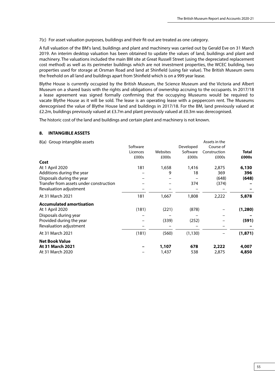7(c) For asset valuation purposes, buildings and their fit-out are treated as one category.

A full valuation of the BM's land, buildings and plant and machinery was carried out by Gerald Eve on 31 March 2019. An interim desktop valuation has been obtained to update the values of land, buildings and plant and machinery. The valuations included the main BM site at Great Russell Street (using the depreciated replacement cost method) as well as its perimeter buildings which are not investment properties, the WCEC building, two properties used for storage at Orsman Road and land at Shinfield (using fair value). The British Museum owns the freehold on all land and buildings apart from Shinfield which is on a 999 year lease.

Blythe House is currently occupied by the British Museum, the Science Museum and the Victoria and Albert Museum on a shared basis with the rights and obligations of ownership accruing to the occupants. In 2017/18 a lease agreement was signed formally confirming that the occupying Museums would be required to vacate Blythe House as it will be sold. The lease is an operating lease with a peppercorn rent. The Museums derecognised the value of Blythe House land and buildings in 2017/18. For the BM, land previously valued at £2.2m, buildings previously valued at £3.7m and plant previously valued at £0.3m was derecognised.

The historic cost of the land and buildings and certain plant and machinery is not known.

#### **8. INTANGIBLE ASSETS**

| 8(a) Group intangible assets            |          |          |           | Assets in the |              |
|-----------------------------------------|----------|----------|-----------|---------------|--------------|
|                                         | Software |          | Developed | Course of     |              |
|                                         | Licences | Websites | Software  | Construction  | <b>Total</b> |
|                                         | £000s    | £000s    | £000s     | £000s         | £000s        |
| Cost                                    |          |          |           |               |              |
| At 1 April 2020                         | 181      | 1,658    | 1,416     | 2,875         | 6,130        |
| Additions during the year               |          | 9        | 18        | 369           | 396          |
| Disposals during the year               |          |          |           | (648)         | (648)        |
| Transfer from assets under construction |          |          | 374       | (374)         |              |
| Revaluation adjustment                  |          |          |           |               |              |
| At 31 March 2021                        | 181      | 1,667    | 1,808     | 2,222         | 5,878        |
| <b>Accumulated amortisation</b>         |          |          |           |               |              |
| At 1 April 2020                         | (181)    | (221)    | (878)     |               | (1, 280)     |
| Disposals during year                   |          |          |           |               |              |
| Provided during the year                |          | (339)    | (252)     |               | (591)        |
| Revaluation adjustment                  |          |          |           |               |              |
| At 31 March 2021                        | (181)    | (560)    | (1, 130)  |               | (1, 871)     |
| <b>Net Book Value</b>                   |          |          |           |               |              |
| At 31 March 2021                        |          | 1,107    | 678       | 2,222         | 4,007        |
| At 31 March 2020                        |          | 1,437    | 538       | 2,875         | 4,850        |
|                                         |          |          |           |               |              |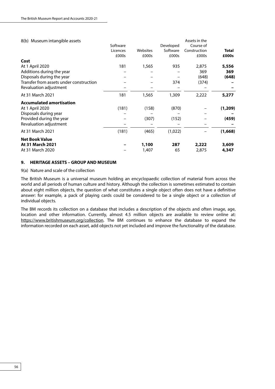## 8(b) Museum intangible assets

|                                         | Software |          | Developed | Course of    |          |
|-----------------------------------------|----------|----------|-----------|--------------|----------|
|                                         | Licences | Websites | Software  | Construction | Total    |
|                                         | £000s    | £000s    | £000s     | £000s        | £000s    |
| Cost                                    |          |          |           |              |          |
| At 1 April 2020                         | 181      | 1,565    | 935       | 2,875        | 5,556    |
| Additions during the year               |          |          |           | 369          | 369      |
| Disposals during the year               |          |          |           | (648)        | (648)    |
| Transfer from assets under construction |          |          | 374       | (374)        |          |
| Revaluation adjustment                  |          |          |           |              |          |
| At 31 March 2021                        | 181      | 1,565    | 1,309     | 2,222        | 5,277    |
| <b>Accumulated amortisation</b>         |          |          |           |              |          |
| At 1 April 2020                         | (181)    | (158)    | (870)     |              | (1, 209) |
| Disposals during year                   |          |          |           |              |          |
| Provided during the year                |          | (307)    | (152)     |              | (459)    |
| Revaluation adjustment                  |          |          |           |              |          |
| At 31 March 2021                        | (181)    | (465)    | (1,022)   |              | (1,668)  |
| <b>Net Book Value</b>                   |          |          |           |              |          |
| At 31 March 2021                        |          | 1,100    | 287       | 2,222        | 3,609    |
| At 31 March 2020                        |          | 1,407    | 65        | 2,875        | 4,347    |
|                                         |          |          |           |              |          |

Assets in the

## **9. HERITAGE ASSETS – GROUP AND MUSEUM**

9(a) Nature and scale of the collection

The British Museum is a universal museum holding an encyclopaedic collection of material from across the world and all periods of human culture and history. Although the collection is sometimes estimated to contain about eight million objects, the question of what constitutes a single object often does not have a definitive answer: for example, a pack of playing cards could be considered to be a single object or a collection of individual objects.

The BM records its collection on a database that includes a description of the objects and often image, age, location and other information. Currently, almost 4.5 million objects are available to review online at: [https://www.britishmuseum.org/collection.](https://www.britishmuseum.org/collection) The BM continues to enhance the database to expand the information recorded on each asset, add objects not yet included and improve the functionality of the database.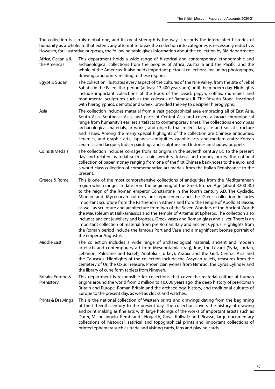The collection is a truly global one, and its great strength is the way it records the interrelated histories of humanity as a whole. To that extent, any attempt to break the collection into categories is necessarily reductive. However, for illustrative purposes, the following table gives information about the collection by BM department:

- Africa, Oceania & the Americas This department holds a wide range of historical and contemporary, ethnographic and archaeological collections from the peoples of Africa, Australia and the Pacific, and the whole of the Americas. It also holds important pictorial collections, including photographs, drawings and prints, relating to these regions.
- Egypt & Sudan The collection illustrates every aspect of the cultures of the Nile Valley, from the site of Jebel Sahaba in the Paleolithic period (at least 13,400 years ago) until the modern day. Highlights include important collections of the Book of the Dead, papyri, coffins, mummies and monumental sculptures such as the colossus of Rameses II. The Rosetta Stone, inscribed with hieroglyphics, demotic and Greek, provided the key to decipher hieroglyphs.
- Asia The collection includes material from a vast geographical area embracing all of East Asia, South Asia, Southeast Asia, and parts of Central Asia and covers a broad chronological range from humanity's earliest artefacts to contemporary times. The collections encompass archaeological materials, artworks, and objects that reflect daily life and social structure and issues. Among the many special highlights of the collection are Chinese antiquities, ceramics, and graphic arts; Japanese antiquities, graphic arts, and modern crafts; Korean ceramics and lacquer; Indian paintings and sculpture; and Indonesian shadow puppets.
- Coins & Medals The collection includes coinage from its origins in the seventh century BC to the present day and related material such as coin weights, tokens and money boxes, the national collection of paper money ranging from one of the first Chinese banknotes to the euro, and a world-class collection of commemorative art medals from the Italian Renaissance to the present.
- Greece & Rome This is one of the most comprehensive collections of antiquities from the Mediterranean region which ranges in date from the beginning of the Greek Bronze Age (about 3200 BC) to the reign of the Roman emperor Constantine in the fourth century AD. The Cycladic, Minoan and Mycenaean cultures are represented and the Greek collection includes important sculpture from the Parthenon in Athens and from the Temple of Apollo at Bassai, as well as sculpture and architecture from two of the Seven Wonders of the Ancient World: the Mausoleum at Halikarnassos and the Temple of Artemis at Ephesos. The collection also includes ancient jewellery and bronzes, Greek vases and Roman glass and silver. There is an important collection of material from pre Roman Italy and ancient Cyprus. Highlights from the Roman period include the famous Portland Vase and a magnificent bronze portrait of the emperor Augustus.
- Middle East The collection includes a wide range of archaeological material, ancient and modern artefacts and contemporary art from Mesopotamia (Iraq), Iran, the Levant (Syria, Jordan, Lebanon, Palestine and Israel), Anatolia (Turkey), Arabia and the Gulf, Central Asia and the Caucasus. Highlights of the collection include the Assyrian reliefs, treasures from the cemetery of Ur, the Oxus Treasure, Phoenician ivories from Nimrud, the Cyrus Cylinder and the library of cuneiform tablets from Nineveh.
- Britain, Europe & Prehistory This department is responsible for collections that cover the material culture of human origins around the world from 2 million to 10,000 years ago, the deep history of pre-Roman Britain and Europe, Roman Britain and the archaeology, history, and traditional cultures of Europe to the present day, as well as clocks and watches.
- Prints & Drawings This is the national collection of Western prints and drawings dating from the beginning of the fifteenth century to the present day. The collection covers the history of drawing and print making as fine arts with large holdings of the works of important artists such as Durer, Michelangelo, Rembrandt, Hogarth, Goya, Kollwitz and Picasso, large documentary collections of historical, satirical and topographical prints and important collections of printed ephemera such as trade and visiting cards, fans and playing cards.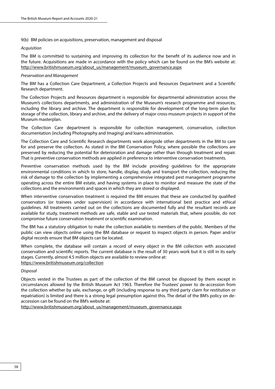## 9(b) BM policies on acquisitions, preservation, management and disposal

#### *Acquisition*

The BM is committed to sustaining and improving its collection for the benefit of its audience now and in the future. Acquisitions are made in accordance with the policy which can be found on the BM's website at: [http://www.britishmuseum.org/about\\_us/management/museum\\_governance.aspx](http://www.britishmuseum.org/about_us/management/museum_governance.aspx)

#### *Preservation and Management*

The BM has a Collection Care Department, a Collection Projects and Resources Department and a Scientific Research department.

The Collection Projects and Resources department is responsible for departmental administration across the Museum's collections departments, and administration of the Museum's research programme and resources, including the library and archive. The department is responsible for development of the long-term plan for storage of the collection, library and archive, and the delivery of major cross-museum projects in support of the Museum masterplan.

The Collection Care department is responsible for collection management, conservation, collection documentation (including Photography and Imaging) and loans administration.

The Collection Care and Scientific Research departments work alongside other departments in the BM to care for and preserve the collection. As stated in the BM Conservation Policy, where possible the collections are preserved by reducing the potential for deterioration and damage rather than through treatment and repair. That is preventive conservation methods are applied in preference to interventive conservation treatments.

Preventive conservation methods used by the BM include providing guidelines for the appropriate environmental conditions in which to store, handle, display, study and transport the collection, reducing the risk of damage to the collection by implementing a comprehensive integrated pest management programme operating across the entire BM estate, and having systems in place to monitor and measure the state of the collections and the environments and spaces in which they are stored or displayed.

When interventive conservation treatment is required the BM ensures that these are conducted by qualified conservators (or trainees under supervision) in accordance with international best practice and ethical guidelines. All treatments carried out on the collections are documented fully and the resultant records are available for study, treatment methods are safe, stable and use tested materials that, where possible, do not compromise future conservation treatment or scientific examination.

The BM has a statutory obligation to make the collection available to members of the public. Members of the public can view objects online using the BM database or request to inspect objects in person. Paper and/or digital records ensure that BM objects can be located.

When complete, the database will contain a record of every object in the BM collection with associated conservation and scientific reports. The current database is the result of 30 years work but it is still in its early stages. Currently, almost 4.5 million objects are available to review online at: <https://www.britishmuseum.org/collection>

## *Disposal*

Objects vested in the Trustees as part of the collection of the BM cannot be disposed by them except in circumstances allowed by the British Museum Act 1963. Therefore the Trustees' power to de-accession from the collection whether by sale, exchange, or gift (including response to any third party claim for restitution or repatriation) is limited and there is a strong legal presumption against this. The detail of the BM's policy on deaccession can be found on the BM's website at:

[http://www.britishmuseum.org/about\\_us/management/museum\\_governance.aspx](http://www.britishmuseum.org/about_us/management/museum_governance.aspx)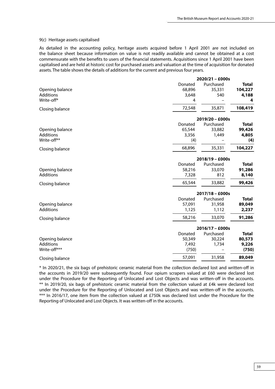#### 9(c) Heritage assets capitalised

As detailed in the accounting policy, heritage assets acquired before 1 April 2001 are not included on the balance sheet because information on value is not readily available and cannot be obtained at a cost commensurate with the benefits to users of the financial statements. Acquisitions since 1 April 2001 have been capitalised and are held at historic cost for purchased assets and valuation at the time of acquisition for donated assets. The table shows the details of additions for the current and previous four years.

|                  |         | $2020/21 - £000s$ |              |
|------------------|---------|-------------------|--------------|
|                  | Donated | Purchased         | <b>Total</b> |
| Opening balance  | 68,896  | 35,331            | 104,227      |
| <b>Additions</b> | 3,648   | 540               | 4,188        |
| Write-off*       | 4       |                   | 4            |
| Closing balance  | 72,548  | 35,871            | 108,419      |
|                  |         | $2019/20 - £000s$ |              |
|                  | Donated | Purchased         | <b>Total</b> |
| Opening balance  | 65,544  | 33,882            | 99,426       |
| <b>Additions</b> | 3,356   | 1,449             | 4,805        |
| Write-off**      | (4)     |                   | (4)          |
| Closing balance  | 68,896  | 35,331            | 104,227      |

|                 | $2018/19 - £000s$ |           |        |  |  |
|-----------------|-------------------|-----------|--------|--|--|
|                 | Donated           | Purchased | Total  |  |  |
| Opening balance | 58,216            | 33,070    | 91,286 |  |  |
| Additions       | 7.328             | 812       | 8,140  |  |  |
| Closing balance | 65,544            | 33,882    | 99,426 |  |  |

|                  |         | $2017/18 - £000s$ |              |
|------------------|---------|-------------------|--------------|
|                  | Donated | Purchased         | <b>Total</b> |
| Opening balance  | 57,091  | 31,958            | 89,049       |
| <b>Additions</b> | 1,125   | 1.112             | 2,237        |
| Closing balance  | 58,216  | 33,070            | 91,286       |
|                  |         | $2016/17 - £000s$ |              |
|                  | Donated | Purchased         | <b>Total</b> |
| Opening balance  | 50,349  | 30,224            | 80,573       |
| <b>Additions</b> | 7,492   | 1,734             | 9,226        |
| Write-off***     | (750)   |                   | (750)        |
| Closing balance  | 57,091  | 31,958            | 89,049       |

\* In 2020/21, the six bags of prehistoric ceramic material from the collection declared lost and written-off in the accounts in 2019/20 were subsequently found. Four opium scrapers valued at £60 were declared lost under the Procedure for the Reporting of Unlocated and Lost Objects and was written-off in the accounts. \*\* In 2019/20, six bags of prehistoric ceramic material from the collection valued at £4k were declared lost under the Procedure for the Reporting of Unlocated and Lost Objects and was written-off in the accounts. \*\*\* In 2016/17, one item from the collection valued at £750k was declared lost under the Procedure for the Reporting of Unlocated and Lost Objects. It was written-off in the accounts.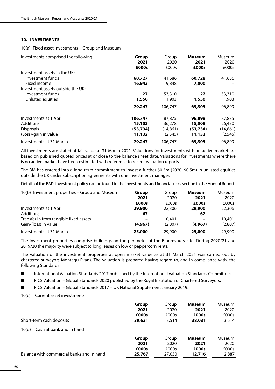## **10. INVESTMENTS**

10(a) Fixed asset investments – Group and Museum

| Investments comprised the following: | Group<br>2021 | Group<br>2020 | <b>Museum</b><br>2021 | Museum<br>2020 |
|--------------------------------------|---------------|---------------|-----------------------|----------------|
| Investment assets in the UK:         | £000s         | £000s         | £000s                 | £000s          |
| Investment funds                     | 60,727        | 41,686        | 60,728                | 41,686         |
| Fixed income                         | 16,943        | 9,848         | 7,000                 |                |
| Investment assets outside the UK:    |               |               |                       |                |
| Investment funds                     | 27            | 53,310        | 27                    | 53,310         |
| Unlisted equities                    | 1,550         | 1,903         | 1,550                 | 1,903          |
|                                      | 79,247        | 106,747       | 69,305                | 96,899         |
| Investments at 1 April               | 106,747       | 87,875        | 96,899                | 87,875         |
| Additions                            | 15,102        | 36,278        | 15,008                | 26,430         |
| <b>Disposals</b>                     | (53, 734)     | (14, 861)     | (53, 734)             | (14, 861)      |
| (Loss)/gain in value                 | 11,132        | (2,545)       | 11,132                | (2, 545)       |
| Investments at 31 March              | 79,247        | 106.747       | 69,305                | 96.899         |

All investments are stated at fair value at 31 March 2021. Valuations for investments with an active market are based on published quoted prices at or close to the balance sheet date. Valuations for investments where there is no active market have been estimated with reference to recent valuation reports.

The BM has entered into a long term commitment to invest a further \$0.5m (2020: \$0.5m) in unlisted equities outside the UK under subscription agreements with one investment manager.

Details of the BM's investment policy can be found in the investments and financial risks section in the Annual Report.

| 10(b) Investment properties – Group and Museum | Group   | Group   | <b>Museum</b> | Museum  |
|------------------------------------------------|---------|---------|---------------|---------|
|                                                | 2021    | 2020    | 2021          | 2020    |
|                                                | £000s   | £000s   | £000s         | £000s   |
| Investments at 1 April                         | 29,900  | 22,306  | 29,900        | 22,306  |
| <b>Additions</b>                               | 67      |         | 67            |         |
| Transfer in from tangible fixed assets         |         | 10,401  |               | 10,401  |
| Gain/(loss) in value                           | (4.967) | (2,807) | (4, 967)      | (2,807) |
| Investments at 31 March                        | 25,000  | 29,900  | 25,000        | 29,900  |

The investment properties comprise buildings on the perimeter of the Bloomsbury site. During 2020/21 and 2019/20 the majority were subject to long leases on low or peppercorn rents.

The valuation of the investment properties at open market value as at 31 March 2021 was carried out by chartered surveyors Montagu Evans. The valuation is prepared having regard to, and in compliance with, the following Standards:

■ International Valuation Standards 2017 published by the International Valuation Standards Committee;

■ RICS Valuation – Global Standards 2020 published by the Royal Institution of Chartered Surveyors;

■ RICS Valuation – Global Standards 2017 – UK National Supplement January 2019.

10(c) Current asset investments

| Short-term cash deposits                  | Group  | Group  | <b>Museum</b> | Museum |
|-------------------------------------------|--------|--------|---------------|--------|
|                                           | 2021   | 2020   | 2021          | 2020   |
|                                           | £000s  | £000s  | £000s         | £000s  |
|                                           | 39,631 | 3,514  | 38,031        | 3,514  |
| Cash at bank and in hand<br>10(d)         |        |        |               |        |
| Balance with commercial banks and in hand | Group  | Group  | <b>Museum</b> | Museum |
|                                           | 2021   | 2020   | 2021          | 2020   |
|                                           | £000s  | £000s  | £000s         | £000s  |
|                                           | 25,767 | 27,050 | 12,716        | 12,887 |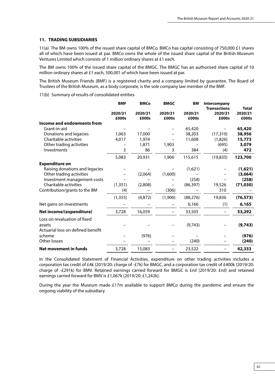## **11. TRADING SUBSIDIARIES**

11(a) The BM owns 100% of the issued share capital of BMCo. BMCo has capital consisting of 750,000 £1 shares all of which have been issued at par. BMCo owns the whole of the issued share capital of the British Museum Ventures Limited which consists of 1 million ordinary shares at £1 each.

The BM owns 100% of the issued share capital of the BMGC. The BMGC has an authorised share capital of 10 million ordinary shares at £1 each, 500,001 of which have been issued at par.

The British Museum Friends (BMF) is a registered charity and a company limited by guarantee. The Board of Trustees of the British Museum, as a body corporate, is the sole company law member of the BMF.

11(b) Summary of results of consolidated entities

|                                   | <b>BMF</b>       | <b>BMCo</b>      | <b>BMGC</b>      | BM               | Intercompany                            |                                  |
|-----------------------------------|------------------|------------------|------------------|------------------|-----------------------------------------|----------------------------------|
|                                   | 2020/21<br>£000s | 2020/21<br>£000s | 2020/21<br>£000s | 2020/21<br>£000s | <b>Transactions</b><br>2020/21<br>£000s | <b>Total</b><br>2020/21<br>£000s |
| Income and endowments from        |                  |                  |                  |                  |                                         |                                  |
| Grant-in-aid                      |                  |                  |                  | 65,420           |                                         | 65,420                           |
| Donations and legacies            | 1,063            | 17,000           |                  | 38,203           | (17, 310)                               | 38,956                           |
| Charitable activities             | 4,017            | 1,974            |                  | 11,608           | (1,826)                                 | 15,773                           |
| Other trading activities          |                  | 1,871            | 1,903            |                  | (695)                                   | 3,079                            |
| Investments                       | 3                | 86               | 3                | 384              | (4)                                     | 472                              |
|                                   | 5,083            | 20,931           | 1,906            | 115,615          | (19, 835)                               | 123,700                          |
| <b>Expenditure on</b>             |                  |                  |                  |                  |                                         |                                  |
| Raising donations and legacies    |                  |                  |                  | (1,621)          |                                         | (1,621)                          |
| Other trading activities          |                  | (2,064)          | (1,600)          |                  |                                         | (3,664)                          |
| Investment management costs       |                  |                  |                  | (258)            |                                         | (258)                            |
| Charitable activities             | (1, 351)         | (2,808)          |                  | (86, 397)        | 19,526                                  | (71, 030)                        |
| Contribution/grants to the BM     | (4)              |                  | (306)            |                  | 310                                     |                                  |
|                                   | (1, 355)         | (4,872)          | (1,906)          | (88, 276)        | 19,836                                  | (76, 573)                        |
| Net gains on investments          |                  |                  |                  | 6,166            | (1)                                     | 6,165                            |
| Net income/(expenditure)          | 3,728            | 16,059           |                  | 33,505           |                                         | 53,292                           |
| Loss on revaluation of fixed      |                  |                  |                  |                  |                                         |                                  |
| assets                            |                  |                  |                  | (9,743)          |                                         | (9,743)                          |
| Actuarial loss on defined benefit |                  |                  |                  |                  |                                         |                                  |
| scheme                            |                  | (976)            |                  |                  |                                         | (976)                            |
| Other losses                      |                  |                  |                  | (240)            |                                         | (240)                            |
| Net movement in funds             | 3,728            | 15,083           |                  | 23,522           |                                         | 42,333                           |

In the Consolidated Statement of Financial Activities, expenditure on other trading activities includes a corporation tax credit of £4k (2019/20: charge of -£7k) for BMGC, and a corporation tax credit of £400k (2019/20: charge of -£291k) for BMV. Retained earnings carried forward for BMGC is £nil (2019/20: £nil) and retained earnings carried forward for BMV is £1,067k (2019/20: £1,242k).

During the year the Museum made £17m available to support BMCo during the pandemic and ensure the ongoing viability of the subsidiary.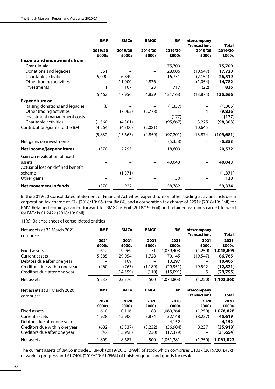|                                   | <b>BMF</b>       | <b>BMCo</b>      | <b>BMGC</b>      | <b>BM</b>        | Intercompany<br><b>Transactions</b> | <b>Total</b>     |
|-----------------------------------|------------------|------------------|------------------|------------------|-------------------------------------|------------------|
|                                   | 2019/20<br>£000s | 2019/20<br>£000s | 2019/20<br>£000s | 2019/20<br>£000s | 2019/20<br>£000s                    | 2019/20<br>£000s |
| <b>Income and endowments from</b> |                  |                  |                  |                  |                                     |                  |
| Grant-in-aid                      |                  |                  |                  | 75,709           |                                     | 75,709           |
| Donations and legacies            | 361              |                  |                  | 28,006           | (10, 647)                           | 17,720           |
| Charitable activities             | 5,090            | 6,849            |                  | 16,731           | (2, 151)                            | 26,519           |
| Other trading activities          |                  | 11,000           | 4,836            |                  | (1,054)                             | 14,782           |
| Investments                       | 11               | 107              | 23               | 717              | (22)                                | 836              |
|                                   | 5,462            | 17,956           | 4,859            | 121,163          | (13, 874)                           | 135,566          |
| <b>Expenditure on</b>             |                  |                  |                  |                  |                                     |                  |
| Raising donations and legacies    | (8)              |                  |                  | (1, 357)         |                                     | (1, 365)         |
| Other trading activities          |                  | (7,062)          | (2,778)          |                  | 4                                   | (9,836)          |
| Investment management costs       |                  |                  |                  | (177)            |                                     | (177)            |
| Charitable activities             | (1, 560)         | (4,301)          |                  | (95, 667)        | 3,225                               | (98, 303)        |
| Contribution/grants to the BM     | (4,264)          | (4,300)          | (2,081)          |                  | 10,645                              |                  |
|                                   | (5,832)          | (15,663)         | (4,859)          | (97, 201)        | 13,874                              | (109, 681)       |
| Net gains on investments          |                  |                  |                  | (5, 353)         |                                     | (5, 353)         |
| Net income/(expenditure)          | (370)            | 2,293            |                  | 18,609           |                                     | 20,532           |
| Gain on revaluation of fixed      |                  |                  |                  |                  |                                     |                  |
| assets                            |                  |                  |                  | 40,043           |                                     | 40,043           |
| Actuarial loss on defined benefit |                  |                  |                  |                  |                                     |                  |
| scheme                            |                  | (1, 371)         |                  |                  |                                     | (1, 371)         |
| Other gains                       |                  |                  |                  | 130              |                                     | 130              |
| <b>Net movement in funds</b>      | (370)            | 922              |                  | 58,782           |                                     | 59,334           |

In the 2019/20 Consolidated Statement of Financial Activities, expenditure on other trading activities includes a corporation tax charge of £7k (2018/19: £6k) for BMGC, and a corporation tax charge of £291k (2018/19: £nil) for BMV. Retained earnings carried forward for BMGC is £nil (2018/19: £nil) and retained earnings carried forward for BMV is £1,242k (2018/19: £nil).

11(c) Balance sheet of consolidated entities

| Net assets at 31 March 2021<br>comprise: | <b>BMF</b>    | <b>BMCo</b>   | <b>BMGC</b>   | ΒM            | Intercompany<br><b>Transactions</b> | <b>Total</b>  |
|------------------------------------------|---------------|---------------|---------------|---------------|-------------------------------------|---------------|
|                                          | 2021<br>£000s | 2021<br>£000s | 2021<br>£000s | 2021<br>£000s | 2021<br>£000s                       | 2021<br>£000s |
| Fixed assets                             | 612           | 9,969         | 71            | 1,039,403     | (1,250)                             | 1,048,805     |
| Current assets                           | 5,385         | 29,054        | 1,728         | 70,145        | (19, 547)                           | 86,765        |
| Debtors due after one year               |               | 109           |               | 10,297        |                                     | 10,406        |
| Creditors due within one year            | (460)         | (763)         | (1, 189)      | (29, 951)     | 19,542                              | (12, 821)     |
| Creditors due after one year             |               | (14, 599)     | (110)         | (15,091)      | 5                                   | (29,795)      |
| Net assets                               | 5,537         | 23,770        | 500           | 1,074,803     | (1,250)                             | 1,103,360     |
|                                          |               |               |               |               |                                     |               |
| Net assets at 31 March 2020              | <b>BMF</b>    | <b>BMCo</b>   | <b>BMGC</b>   | ΒM            | Intercompany<br><b>Transactions</b> | <b>Total</b>  |
| comprise:                                | 2020          | 2020          | 2020          | 2020          | 2020                                | 2020          |
|                                          | £000s         | £000s         | £000s         | £000s         | £000s                               | £000s         |
| Fixed assets                             | 610           | 10,116        | 88            | 1,069,264     | (1,250)                             | 1,078,828     |
| Current assets                           | 1,928         | 15,906        | 3,874         | 32,148        | (8,237)                             | 45,619        |
| Debtors due after one year               |               |               |               | 4,152         |                                     | 4,152         |
| Creditors due within one year            | (682)         | (3,337)       | (3,232)       | (36,904)      | 8,237                               | (35, 918)     |
| Creditors due after one year             | (47)          | (13,998)      | (230)         | (17, 379)     |                                     | (31,654)      |

The current assets of BMCo include £1,843k (2019/20: £1,999k) of stock which comprises £103k (2019/20: £43k) of work in progress and £1,740k (2019/20: £1,956k) of finished goods and goods for resale.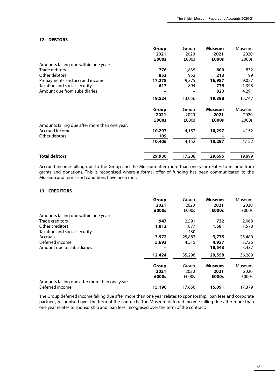### **12. DEBTORS**

|                                               | Group  | Group  | <b>Museum</b> | <b>Museum</b> |
|-----------------------------------------------|--------|--------|---------------|---------------|
|                                               | 2021   | 2020   | 2021          | 2020          |
|                                               | £000s  | £000s  | £000s         | £000s         |
| Amounts falling due within one year:          |        |        |               |               |
| Trade debtors                                 | 776    | 1,835  | 600           | 832           |
| Other debtors                                 | 853    | 952    | 213           | 199           |
| Prepayments and accrued income                | 17,278 | 9,375  | 16,987        | 9,027         |
| Taxation and social security                  | 617    | 894    | 775           | 1,398         |
| Amount due from subsidiaries                  |        |        | 823           | 4,291         |
|                                               | 19,524 | 13,056 | 19,398        | 15,747        |
|                                               | Group  | Group  | <b>Museum</b> | Museum        |
|                                               | 2021   | 2020   | 2021          | 2020          |
|                                               | £000s  | £000s  | £000s         | £000s         |
| Amounts falling due after more than one year: |        |        |               |               |
| Accrued income                                | 10,297 | 4,152  | 10,297        | 4,152         |
| Other debtors                                 | 109    |        |               |               |
|                                               | 10,406 | 4,152  | 10,297        | 4,152         |
| <b>Total debtors</b>                          | 29,930 | 17,208 | 29,695        | 19,899        |

Accrued income falling due to the Group and the Museum after more than one year relates to income from grants and donations. This is recognised where a formal offer of funding has been communicated to the Museum and terms and conditions have been met.

## **13. CREDITORS**

|                                               | Group<br>2021<br>£000s | Group<br>2020<br>£000s | <b>Museum</b><br>2021<br>£000s | Museum<br>2020<br>£000s |
|-----------------------------------------------|------------------------|------------------------|--------------------------------|-------------------------|
| Amounts falling due within one year:          |                        |                        |                                |                         |
| Trade creditors                               | 947                    | 2,591                  | 732                            | 2,068                   |
| Other creditors                               | 1,812                  | 1,877                  | 1,581                          | 1,578                   |
| Taxation and social security                  |                        | 430                    |                                |                         |
| Accruals                                      | 3,972                  | 25,883                 | 3,775                          | 25,480                  |
| Deferred income                               | 5,693                  | 4,515                  | 4,927                          | 3,726                   |
| Amount due to subsidiaries                    |                        |                        | 18,543                         | 3,437                   |
|                                               | 12,424                 | 35,296                 | 29,558                         | 36,289                  |
|                                               | Group                  | Group                  | <b>Museum</b>                  | Museum                  |
|                                               | 2021                   | 2020                   | 2021                           | 2020                    |
|                                               | £000s                  | £000s                  | £000s                          | £000s                   |
| Amounts falling due after more than one year: |                        |                        |                                |                         |
| Deferred income                               | 15,196                 | 17,656                 | 15,091                         | 17,379                  |

The Group deferred income falling due after more than one year relates to sponsorship, loan fees and corporate partners, recognised over the term of the contracts. The Museum deferred income falling due after more than one year relates to sponsorship and loan fees, recognised over the term of the contract.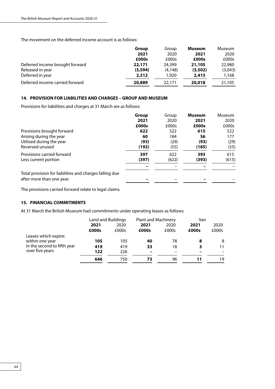The movement on the deferred income account is as follows:

|                                 | Group    | Group   | Museum  | Museum  |
|---------------------------------|----------|---------|---------|---------|
|                                 | 2021     | 2020    | 2021    | 2020    |
|                                 | £000s    | £000s   | £000s   | £000s   |
| Deferred income brought forward | 22,171   | 24,399  | 21,105  | 22,980  |
| Released in year                | (3, 594) | (4.148) | (3,502) | (3,043) |
| Deferred in year                | 2,312    | 1,920   | 2,415   | 1,168   |
| Deferred income carried forward | 20,889   | 22.171  | 20,018  | 21,105  |

# **14. PROVISION FOR LIABILITIES AND CHARGES – GROUP AND MUSEUM**

Provisions for liabilities and charges at 31 March are as follows:

|                                                         | <b>Group</b> | Group | <b>Museum</b> | Museum |
|---------------------------------------------------------|--------------|-------|---------------|--------|
|                                                         | 2021         | 2020  | 2021          | 2020   |
|                                                         | £000s        | £000s | £000s         | £000s  |
| Provisions brought forward                              | 622          | 522   | 615           | 522    |
| Arising during the year                                 | 60           | 184   | 56            | 177    |
| Utilised during the year                                | (93)         | (29)  | (93)          | (29)   |
| Reversed unused                                         | (192)        | (55)  | (185)         | (55)   |
| Provisions carried forward                              | 397          | 622   | 393           | 615    |
| Less current portion                                    | (397)        | (622) | (393)         | (615)  |
|                                                         |              |       |               |        |
| Total provision for liabilities and charges falling due |              |       |               |        |
| after more than one year:                               |              |       |               |        |

The provisions carried forward relate to legal claims.

# **15. FINANCIAL COMMITMENTS**

At 31 March the British Museum had commitments under operating leases as follows:

|                                                                                           | Land and Buildings |       | <b>Plant and Machinery</b> |       | Van   |       |
|-------------------------------------------------------------------------------------------|--------------------|-------|----------------------------|-------|-------|-------|
|                                                                                           | 2021               | 2020  | 2021                       | 2020  | 2021  | 2020  |
|                                                                                           | £000s              | £000s | £000s                      | £000s | £000s | £000s |
| Leases which expire:<br>within one year<br>in the second to fifth year<br>over five years | 105                | 105   | 40                         | 78    | 8     | 8     |
|                                                                                           | 419                | 419   | 33                         | 18    | з     | 11    |
|                                                                                           | 122                | 226   |                            |       |       |       |
|                                                                                           | 646                | 750   | 73                         | 96    |       | 19    |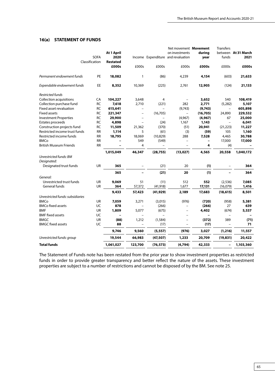## **16(a) STATEMENT OF FUNDS**

|                                  |                |                 |                          |           | Net movement Movement              |           | <b>Transfers</b>         |                     |
|----------------------------------|----------------|-----------------|--------------------------|-----------|------------------------------------|-----------|--------------------------|---------------------|
|                                  |                | At 1 April      |                          |           | on investments                     | during    |                          | between At 31 March |
|                                  | <b>SOFA</b>    | 2020            |                          |           | Income Expenditure and revaluation | year      | funds                    | 2021                |
|                                  | Classification | <b>Restated</b> |                          |           |                                    |           |                          |                     |
|                                  |                | £000s           | £000s                    | £000s     | £000s                              | £000s     | £000s                    | £000s               |
| Permanent endowment funds        | PE             | 18,082          | $\mathbf{1}$             | (86)      | 4,239                              | 4,154     | (603)                    | 21,633              |
| Expendable endowment funds       | EE             | 8,352           | 10,369                   | (225)     | 2,761                              | 12,905    | (124)                    | 21,133              |
| Restricted funds                 |                |                 |                          |           |                                    |           |                          |                     |
| <b>Collection acquisitions</b>   | CA             | 104,227         | 3,648                    | 4         | $\equiv$                           | 3,652     | 540                      | 108,419             |
| Collection purchase fund         | RC             | 7,618           | 2,710                    | (221)     | 282                                | 2,771     | (5,282)                  | 5,107               |
| Fixed asset revaluation          | <b>RC</b>      | 615,641         |                          | $\equiv$  | (9,743)                            | (9,743)   | $\overline{\phantom{0}}$ | 605,898             |
| <b>Fixed assets</b>              | <b>RC</b>      | 221,347         | L,                       | (16, 705) | $\equiv$                           | (16, 705) | 24,890                   | 229,532             |
| <b>Investment Properties</b>     | <b>RC</b>      | 29,900          | $\overline{\phantom{0}}$ |           | (4,967)                            | (4, 967)  | 67                       | 25,000              |
| Estates proceeds                 | <b>RC</b>      | 4,898           |                          | (24)      | 1,167                              | 1,143     | $\equiv$                 | 6,041               |
| Construction projects fund       | <b>RC</b>      | 11,509          | 21,362                   | (370)     | (51)                               | 20,941    | (21, 223)                | 11,227              |
| Restricted income trust funds    | <b>RR</b>      | 1,114           | 5                        | (61)      | (3)                                | (59)      | 105                      | 1,160               |
| Restricted income funds          | <b>RR</b>      | 18,795          | 18,069                   | (10, 829) | 288                                | 7,528     | 4,465                    | 30,788              |
| <b>BMCo</b>                      | <b>RR</b>      |                 | 549                      | (549)     | $\overline{\phantom{0}}$           |           | 17,000                   | 17,000              |
| <b>British Museum Friends</b>    | <b>RR</b>      |                 | 4                        | $\equiv$  | $\equiv$                           | 4         | (4)                      |                     |
|                                  |                | 1,015,049       | 46,347                   | (28, 755) | (13, 027)                          | 4,565     | 20,558                   | 1,040,172           |
| Unrestricted funds: BM           |                |                 |                          |           |                                    |           |                          |                     |
| Designated:                      |                |                 |                          |           |                                    |           |                          |                     |
| Designated trust funds           | UR             | 365             | $\qquad \qquad -$        | (21)      | 20                                 | (1)       | $\qquad \qquad -$        | 364                 |
|                                  |                | 365             |                          | (21)      | 20                                 | (1)       |                          | 364                 |
| General:                         |                |                 |                          |           |                                    |           |                          |                     |
| Unrestricted trust funds         | UR             | 9,069           | 51                       | (11)      | 512                                | 552       | (2, 536)                 | 7,085               |
| General funds                    | UR             | 364             | 57,372                   | (41, 918) | 1,677                              | 17,131    | (16,079)                 | 1,416               |
|                                  |                | 9,433           | 57,423                   | (41, 929) | 2,189                              | 17,683    | (18, 615)                | 8,501               |
| Unrestricted funds: subsidiaries |                |                 |                          |           |                                    |           |                          |                     |
| <b>BMCo</b>                      | UR             | 7,059           | 3,271                    | (3,015)   | (976)                              | (720)     | (958)                    | 5,381               |
| <b>BMCo fixed assets</b>         | UC             | 878             |                          | (266)     |                                    | (266)     | 27                       | 639                 |
| <b>BMF</b>                       | UR             | 1,809           | 5,077                    | (675)     | $\equiv$                           | 4,402     | (674)                    | 5,537               |
| <b>BMF</b> fixed assets          | UC             |                 |                          |           |                                    |           | $\overline{\phantom{0}}$ |                     |
| <b>BMGC</b>                      | UR             | (88)            | 1,212                    | (1, 584)  |                                    | (372)     | 389                      | (71)                |
| <b>BMGC fixed assets</b>         | UC             | 88              |                          | (17)      |                                    | (17)      | $\qquad \qquad -$        | 71                  |
|                                  |                | 9,746           | 9,560                    | (5, 557)  | (976)                              | 3,027     | (1, 216)                 | 11,557              |
| Unrestricted funds: group        |                | 19,544          | 66,983                   | (47, 507) | 1,233                              | 20,709    | (19, 831)                | 20,422              |
| <b>Total funds</b>               |                | 1,061,027       | 123,700                  | (76, 573) | (4,794)                            | 42,333    | $\overline{\phantom{0}}$ | 1,103,360           |
|                                  |                |                 |                          |           |                                    |           |                          |                     |

The Statement of Funds note has been restated from the prior year to show investment properties as restricted funds in order to provide greater transparency and better reflect the nature of the assets. These investment properties are subject to a number of restrictions and cannot be disposed of by the BM. See note 25.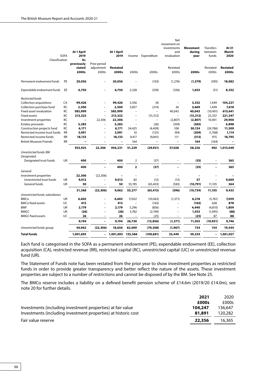|                                  |             |                |                          |                 |                          |                          | Net                      |                 |                   |                 |
|----------------------------------|-------------|----------------|--------------------------|-----------------|--------------------------|--------------------------|--------------------------|-----------------|-------------------|-----------------|
|                                  |             |                |                          |                 |                          |                          | movement on              | <b>Movement</b> | <b>Transfers</b>  | At 31           |
|                                  |             | At 1 April     |                          | At 1 April      |                          |                          | investments<br>and       | durina          | between           | March           |
|                                  | <b>SOFA</b> | 2019           |                          | 2019            |                          | Income Expenditure       | revaluation              | year            | funds             | 2020            |
| Classification                   |             | As             |                          |                 |                          |                          |                          |                 |                   |                 |
|                                  |             | previously     | Prior period             |                 |                          |                          |                          |                 |                   |                 |
|                                  |             | stated         | adjustment               | <b>Restated</b> |                          |                          | Restated                 |                 | Restated          | <b>Restated</b> |
|                                  |             | £000s          | £000s                    | £000s           | £000s                    | £000s                    | £000s                    | £000s           | £000s             | £000s           |
|                                  |             |                |                          |                 |                          |                          |                          |                 |                   |                 |
| Permanent endowment funds        | PE          | 20,056         |                          | 20,056          |                          | (103)                    | (1, 276)                 | (1, 379)        | (595)             | 18,082          |
| Expendable endowment funds       | EE          | 6,750          |                          | 6,750           | 2,328                    | (339)                    | (336)                    | 1,653           | (51)              | 8,352           |
| <b>Restricted funds</b>          |             |                |                          |                 |                          |                          |                          |                 |                   |                 |
| Collection acquisitions          | CA          | 99,426         | $\overline{a}$           | 99,426          | 3,356                    | (4)                      | $\overline{a}$           | 3,352           | 1,449             | 104,227         |
| Collection purchase fund         | <b>RC</b>   | 2,500          | $\overline{a}$           | 2,500           | 3,857                    | (214)                    | 26                       | 3,669           | 1,449             | 7,618           |
| Fixed asset revaluation          | RC          | 585,999        | $\overline{a}$           | 585,999         | $\overline{a}$           | $\overline{a}$           | 40,043                   | 40,043          | (10, 401)         | 615,641         |
| <b>Fixed assets</b>              | <b>RC</b>   | 213,322        | $\overline{a}$           | 213,322         | $\overline{\phantom{0}}$ | (15, 312)                |                          | (15, 312)       | 23,337            | 221,347         |
| Investment properties            | RC          | $\overline{a}$ | 22,306                   | 22,306          | $\overline{a}$           | $\overline{a}$           | (2,807)                  | (2, 807)        | 10,401            | 29,900          |
| Estates proceeds                 | <b>RC</b>   | 5,283          | $\overline{a}$           | 5,283           |                          | (26)                     | (359)                    | (385)           | $\overline{a}$    | 4,898           |
| Construction projects fund       | <b>RC</b>   | 6,171          | $\overline{a}$           | 6,171           | 34,425                   | (4, 409)                 | 108                      | 30,124          | (24, 786)         | 11,509          |
| Restricted income trust funds    | <b>RR</b>   | 3,091          | $\overline{a}$           | 3,091           | 10                       | (125)                    | (94)                     | (209)           | (1,768)           | 1,114           |
| Restricted income funds          | RR          | 18,133         | $\overline{\phantom{a}}$ | 18,133          | 9,417                    | (9, 841)                 | 111                      | (313)           | 975               | 18,795          |
| <b>British Museum Friends</b>    | <b>RR</b>   | L,             | ۰                        | $\equiv$        | 164                      | $\overline{\phantom{0}}$ | $\equiv$                 | 164             | (164)             |                 |
|                                  |             | 933,925        | 22,306                   | 956,231         | 51,229                   | (29, 931)                | 37,028                   | 58,326          | 492               | 1,015,049       |
| Unrestricted funds: BM           |             |                |                          |                 |                          |                          |                          |                 |                   |                 |
| Designated:                      |             |                |                          |                 |                          |                          |                          |                 |                   |                 |
| Designated trust funds           | UR          | 400            |                          | 400             | $\overline{2}$           | (37)                     |                          | (35)            |                   | 365             |
|                                  |             | 400            | $\overline{\phantom{0}}$ | 400             | $\overline{2}$           | (37)                     |                          | (35)            | $\qquad \qquad -$ | 365             |
| General:                         |             |                |                          |                 |                          |                          |                          |                 |                   |                 |
| Investment properties            |             | 22,306         | (22, 306)                |                 |                          | $\overline{\phantom{a}}$ | $\overline{\phantom{0}}$ |                 |                   |                 |
| Unrestricted trust funds         | UR          | 9,012          | $\overline{a}$           | 9,012           | 82                       | (12)                     | (13)                     | 57              |                   | 9,069           |
| General funds                    | UR          | 50             | $\overline{a}$           | 50              | 55,195                   | (65, 403)                | (583)                    | (10,791)        | 11,105            | 364             |
|                                  |             | 31,368         | (22, 306)                | 9,062           | 55,277                   | (65, 415)                | (596)                    | (10, 734)       | 11,105            | 9,433           |
| Unrestricted funds: subsidiaries |             |                |                          |                 |                          |                          |                          |                 |                   |                 |
| <b>BMCo</b>                      | UR          | 6,602          | $\overline{a}$           | 6,602           | 17,652                   | (10,063)                 | (1, 371)                 | 6,218           | (5,761)           | 7,059           |
| <b>BMCo fixed assets</b>         | UC          | 413            |                          | 413             |                          | (163)                    |                          | (163)           | 628               | 878             |
| <b>BMF</b>                       | UR          | 2,179          | $\overline{a}$           | 2,179           | 5,296                    | (856)                    | $\overline{a}$           | 4,440           | (4, 810)          | 1,809           |
| <b>BMGC</b>                      | UR          | (26)           | $\overline{a}$           | (26)            | 3,782                    | (2,749)                  | $\overline{\phantom{0}}$ | 1,033           | (1,095)           | (88)            |
| <b>BMGC fixed assets</b>         | UC          | 26             | $\overline{a}$           | 26              | $\overline{\phantom{0}}$ | (25)                     | $\qquad \qquad -$        | (25)            | 87                | 88              |
|                                  |             | 9,194          |                          | 9,194           | 26,730                   | (13, 856)                | (1, 371)                 | 11,503          | (10, 951)         | 9,746           |
| Unrestricted funds: group        |             | 40,962         | (22, 306)                | 18,656          | 82,009                   | (79, 308)                | (1,967)                  | 734             | 154               | 19,544          |
| <b>Total funds</b>               |             | 1,001,693      | $\overline{\phantom{0}}$ | 1,001,693       | 135,566                  | (109, 681)               | 33,449                   | 59,334          | -                 | 1,061,027       |

Each fund is categorised in the SOFA as a permanent endowment (PE), expendable endowment (EE), collection acquisition (CA), restricted revenue (RR), restricted capital (RC), unrestricted capital (UC) or unrestricted revenue fund (UR).

The Statement of Funds note has been restated from the prior year to show investment properties as restricted funds in order to provide greater transparency and better reflect the nature of the assets. These investment properties are subject to a number of restrictions and cannot be disposed of by the BM. See Note 25.

The BMCo reserve includes a liability on a defined benefit pension scheme of £14.6m (2019/20 £14.0m), see note 20 for further details.

|                                                                | 2021    | 2020    |
|----------------------------------------------------------------|---------|---------|
|                                                                | £000s   | £000s   |
| Investments (including investment properties) at fair value    | 104,247 | 136.647 |
| Investments (including investment properties) at historic cost | 81,891  | 120,282 |
| Fair value reserve                                             | 22,356  | 16.365  |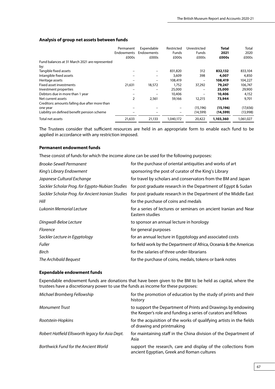|                                                | Permanent         | Expendable | Restricted   | Unrestricted    | <b>Total</b> | Total     |
|------------------------------------------------|-------------------|------------|--------------|-----------------|--------------|-----------|
|                                                | <b>Endowments</b> | Endowments | <b>Funds</b> | Funds           | 2021         | 2020      |
|                                                | £000s             | £000s      | £000s        | £000s           | £000s        | £000s     |
| Fund balances at 31 March 2021 are represented |                   |            |              |                 |              |           |
| by:                                            |                   |            |              |                 |              |           |
| Tangible fixed assets                          |                   |            | 831,820      | 312             | 832,132      | 833,104   |
| Intangible fixed assets                        |                   |            | 3,609        | 398             | 4,007        | 4,850     |
| Heritage assets                                |                   |            | 108,419      | $\qquad \qquad$ | 108,419      | 104,227   |
| Fixed asset investments                        | 21,631            | 18,572     | 1,752        | 37,292          | 79,247       | 106,747   |
| Investment properties                          |                   | -          | 25,000       | -               | 25,000       | 29,900    |
| Debtors due in more than 1 year                |                   |            | 10,406       |                 | 10,406       | 4,152     |
| Net current assets                             | 2                 | 2,561      | 59,166       | 12,215          | 73,944       | 9,701     |
| Creditors: amounts falling due after more than |                   |            |              |                 |              |           |
| one year                                       |                   |            |              | (15, 196)       | (15, 196)    | (17,656)  |
| Liability on defined benefit pension scheme    |                   |            |              | (14, 599)       | (14, 599)    | (13,998)  |
| Total net assets                               | 21,633            | 21,133     | 1,040,172    | 20,422          | 1,103,360    | 1,061,027 |

## **Analysis of group net assets between funds**

The Trustees consider that sufficient resources are held in an appropriate form to enable each fund to be applied in accordance with any restriction imposed.

### **Permanent endowment funds**

These consist of funds for which the income alone can be used for the following purposes:

| <b>Brooke-Sewell Permanent</b>                    | for the purchase of oriental antiquities and works of art                           |
|---------------------------------------------------|-------------------------------------------------------------------------------------|
| King's Library Endowment                          | sponsoring the post of curator of the King's Library                                |
| Japanese Cultural Exchange                        | for travel by scholars and conservators from the BM and Japan                       |
| Sackler Scholar Prog. for Egypto-Nubian Studies   | for post graduate research in the Department of Egypt & Sudan                       |
| Sackler Scholar Prog. for Ancient Iranian Studies | for post graduate research in the Department of the Middle East                     |
| Hill                                              | for the purchase of coins and medals                                                |
| Lukonin Memorial Lecture                          | for a series of lectures or seminars on ancient Iranian and Near<br>Eastern studies |
| Dingwall-Beloe Lecture                            | to sponsor an annual lecture in horology                                            |
| <b>Florence</b>                                   | for general purposes                                                                |
| Sackler Lecture in Egyptology                     | for an annual lecture in Egyptology and associated costs                            |
| <b>Fuller</b>                                     | for field work by the Department of Africa, Oceania & the Americas                  |
| Birch                                             | for the salaries of three under-librarians                                          |
| The Archibald Bequest                             | for the purchase of coins, medals, tokens or bank notes                             |

## **Expendable endowment funds**

Expendable endowment funds are donations that have been given to the BM to be held as capital, where the trustees have a discretionary power to use the funds as income for these purposes:

| Michael Bromberg Fellowship                     | for the promotion of education by the study of prints and their<br>history                                                     |
|-------------------------------------------------|--------------------------------------------------------------------------------------------------------------------------------|
| <b>Monument Trust</b>                           | to support the Department of Prints and Drawings by endowing<br>the Keeper's role and funding a series of curators and fellows |
| Rootstein-Hopkins                               | for the acquisition of the works of qualifying artists in the fields<br>of drawing and printmaking                             |
| Robert Hatfield Ellsworth legacy for Asia Dept. | for maintaining staff in the China division of the Department of<br>Asia                                                       |
| Borthwick Fund for the Ancient World            | support the research, care and display of the collections from<br>ancient Egyptian, Greek and Roman cultures                   |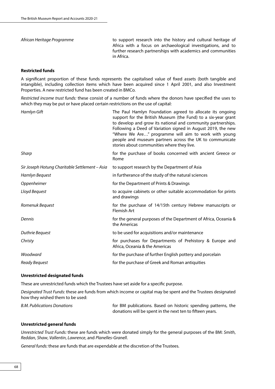*African Heritage Programme* to support research into the history and cultural heritage of Africa with a focus on archaeological investigations, and to further research partnerships with academics and communities in Africa.

## **Restricted funds**

A significant proportion of these funds represents the capitalised value of fixed assets (both tangible and intangible), including collection items which have been acquired since 1 April 2001, and also Investment Properties. A new restricted fund has been created in BMCo.

*Restricted income trust funds:* these consist of a number of funds where the donors have specified the uses to which they may be put or have placed certain restrictions on the use of capital:

| Hamlyn Gift                                    | The Paul Hamlyn Foundation agreed to allocate its ongoing<br>support for the British Museum (the Fund) to a six-year grant<br>to develop and grow its national and community partnerships.<br>Following a Deed of Variation signed in August 2019, the new<br>"Where We Are" programme will aim to work with young<br>people and museum partners across the UK to communicate<br>stories about communities where they live. |
|------------------------------------------------|-----------------------------------------------------------------------------------------------------------------------------------------------------------------------------------------------------------------------------------------------------------------------------------------------------------------------------------------------------------------------------------------------------------------------------|
| Sharp                                          | for the purchase of books concerned with ancient Greece or<br>Rome                                                                                                                                                                                                                                                                                                                                                          |
| Sir Joseph Hotung Charitable Settlement – Asia | to support research by the Department of Asia                                                                                                                                                                                                                                                                                                                                                                               |
| Hamlyn Bequest                                 | in furtherance of the study of the natural sciences                                                                                                                                                                                                                                                                                                                                                                         |
| Oppenheimer                                    | for the Department of Prints & Drawings                                                                                                                                                                                                                                                                                                                                                                                     |
| Lloyd Bequest                                  | to acquire cabinets or other suitable accommodation for prints<br>and drawings                                                                                                                                                                                                                                                                                                                                              |
| Romenuk Bequest                                | for the purchase of 14/15th century Hebrew manuscripts or<br><b>Flemish Art</b>                                                                                                                                                                                                                                                                                                                                             |
| Dennis                                         | for the general purposes of the Department of Africa, Oceania &<br>the Americas                                                                                                                                                                                                                                                                                                                                             |
| Duthrie Beguest                                | to be used for acquisitions and/or maintenance                                                                                                                                                                                                                                                                                                                                                                              |
| Christy                                        | for purchases for Departments of Prehistory & Europe and<br>Africa, Oceania & the Americas                                                                                                                                                                                                                                                                                                                                  |
| Woodward                                       | for the purchase of further English pottery and porcelain                                                                                                                                                                                                                                                                                                                                                                   |
| Ready Bequest                                  | for the purchase of Greek and Roman antiquities                                                                                                                                                                                                                                                                                                                                                                             |

#### **Unrestricted designated funds**

These are unrestricted funds which the Trustees have set aside for a specific purpose.

*Designated Trust Funds:* these are funds from which income or capital may be spent and the Trustees designated how they wished them to be used:

| <b>B.M. Publications Donations</b> | for BM publications. Based on historic spending patterns, the |
|------------------------------------|---------------------------------------------------------------|
|                                    | donations will be spent in the next ten to fifteen years.     |

#### **Unrestricted general funds**

*Unrestricted Trust Funds:* these are funds which were donated simply for the general purposes of the BM: *Smith*, *Reddan*, *Shaw*, *Vallentin*, *Lawrence*, and *Planelles-Granell*.

*General funds:* these are funds that are expendable at the discretion of the Trustees.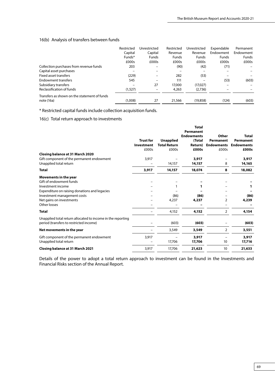# 16(b) Analysis of transfers between funds

|                                              | Restricted<br>Capital | Unrestricted<br>Capital | Restricted<br>Revenue | Unrestricted<br>Revenue | Expendable<br>Endowment | Permanent<br>Endowment |
|----------------------------------------------|-----------------------|-------------------------|-----------------------|-------------------------|-------------------------|------------------------|
|                                              | Funds*                | <b>Funds</b>            | <b>Funds</b>          | <b>Funds</b>            | <b>Funds</b>            | <b>Funds</b>           |
|                                              | £000s                 | £000s                   | £000s                 | £000s                   | £000s                   | £000s                  |
| Collection purchases from revenue funds      | 203                   |                         | (90)                  | (42)                    | (71)                    |                        |
| Capital asset purchases                      |                       |                         |                       |                         |                         |                        |
| Fixed asset transfers                        | (229)                 |                         | 282                   | (53)                    |                         |                        |
| Endowment transfers                          | 545                   |                         | 111                   |                         | (53)                    | (603)                  |
| Subsidiary transfers                         |                       | 27                      | 17,000                | (17,027)                |                         |                        |
| Reclassification of funds                    | (1,527)               |                         | 4,263                 | (2,736)                 |                         |                        |
| Transfers as shown on the statement of funds |                       |                         |                       |                         |                         |                        |
| note (16a)                                   | (1.008)               | 27                      | 21,566                | (19.858)                | (124)                   | (603)                  |

\* Restricted capital funds include collection acquisition funds.

# 16(c) Total return approach to investments

|                                                             |                  |                                         | Total             |                                |                                |
|-------------------------------------------------------------|------------------|-----------------------------------------|-------------------|--------------------------------|--------------------------------|
|                                                             |                  |                                         | Permanent         |                                |                                |
|                                                             | <b>Trust for</b> |                                         | <b>Endowments</b> | Other                          | Total                          |
|                                                             | Investment       | <b>Unapplied</b><br><b>Total Return</b> | (Total<br>Return) | Permanent<br><b>Endowments</b> | Permanent<br><b>Endowments</b> |
|                                                             | £000s            | £000s                                   | £000s             | £000s                          | £000s                          |
| Closing balance at 31 March 2020                            |                  |                                         |                   |                                |                                |
| Gift component of the permanent endowment                   | 3,917            |                                         | 3,917             |                                | 3,917                          |
| Unapplied total return                                      |                  | 14,157                                  | 14,157            | 8                              | 14,165                         |
| Total                                                       | 3,917            | 14,157                                  | 18,074            | 8                              | 18,082                         |
| Movements in the year                                       |                  |                                         |                   |                                |                                |
| Gift of endowment funds                                     |                  |                                         |                   |                                |                                |
| Investment income                                           |                  |                                         | 1                 |                                | 1                              |
| Expenditure on raising donations and legacies               |                  |                                         |                   |                                |                                |
| Investment management costs                                 |                  | (86)                                    | (86)              |                                | (86)                           |
| Net gains on investments                                    |                  | 4,237                                   | 4,237             | $\overline{2}$                 | 4,239                          |
| Other losses                                                |                  |                                         |                   |                                |                                |
| Total                                                       |                  | 4,152                                   | 4,152             | $\overline{2}$                 | 4,154                          |
| Unapplied total return allocated to income in the reporting |                  |                                         |                   |                                |                                |
| period (transfers to restricted income)                     |                  | (603)                                   | (603)             |                                | (603)                          |
| Net movements in the year                                   |                  | 3,549                                   | 3,549             | $\overline{2}$                 | 3,551                          |
| Gift component of the permanent endowment                   | 3,917            |                                         | 3,917             |                                | 3,917                          |
| Unapplied total return                                      |                  | 17,706                                  | 17,706            | 10                             | 17,716                         |
| Closing balance at 31 March 2021                            | 3,917            | 17,706                                  | 21,623            | 10                             | 21,633                         |

Details of the power to adopt a total return approach to investment can be found in the Investments and Financial Risks section of the Annual Report.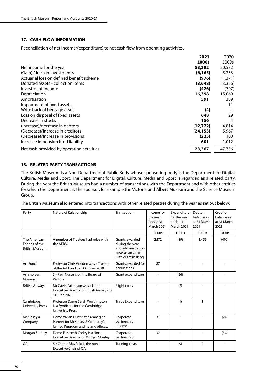# **17. CASH FLOW INFORMATION**

Reconciliation of net income/(expenditure) to net cash flow from operating activities.

|                                           | 2021      | 2020     |
|-------------------------------------------|-----------|----------|
|                                           | £000s     | £000s    |
| Net income for the year                   | 53,292    | 20,532   |
| (Gain) / loss on investments              | (6, 165)  | 5,353    |
| Actuarial loss on defined benefit scheme  | (976)     | (1,371)  |
| Donated assets - collection items         | (3,648)   | (3, 356) |
| Investment income                         | (426)     | (797)    |
| Depreciation                              | 16,398    | 15,069   |
| Amortisation                              | 591       | 389      |
| Impairment of fixed assets                |           | 11       |
| Write back of heritage asset              | (4)       |          |
| Loss on disposal of fixed assets          | 648       | 29       |
| Decrease in stocks                        | 156       | 4        |
| (Increase)/decrease in debtors            | (12,722)  | 4,814    |
| (Decrease)/Increase in creditors          | (24, 153) | 5,967    |
| (Decrease)/Increase in provisions         | (225)     | 100      |
| Increase in pension fund liability        | 601       | 1,012    |
| Net cash provided by operating activities | 23,367    | 47.756   |

## **18. RELATED PARTY TRANSACTIONS**

The British Museum is a Non-Departmental Public Body whose sponsoring body is the Department for Digital, Culture, Media and Sport. The Department for Digital, Culture, Media and Sport is regarded as a related party. During the year the British Museum had a number of transactions with the Department and with other entities for which the Department is the sponsor, for example the Victoria and Albert Museum and the Science Museum Group.

The British Museum also entered into transactions with other related parties during the year as set out below:

| Party                                                   | Nature of Relationship                                                                                      | Transaction                                                                                       | Income for<br>the year<br>ended 31<br><b>March 2021</b> | Expenditure<br>for the year<br>ended 31<br><b>March 2021</b> | Debtor<br>balance as<br>at 31 March<br>2021 | Creditor<br>balance as<br>at 31 March<br>2021 |
|---------------------------------------------------------|-------------------------------------------------------------------------------------------------------------|---------------------------------------------------------------------------------------------------|---------------------------------------------------------|--------------------------------------------------------------|---------------------------------------------|-----------------------------------------------|
|                                                         |                                                                                                             |                                                                                                   | £000s                                                   | £000s                                                        | £000s                                       | £000s                                         |
| The American<br>Friends of the<br><b>British Museum</b> | A number of Trustees had roles with<br>the AFBM                                                             | Grants awarded<br>during the year<br>and administration<br>costs associated<br>with grant making. | 2,172                                                   | (89)                                                         | 1,455                                       | (410)                                         |
| Art Fund                                                | Professor Chris Gosden was a Trustee<br>of the Art Fund to 5 October 2020                                   | Grants awarded for<br>acquisitions                                                                | 87                                                      |                                                              |                                             |                                               |
| Ashmolean<br>Museum                                     | Sir Paul Nurse is on the Board of<br><b>Visitors</b>                                                        | Grant expenditure                                                                                 |                                                         | (26)                                                         |                                             |                                               |
| <b>British Airways</b>                                  | Mr Gavin Patterson was a Non-<br>Executive Director of British Airways to<br>11 June 2020                   | Flight costs                                                                                      |                                                         | (2)                                                          |                                             |                                               |
| Cambridge<br><b>University Press</b>                    | Professor Dame Sarah Worthington<br>is a Syndicate for the Cambridge<br><b>Univeristy Press</b>             | <b>Trade Expenditure</b>                                                                          |                                                         | (1)                                                          | $\mathbf{1}$                                |                                               |
| McKinsey &<br>Company                                   | Dame Vivian Hunt is the Managing<br>Partner for McKinsey & Company's<br>United Kingdom and Ireland offices. | Corporate<br>partnership<br>income                                                                | 31                                                      |                                                              |                                             | (24)                                          |
| Morgan Stanley                                          | Dame Elizabeth Corley is a Non-<br><b>Executive Director of Morgan Stanley</b>                              | Corporate<br>partnership                                                                          | 32                                                      |                                                              |                                             | (34)                                          |
| QA                                                      | Sir Charlie Mayfield is the non-<br><b>Executive Chair of OA</b>                                            | <b>Training costs</b>                                                                             |                                                         | (9)                                                          | $\overline{2}$                              |                                               |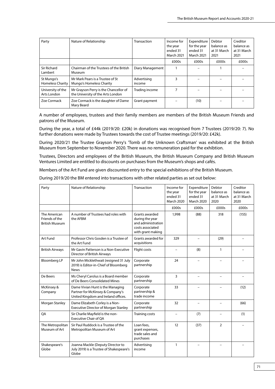| Party                                 | Nature of Relationship                                                     | Transaction           | Income for<br>the year<br>ended 31<br><b>March 2021</b> | Expenditure<br>for the year<br>ended 31<br><b>March 2021</b> | Debtor<br>balance as<br>at 31 March<br>2021 | Creditor<br>balance as<br>at 31 March<br>2021 |
|---------------------------------------|----------------------------------------------------------------------------|-----------------------|---------------------------------------------------------|--------------------------------------------------------------|---------------------------------------------|-----------------------------------------------|
|                                       |                                                                            |                       | £000s                                                   | £000s                                                        | £000s                                       | £000s                                         |
| Sir Richard<br>Lambert                | Chairman of the Trustees of the British<br>Museum                          | Diary Management      |                                                         |                                                              |                                             |                                               |
| St Mungo's<br><b>Homeless Charity</b> | Mr Mark Pears is a Trustee of St<br>Mungo's Homeless Charity               | Advertising<br>income | 3                                                       |                                                              |                                             |                                               |
| University of the<br>Arts London      | Mr Grayson Perry is the Chancellor of<br>the University of the Arts London | Trading income        | 7                                                       |                                                              |                                             |                                               |
| Zoe Cormack                           | Zoe Cormack is the daughter of Dame<br>Mary Beard                          | Grant payment         |                                                         | (10)                                                         |                                             |                                               |

A number of employees, trustees and their family members are members of the British Museum Friends and patrons of the Museum.

During the year, a total of £44k (2019/20: £20k) in donations was recognised from 7 Trustees (2019/20: 7). No further donations were made by Trustees towards the cost of Trustee meetings (2019/20: £42k).

During 2020/21 the Trustee Grayson Perry's 'Tomb of the Unknown Craftsman' was exhibited at the British Museum from September to November 2020. There was no remuneration paid for the exhibtion.

Trustees, Directors and employees of the British Museum, the British Museum Company and British Museum Ventures Limited are entitled to discounts on purchases from the Museum's shops and cafés.

Members of the Art Fund are given discounted entry to the special exhibitions of the British Museum.

During 2019/20 the BM entered into transactions with other related parties as set out below:

| Party                                                   | Nature of Relationship                                                                                      | Transaction                                                                                      | Income for<br>the year<br>ended 31<br><b>March 2020</b> | Expenditure<br>for the year<br>ended 31<br><b>March 2020</b> | Debtor<br>balance as<br>at 31 March<br>2020 | Creditor<br>balance as<br>at 31 March<br>2020 |
|---------------------------------------------------------|-------------------------------------------------------------------------------------------------------------|--------------------------------------------------------------------------------------------------|---------------------------------------------------------|--------------------------------------------------------------|---------------------------------------------|-----------------------------------------------|
|                                                         |                                                                                                             |                                                                                                  | £000s                                                   | £000s                                                        | £000s                                       | £000s                                         |
| The American<br>Friends of the<br><b>British Museum</b> | A number of Trustees had roles with<br>the AFBM                                                             | Grants awarded<br>during the year<br>and administration<br>costs associated<br>with grant making | 1,998                                                   | (88)                                                         | 318                                         | (155)                                         |
| Art Fund                                                | Professor Chris Gosden is a Trustee of<br>the Art Fund                                                      | Grants awarded for<br>acquisitions                                                               | 329                                                     |                                                              | (29)                                        |                                               |
| <b>British Airways</b>                                  | Mr Gavin Patterson is a Non-Executive<br>Director of British Airways                                        | Flight costs                                                                                     | $\equiv$                                                | (8)                                                          | 1                                           |                                               |
| <b>Bloomberg LP</b>                                     | Mr John Micklethwait (resigned 31 July<br>2019) is Editor-in-Chief of Bloomberg<br><b>News</b>              | Corporate<br>partnership                                                                         | 24                                                      |                                                              |                                             |                                               |
| De Beers                                                | Ms Cheryl Carolus is a Board member<br>of De Beers Consolidated Mines                                       | Corporate<br>partnership                                                                         | 3                                                       |                                                              |                                             |                                               |
| McKinsey &<br>Company                                   | Dame Vivian Hunt is the Managing<br>Partner for McKinsey & Company's<br>United Kingdom and Ireland offices. | Corporate<br>partnership &<br>trade income                                                       | 33                                                      |                                                              |                                             | (12)                                          |
| Morgan Stanley                                          | Dame Elizabeth Corley is a Non-<br><b>Executive Director of Morgan Stanley</b>                              | Corporate<br>partnership                                                                         | 32                                                      |                                                              |                                             | (66)                                          |
| <b>OA</b>                                               | Sir Charlie Mayfield is the non-<br>Executive Chair of OA                                                   | <b>Training costs</b>                                                                            | $\equiv$                                                | (7)                                                          | $\equiv$                                    | (1)                                           |
| The Metropolitan<br>Museum of Art                       | Sir Paul Ruddock is a Trustee of the<br>Metropolitan Museum of Art                                          | Loan fees,<br>grant expenses,<br>trade sales and<br>purchases                                    | 12                                                      | (37)                                                         | $\overline{2}$                              |                                               |
| Shakespeare's<br>Globe                                  | Joanna Mackle (Deputy Director to<br>July 2019) is a Trustee of Shakespeare's<br>Globe                      | Advertising<br>income                                                                            | $\mathbf{1}$                                            |                                                              |                                             |                                               |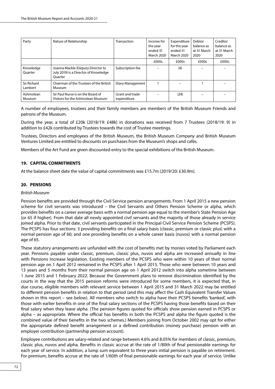| Party                  | Nature of Relationship                                                                       | Transaction                    | Income for<br>the year<br>ended 31<br><b>March 2020</b> | Expenditure<br>for the year<br>ended 31<br><b>March 2020</b> | Debtor<br>balance as<br>at 31 March<br>2020 | Creditor<br>balance as<br>at 31 March<br>2020 |
|------------------------|----------------------------------------------------------------------------------------------|--------------------------------|---------------------------------------------------------|--------------------------------------------------------------|---------------------------------------------|-----------------------------------------------|
|                        |                                                                                              |                                | £000s                                                   | £000s                                                        | £000s                                       | £000s                                         |
| Knowledge<br>Ouarter   | Joanna Mackle (Deputy Director to<br>July 2019) is a Director of Knowledge<br><b>Ouarter</b> | Subscription fee               |                                                         | (4)                                                          |                                             |                                               |
| Sir Richard<br>Lambert | Chairman of the Trustees of the British<br>Museum                                            | Diary Management               |                                                         |                                                              |                                             |                                               |
| Ashmolean<br>Museum    | Sir Paul Nurse is on the Board of<br>Visitors for the Ashmolean Museum                       | Grant and trade<br>expenditure |                                                         | (24)                                                         |                                             |                                               |

A number of employees, trustees and their family members are members of the British Museum Friends and patrons of the Museum.

During the year, a total of £20k (2018/19: £48k) in donations was received from 7 Trustees (2018/19: 9) in addition to £42k contributed by Trustees towards the cost of Trustee meetings.

Trustees, Directors and employees of the British Museum, the British Museum Company and British Museum Ventures Limited are entitled to discounts on purchases from the Museum's shops and cafés.

Members of the Art Fund are given discounted entry to the special exhibitions of the British Museum.

# **19. CAPITAL COMMITMENTS**

At the balance sheet date the value of capital commitments was £15.7m (2019/20: £30.9m).

# **20. PENSIONS**

## *British Museum*

Pension benefits are provided through the Civil Service pension arrangements. From 1 April 2015 a new pension scheme for civil servants was introduced – the Civil Servants and Others Pension Scheme or alpha, which provides benefits on a career average basis with a normal pension age equal to the member's State Pension Age (or 65 if higher). From that date all newly appointed civil servants and the majority of those already in service joined alpha. Prior to that date, civil servants participated in the Principal Civil Service Pension Scheme (PCSPS). The PCSPS has four sections: 3 providing benefits on a final salary basis (classic, premium or classic plus) with a normal pension age of 60; and one providing benefits on a whole career basis (nuvos) with a normal pension age of 65.

These statutory arrangements are unfunded with the cost of benefits met by monies voted by Parliament each year. Pensions payable under classic, premium, classic plus, nuvos and alpha are increased annually in line with Pensions Increase legislation. Existing members of the PCSPS who were within 10 years of their normal pension age on 1 April 2012 remained in the PCSPS after 1 April 2015. Those who were between 10 years and 13 years and 5 months from their normal pension age on 1 April 2012 switch into alpha sometime between 1 June 2015 and 1 February 2022. Because the Government plans to remove discrimination identified by the courts in the way that the 2015 pension reforms were introduced for some members, it is expected that, in due course, eligible members with relevant service between 1 April 2015 and 31 March 2022 may be entitled to different pension benefits in relation to that period (and this may affect the Cash Equivalent Transfer Values shown in this report – see below). All members who switch to alpha have their PCSPS benefits 'banked', with those with earlier benefits in one of the final salary sections of the PCSPS having those benefits based on their final salary when they leave alpha. (The pension figures quoted for officials show pension earned in PCSPS or alpha – as appropriate. Where the official has benefits in both the PCSPS and alpha the figure quoted is the combined value of their benefits in the two schemes.) Members joining from October 2002 may opt for either the appropriate defined benefit arrangement or a defined contribution (money purchase) pension with an employer contribution (partnership pension account).

Employee contributions are salary-related and range between 4.6% and 8.05% for members of classic, premium, classic plus, nuvos and alpha. Benefits in classic accrue at the rate of 1/80th of final pensionable earnings for each year of service. In addition, a lump sum equivalent to three years initial pension is payable on retirement. For premium, benefits accrue at the rate of 1/60th of final pensionable earnings for each year of service. Unlike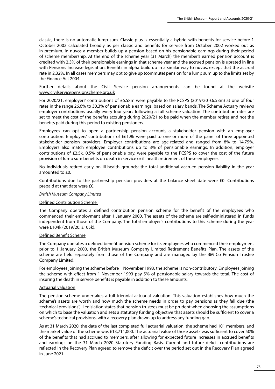classic, there is no automatic lump sum. Classic plus is essentially a hybrid with benefits for service before 1 October 2002 calculated broadly as per classic and benefits for service from October 2002 worked out as in premium. In nuvos a member builds up a pension based on his pensionable earnings during their period of scheme membership. At the end of the scheme year (31 March) the member's earned pension account is credited with 2.3% of their pensionable earnings in that scheme year and the accrued pension is uprated in line with Pensions Increase legislation. Benefits in alpha build up in a similar way to nuvos, except that the accrual rate in 2.32%. In all cases members may opt to give up (commute) pension for a lump sum up to the limits set by the Finance Act 2004.

Further details about the Civil Service pension arrangements can be found at the website [www.civilservicepensionscheme.org.uk](http://www.civilservicepensionscheme.org.uk)

For 2020/21, employers' contributions of £6.58m were payable to the PCSPS (2019/20 £6.53m) at one of four rates in the range 26.6% to 30.3% of pensionable earnings, based on salary bands. The Scheme Actuary reviews employer contributions usually every four years following a full scheme valuation. The contribution rates are set to meet the cost of the benefits accruing during 2020/21 to be paid when the member retires and not the benefits paid during this period to existing pensioners.

Employees can opt to open a partnership pension account, a stakeholder pension with an employer contribution. Employers' contributions of £61.9k were paid to one or more of the panel of three appointed stakeholder pension providers. Employer contributions are age-related and ranged from 8% to 14.75%. Employers also match employee contributions up to 3% of pensionable earnings. In addition, employer contributions of £2.5k, 0.5% of pensionable pay, were payable to the PCSPS to cover the cost of the future provision of lump sum benefits on death in service or ill health retirement of these employees.

No individuals retired early on ill-health grounds; the total additional accrued pension liability in the year amounted to £0.

Contributions due to the partnership pension providers at the balance sheet date were £0. Contributions prepaid at that date were £0.

#### *British Museum Company Limited*

#### Defined Contribution Scheme

The Company operates a defined contribution pension scheme for the benefit of the employees who commenced their employment after 1 January 2000. The assets of the scheme are self-administered in funds independent from those of the Company. The total employer's contributions to this scheme during the year were £104k (2019/20: £105k).

#### Defined Benefit Scheme

The Company operates a defined benefit pension scheme for its employees who commenced their employment prior to 1 January 2000, the British Museum Company Limited Retirement Benefits Plan. The assets of the scheme are held separately from those of the Company and are managed by the BM Co Pension Trustee Company Limited.

For employees joining the scheme before 1 November 1993, the scheme is non-contributory. Employees joining the scheme with effect from 1 November 1993 pay 5% of pensionable salary towards the total. The cost of insuring the death in service benefits is payable in addition to these amounts.

#### Actuarial valuation

The pension scheme undertakes a full triennial actuarial valuation. This valuation establishes how much the scheme's assets are worth and how much the scheme needs in order to pay pensions as they fall due (the 'technical provisions'). Legislation states that pension trustees must be prudent when choosing the assumptions on which to base the valuation and sets a statutory funding objective that assets should be sufficient to cover a scheme's technical provisions, with a recovery plan drawn up to address any funding gap.

As at 31 March 2020, the date of the last completed full actuarial valuation, the scheme had 101 members, and the market value of the scheme was £13,711,000. The actuarial value of those assets was sufficient to cover 50% of the benefits that had accrued to members, after allowing for expected future increases in accrued benefits and earnings on the 31 March 2020 Statutory Funding Basis. Current and future deficit contributions are reflected in the Recovery Plan agreed to remove the deficit over the period set out in the Recovery Plan agreed in June 2021.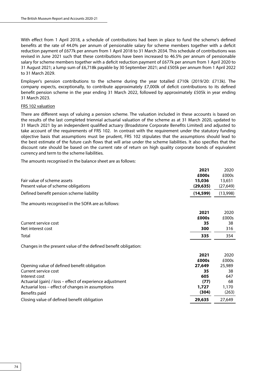With effect from 1 April 2018, a schedule of contributions had been in place to fund the scheme's defined benefits at the rate of 44.0% per annum of pensionable salary for scheme members together with a deficit reduction payment of £677k per annum from 1 April 2018 to 31 March 2034. This schedule of contributions was revised in June 2021 such that these contributions have been increased to 46.5% per annum of pensionable salary for scheme members together with a deficit reduction payment of £677k per annum from 1 April 2020 to 31 August 2021; a lump sum of £6,718k payable by 30 September 2021; and £505k per annum from 1 April 2022 to 31 March 2029.

Employer's pension contributions to the scheme during the year totalled £710k (2019/20: £713k). The company expects, exceptionally, to contribute approximately £7,000k of deficit contributions to its defined benefit pension scheme in the year ending 31 March 2022, followed by approximately £505k in year ending 31 March 2023.

## FRS 102 valuation

There are different ways of valuing a pension scheme. The valuation included in these accounts is based on the results of the last completed triennial actuarial valuation of the scheme as at 31 March 2020, updated to 31 March 2021 by an independent qualified actuary (Broadstone Corporate Benefits Limited) and adjusted to take account of the requirements of FRS 102. In contrast with the requirement under the statutory funding objective basis that assumptions must be prudent, FRS 102 stipulates that the assumptions should lead to the best estimate of the future cash flows that will arise under the scheme liabilities. It also specifies that the discount rate should be based on the current rate of return on high quality corporate bonds of equivalent currency and term to the scheme liabilities.

The amounts recognised in the balance sheet are as follows:

|                                                                 | 2021      | 2020      |
|-----------------------------------------------------------------|-----------|-----------|
|                                                                 | £000s     | £000s     |
| Fair value of scheme assets                                     | 15,036    | 13,651    |
| Present value of scheme obligations                             | (29, 635) | (27, 649) |
| Defined benefit pension scheme liability                        | (14, 599) | (13,998)  |
| The amounts recognised in the SOFA are as follows:              |           |           |
|                                                                 | 2021      | 2020      |
|                                                                 | £000s     | £000s     |
| Current service cost                                            | 35        | 38        |
| Net interest cost                                               | 300       | 316       |
| Total                                                           | 335       | 354       |
| Changes in the present value of the defined benefit obligation: |           |           |
|                                                                 | 2021      | 2020      |
|                                                                 | £000s     | £000s     |
| Opening value of defined benefit obligation                     | 27,649    | 25,989    |
| Current service cost                                            | 35        | 38        |
| Interest cost                                                   | 605       | 647       |
| Actuarial (gain) / loss – effect of experience adjustment       | (77)      | 68        |
| Actuarial loss – effect of changes in assumptions               | 1,727     | 1,170     |
| Benefits paid                                                   | (304)     | (263)     |
| Closing value of defined benefit obligation                     | 29,635    | 27,649    |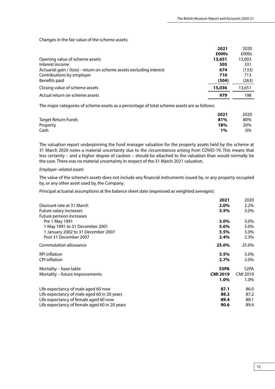Changes in the fair value of the scheme assets:

|                                                                      | 2021   | 2020   |
|----------------------------------------------------------------------|--------|--------|
|                                                                      | £000s  | £000s  |
| Opening value of scheme assets                                       | 13,651 | 13,003 |
| Interest income                                                      | 305    | 331    |
| Actuarial gain / (loss) - return on scheme assets excluding interest | 674    | (133)  |
| Contributions by employer                                            | 710    | 713    |
| Benefits paid                                                        | (304)  | (263)  |
| Closing value of scheme assets                                       | 15,036 | 13,651 |
| Actual return on scheme assets                                       | 979    | 198    |

The major categories of scheme assets as a percentage of total scheme assets are as follows:

|                            | 2021  | 2020 |
|----------------------------|-------|------|
| <b>Target Return Funds</b> | 81%   | 80%  |
| Property                   | 18%   | 20%  |
| Cash                       | $1\%$ | 0%   |

The valuation report underpinning the fund manager valuation for the property assets held by the scheme at 31 March 2020 notes a material uncertainty due to the circumstances arising from COVID-19. This means that less certainty – and a higher degree of caution – should be attached to the valuation than would normally be the case. There was no material uncertainty in respect of the 31 March 2021 valuation.

#### *Employer–related assets*

The value of the scheme's assets does not include any financial instruments issued by, or any property occupied by, or any other asset used by, the Company.

Principal actuarial assumptions at the balance sheet date (expressed as weighted averages):

| 2021                                                  | 2020              |
|-------------------------------------------------------|-------------------|
| 2.0%<br>Discount rate at 31 March                     | 2.2%              |
| 3.5%<br>Future salary increases                       | 3.0%              |
| Future pension increases                              |                   |
| Pre 1 May 1991<br>3.0%                                | $3.0\%$           |
| 1 May 1991 to 31 December 2001<br>5.0%                | 5.0%              |
| 1 January 2002 to 31 December 2007<br>3.5%            | 3.0%              |
| Post 31 December 2007<br>2.4%                         | 2.3%              |
| Commutation allowance<br>25.0%                        | 25.0%             |
| <b>RPI</b> inflation<br>3.5%                          | $3.0\%$           |
| <b>CPI</b> inflation<br>2.7%                          | 2.0%              |
| Mortality – base table<br>S3PA                        | S <sub>2</sub> PA |
| <b>CMI 2019</b><br>Mortality - future improvements    | <b>CMI 2019</b>   |
| 1.0%                                                  | 1.0%              |
| Life expectancy of male aged 60 now<br>87.1           | 86.0              |
| Life expectancy of male aged 60 in 20 years<br>88.2   | 87.2              |
| Life expectancy of female aged 60 now<br>89.4         | 88.1              |
| Life expectancy of female aged 60 in 20 years<br>90.6 | 89.4              |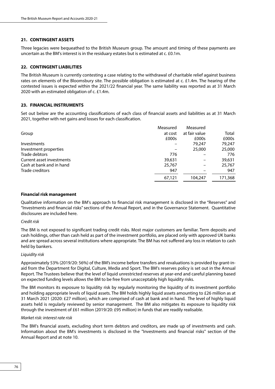# **21. CONTINGENT ASSETS**

Three legacies were bequeathed to the British Museum group. The amount and timing of these payments are uncertain as the BM's interest is in the residuary estates but is estimated at c. £0.1m.

# **22. CONTINGENT LIABILITIES**

The British Museum is currently contesting a case relating to the withdrawal of charitable relief against business rates on elements of the Bloomsbury site. The possible obligation is estimated at c. £1.4m. The hearing of the contested issues is expected within the 2021/22 financial year. The same liability was reported as at 31 March 2020 with an estimated obligation of c. £1.4m.

# **23. FINANCIAL INSTRUMENTS**

Set out below are the accounting classifications of each class of financial assets and liabilities as at 31 March 2021, together with net gains and losses for each classification.

|                           | Measured | Measured      |         |
|---------------------------|----------|---------------|---------|
| Group                     | at cost  | at fair value | Total   |
|                           | £000s    | £000s         | £000s   |
| <b>Investments</b>        |          | 79,247        | 79,247  |
| Investment properties     |          | 25,000        | 25,000  |
| Trade debtors             | 776      |               | 776     |
| Current asset investments | 39,631   |               | 39,631  |
| Cash at bank and in hand  | 25,767   |               | 25,767  |
| Trade creditors           | 947      |               | 947     |
|                           | 67,121   | 104,247       | 171,368 |

## **Financial risk management**

Qualitative information on the BM's approach to financial risk management is disclosed in the "Reserves" and "Investments and financial risks" sections of the Annual Report, and in the Governance Statement. Quantitative disclosures are included here.

#### *Credit risk*

The BM is not exposed to significant trading credit risks. Most major customers are familiar. Term deposits and cash holdings, other than cash held as part of the investment portfolio, are placed only with approved UK banks and are spread across several institutions where appropriate. The BM has not suffered any loss in relation to cash held by bankers.

## *Liquidity risk*

Approximately 53% (2019/20: 56%) of the BM's income before transfers and revaluations is provided by grant-inaid from the Department for Digital, Culture, Media and Sport. The BM's reserves policy is set out in the Annual Report. The Trustees believe that the level of liquid unrestricted reserves at year-end and careful planning based on expected funding levels allows the BM to be free from unacceptably high liquidity risks.

The BM monitors its exposure to liquidity risk by regularly monitoring the liquidity of its investment portfolio and holding appropriate levels of liquid assets. The BM holds highly liquid assets amounting to £26 million as at 31 March 2021 (2020: £27 million), which are comprised of cash at bank and in hand. The level of highly liquid assets held is regularly reviewed by senior management. The BM also mitigates its exposure to liquidity risk through the investment of £61 million (2019/20: £95 million) in funds that are readily realisable.

## *Market risk: interest rate risk*

The BM's financial assets, excluding short term debtors and creditors, are made up of investments and cash. Information about the BM's investments is disclosed in the "Investments and financial risks" section of the Annual Report and at note 10.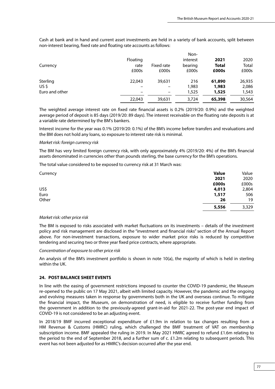Cash at bank and in hand and current asset investments are held in a variety of bank accounts, split between non-interest bearing, fixed rate and floating rate accounts as follows:

|                |                          |            | Non-     |              |        |
|----------------|--------------------------|------------|----------|--------------|--------|
|                | Floating                 |            | interest | 2021         | 2020   |
| Currency       | rate                     | Fixed rate | bearing  | <b>Total</b> | Total  |
|                | £000s                    | £000s      | £000s    | £000s        | £000s  |
| Sterling       | 22,043                   | 39,631     | 216      | 61,890       | 26,935 |
| US\$           |                          |            | 1,983    | 1,983        | 2,086  |
| Euro and other | $\overline{\phantom{0}}$ | -          | 1,525    | 1,525        | 1,543  |
|                | 22,043                   | 39,631     | 3,724    | 65,398       | 30,564 |

The weighted average interest rate on fixed rate financial assets is 0.2% (2019/20: 0.9%) and the weighted average period of deposit is 85 days (2019/20: 89 days). The interest receivable on the floating rate deposits is at a variable rate determined by the BM's bankers.

Interest income for the year was 0.1% (2019/20: 0.1%) of the BM's income before transfers and revaluations and the BM does not hold any loans, so exposure to interest rate risk is minimal.

## *Market risk: foreign currency risk*

The BM has very limited foreign currency risk, with only approximately 4% (2019/20: 4%) of the BM's financial assets denominated in currencies other than pounds sterling, the base currency for the BM's operations.

The total value considered to be exposed to currency risk at 31 March was:

| Currency | <b>Value</b> | Value |
|----------|--------------|-------|
|          | 2021         | 2020  |
|          | £000s        | £000s |
| US\$     | 4,013        | 2,804 |
| Euro     | 1,517        | 506   |
| Other    | 26           | 19    |
|          | 5,556        | 3,329 |

## *Market risk: other price risk*

The BM is exposed to risks associated with market fluctuations on its investments – details of the investment policy and risk management are disclosed in the "investment and financial risks" section of the Annual Report above. For non-investment transactions, exposure to wider market price risks is reduced by competitive tendering and securing two or three year fixed price contracts, where appropriate.

*Concentration of exposure to other price risk*

An analysis of the BM's investment portfolio is shown in note 10(a), the majority of which is held in sterling within the UK.

## **24. POST BALANCE SHEET EVENTS**

In line with the easing of government restrictions imposed to counter the COVID-19 pandemic, the Museum re-opened to the public on 17 May 2021, albeit with limited capacity. However, the pandemic and the ongoing and evolving measures taken in response by governments both in the UK and overseas continue. To mitigate the financial impact, the Museum, on demonstration of need, is eligible to receive further funding from the government in addition to the previously-agreed grant-in-aid for 2021-22. The post-year end impact of COVID-19 is not considered to be an adjusting event.

In 2018/19 BMF incurred exceptional expenditure of £1.9m in relation to tax changes resulting from a HM Revenue & Customs (HMRC) ruling, which challenged the BMF treatment of VAT on membership subscription income. BMF appealed the ruling in 2019. In May 2021 HMRC agreed to refund £1.6m relating to the period to the end of September 2018, and a further sum of c. £1.2m relating to subsequent periods. This event has not been adjusted for as HMRC's decision occurred after the year end.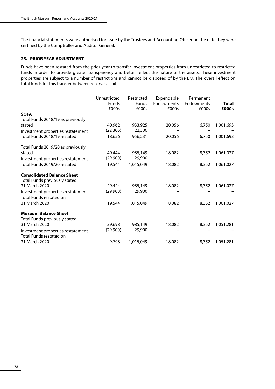The financial statements were authorised for issue by the Trustees and Accounting Officer on the date they were certified by the Comptroller and Auditor General.

# **25. PRIOR YEAR ADJUSTMENT**

Funds have been restated from the prior year to transfer investment properties from unrestricted to restricted funds in order to provide greater transparency and better reflect the nature of the assets. These investment properties are subject to a number of restrictions and cannot be disposed of by the BM. The overall effect on total funds for this transfer between reserves is nil.

| Unrestricted | Restricted                                             | Expendable                                 | Permanent                     |                                       |
|--------------|--------------------------------------------------------|--------------------------------------------|-------------------------------|---------------------------------------|
|              |                                                        |                                            |                               | <b>Total</b>                          |
|              |                                                        |                                            |                               | £000s                                 |
|              |                                                        |                                            |                               |                                       |
|              |                                                        |                                            |                               |                                       |
|              |                                                        |                                            |                               | 1,001,693                             |
|              |                                                        |                                            |                               |                                       |
|              | 956,231                                                | 20,056                                     |                               | 1,001,693                             |
|              |                                                        |                                            |                               |                                       |
| 49,444       | 985,149                                                | 18,082                                     | 8,352                         | 1,061,027                             |
| (29,900)     | 29,900                                                 |                                            |                               |                                       |
| 19,544       | 1,015,049                                              | 18,082                                     | 8,352                         | 1,061,027                             |
|              |                                                        |                                            |                               |                                       |
|              |                                                        |                                            |                               |                                       |
| 49,444       | 985,149                                                | 18,082                                     | 8,352                         | 1,061,027                             |
| (29,900)     | 29,900                                                 |                                            |                               |                                       |
|              |                                                        |                                            |                               |                                       |
| 19,544       | 1,015,049                                              | 18,082                                     | 8,352                         | 1,061,027                             |
|              |                                                        |                                            |                               |                                       |
|              |                                                        |                                            |                               |                                       |
| 39,698       | 985,149                                                | 18,082                                     | 8,352                         | 1,051,281                             |
| (29,900)     | 29,900                                                 |                                            |                               |                                       |
|              |                                                        |                                            |                               |                                       |
| 9,798        | 1,015,049                                              | 18,082                                     | 8,352                         | 1,051,281                             |
|              | <b>Funds</b><br>£000s<br>40,962<br>(22, 306)<br>18,656 | <b>Funds</b><br>£000s<br>933,925<br>22,306 | Endowments<br>£000s<br>20,056 | Endowments<br>£000s<br>6,750<br>6,750 |